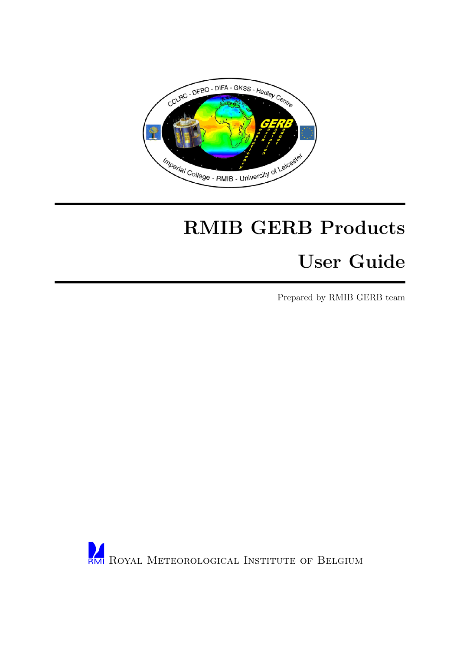

# RMIB GERB Products

# User Guide

Prepared by RMIB GERB team

RMI ROYAL METEOROLOGICAL INSTITUTE OF BELGIUM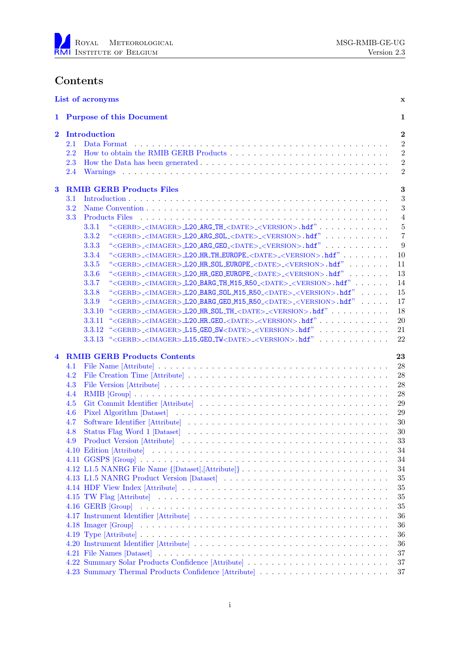# Contents

|                         |                                                             | List of acronyms                                                                                                                                                                                                                                                                                                                                                                                                                                                                                                                                                                                                                                                                                                                                                                                                  | x                                                                                                                                   |
|-------------------------|-------------------------------------------------------------|-------------------------------------------------------------------------------------------------------------------------------------------------------------------------------------------------------------------------------------------------------------------------------------------------------------------------------------------------------------------------------------------------------------------------------------------------------------------------------------------------------------------------------------------------------------------------------------------------------------------------------------------------------------------------------------------------------------------------------------------------------------------------------------------------------------------|-------------------------------------------------------------------------------------------------------------------------------------|
| $\mathbf{1}$            |                                                             | <b>Purpose of this Document</b>                                                                                                                                                                                                                                                                                                                                                                                                                                                                                                                                                                                                                                                                                                                                                                                   | 1                                                                                                                                   |
| $\overline{\mathbf{2}}$ | 2.1<br>2.2<br>2.3                                           | Introduction<br>Data Format                                                                                                                                                                                                                                                                                                                                                                                                                                                                                                                                                                                                                                                                                                                                                                                       | $\boldsymbol{2}$<br>$\overline{2}$<br>$\overline{2}$<br>$\overline{2}$<br>$\overline{2}$                                            |
| $\bf{3}$                | 2.4<br>3.1<br>3.2<br>3.3                                    | <b>RMIB GERB Products Files</b><br>3.3.1<br>3.3.2<br>3.3.3<br>" <gerb>_<imager>L20_HR_TH_EUROPE_<date>_<version>.hdf"<br/>3.3.4<br/>"<gerb>_<imager>L20_HR_SOL_EUROPE_<date>_<version>.hdf"<br/>3.3.5<br/>"<gerb>_<imager>L20_HR_GEO_EUROPE_<date>_<version>.hdf"<br/>3.3.6<br/>3.3.7<br/>3.3.8<br/>"<gerb>_<imager>L20_BARG_SOL_M15_R50_<date>_<version>.hdf"<br/>"<gerb>_<imager>L20_BARG_GEO_M15_R50_<date>_<version>.hdf"<br/>3.3.9<br/>3.3.10<br/><math>``SCERB&gt;_{11112211222112222211222222222222222<!--</math--><br/>3.3.11<br/>"<gerb>_<imager>L15_GEO_SW<date>_<version>.hdf"<br/>3.3.12</version></date></imager></gerb></math></version></date></imager></gerb></version></date></imager></gerb></version></date></imager></gerb></version></date></imager></gerb></version></date></imager></gerb> | $\bf{3}$<br>3<br>3<br>$\overline{4}$<br>$\overline{5}$<br>$\overline{7}$<br>9<br>10<br>11<br>13<br>14<br>15<br>17<br>18<br>20<br>21 |
| 4                       |                                                             | $``GERB>_{1 and GER_{1 = 15_GEO_TW1 and GEQ = 10_GEO_TW1 = 10_GBO_SW2 = 10_GBO_SW1 and GEQ = 10_GBO_SW2 = 10_GBO_SW2 = 10_GBO_SW1 = 10_GBO_SW2 = 10_GBO_SW2 = 10_GBO_SW2 = 10_GBO_SW2 = 1$<br>3.3.13<br><b>RMIB GERB Products Contents</b>                                                                                                                                                                                                                                                                                                                                                                                                                                                                                                                                                                        | 22<br>23                                                                                                                            |
|                         | 4.1<br>4.2<br>4.3<br>4.4<br>4.5<br>4.6<br>4.7<br>4.8<br>4.9 | 4.16 GERB [Group]                                                                                                                                                                                                                                                                                                                                                                                                                                                                                                                                                                                                                                                                                                                                                                                                 | 28<br>28<br>28<br>28<br>29<br>$\,29$<br>30<br>$30\,$<br>$33\,$<br>34<br>34<br>34<br>35<br>35<br>35<br>35                            |
|                         |                                                             |                                                                                                                                                                                                                                                                                                                                                                                                                                                                                                                                                                                                                                                                                                                                                                                                                   | 36<br>36<br>36<br>36<br>37<br>37<br>37                                                                                              |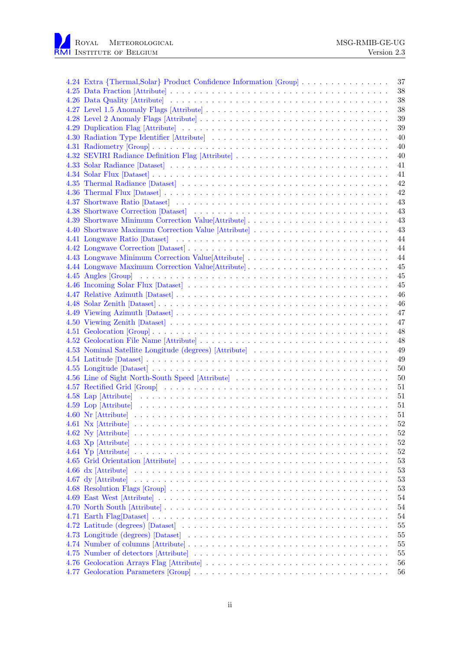| 4.24 Extra {Thermal,Solar} Product Confidence Information [Group] | 37     |
|-------------------------------------------------------------------|--------|
|                                                                   | 38     |
|                                                                   | 38     |
|                                                                   | 38     |
|                                                                   | 39     |
|                                                                   | 39     |
|                                                                   | 40     |
|                                                                   | 40     |
|                                                                   | 40     |
|                                                                   | 41     |
|                                                                   | 41     |
|                                                                   | 42     |
|                                                                   | 42     |
|                                                                   | 43     |
|                                                                   |        |
|                                                                   | 43     |
| 4.39 Shortwave Minimum Correction Value[Attribute]                | 43     |
| 4.40 Shortwave Maximum Correction Value [Attribute]               | 43     |
|                                                                   | 44     |
|                                                                   | 44     |
|                                                                   | 44     |
| 4.44 Longwave Maximum Correction Value[Attribute]                 | 45     |
|                                                                   | 45     |
|                                                                   | 45     |
|                                                                   | 46     |
|                                                                   | 46     |
|                                                                   | 47     |
|                                                                   | 47     |
|                                                                   | 48     |
|                                                                   | 48     |
| 4.53 Nominal Satellite Longitude (degrees) [Attribute]            | 49     |
|                                                                   | 49     |
|                                                                   | $50\,$ |
| 4.56 Line of Sight North-South Speed [Attribute]                  | 50     |
|                                                                   | 51     |
|                                                                   | 51     |
|                                                                   | 51     |
|                                                                   | 51     |
|                                                                   | $52\,$ |
|                                                                   | 52     |
|                                                                   | 52     |
|                                                                   | 52     |
|                                                                   |        |
|                                                                   | 53     |
|                                                                   | 53     |
|                                                                   | 53     |
|                                                                   | 53     |
|                                                                   | 54     |
|                                                                   | 54     |
|                                                                   | 54     |
|                                                                   | 55     |
|                                                                   | 55     |
|                                                                   | 55     |
|                                                                   | 55     |
|                                                                   | 56     |
|                                                                   | 56     |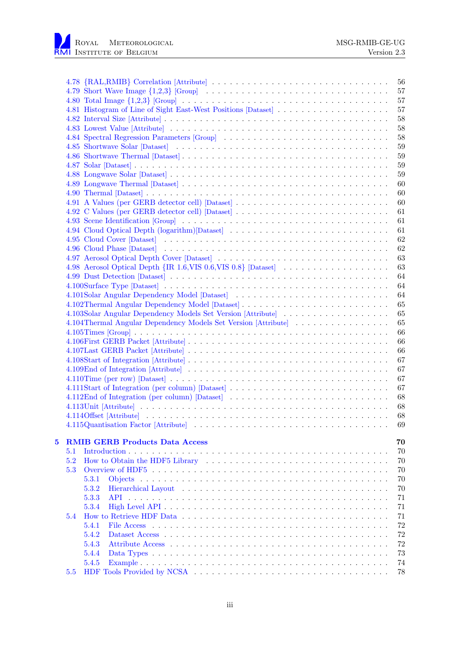|   |     | 56                                                                   |  |
|---|-----|----------------------------------------------------------------------|--|
|   |     | 57                                                                   |  |
|   |     | 57                                                                   |  |
|   |     | 4.81 Histogram of Line of Sight East-West Positions [Dataset]<br>57  |  |
|   |     | 58                                                                   |  |
|   |     | 58                                                                   |  |
|   |     | 4.84 Spectral Regression Parameters [Group]<br>58                    |  |
|   |     | 59                                                                   |  |
|   |     | 59                                                                   |  |
|   |     | 59                                                                   |  |
|   |     | 59                                                                   |  |
|   |     | 60                                                                   |  |
|   |     | 60                                                                   |  |
|   |     | 60                                                                   |  |
|   |     |                                                                      |  |
|   |     | 61                                                                   |  |
|   |     | 61                                                                   |  |
|   |     | 4.94 Cloud Optical Depth (logarithm) [Dataset]<br>61                 |  |
|   |     | 62                                                                   |  |
|   |     | 62                                                                   |  |
|   |     | 63                                                                   |  |
|   |     | 63                                                                   |  |
|   |     | 64                                                                   |  |
|   |     | 64                                                                   |  |
|   |     | 64                                                                   |  |
|   |     | 65                                                                   |  |
|   |     | 4.103Solar Angular Dependency Models Set Version [Attribute]<br>65   |  |
|   |     | 4.104Thermal Angular Dependency Models Set Version [Attribute]<br>65 |  |
|   |     | 66                                                                   |  |
|   |     | 66                                                                   |  |
|   |     | 66                                                                   |  |
|   |     | 67                                                                   |  |
|   |     | 67                                                                   |  |
|   |     | 67                                                                   |  |
|   |     | 67                                                                   |  |
|   |     | 4.112End of Integration (per column) [Dataset]<br>68                 |  |
|   |     | 68                                                                   |  |
|   |     | 68                                                                   |  |
|   |     | 69                                                                   |  |
|   |     |                                                                      |  |
| 5 |     | <b>RMIB GERB Products Data Access</b><br>70                          |  |
|   | 5.1 | 70                                                                   |  |
|   | 5.2 | 70                                                                   |  |
|   | 5.3 | 70                                                                   |  |
|   |     | 70<br>5.3.1                                                          |  |
|   |     | 5.3.2<br>70                                                          |  |
|   |     | 5.3.3<br>API<br>71                                                   |  |
|   |     | 5.3.4<br>71                                                          |  |
|   | 5.4 | 71                                                                   |  |
|   |     | 72<br>5.4.1                                                          |  |
|   |     | 5.4.2<br>72                                                          |  |
|   |     | 5.4.3<br>72                                                          |  |
|   |     | 73<br>5.4.4                                                          |  |
|   |     | 5.4.5<br>74                                                          |  |
|   | 5.5 | 78                                                                   |  |
|   |     |                                                                      |  |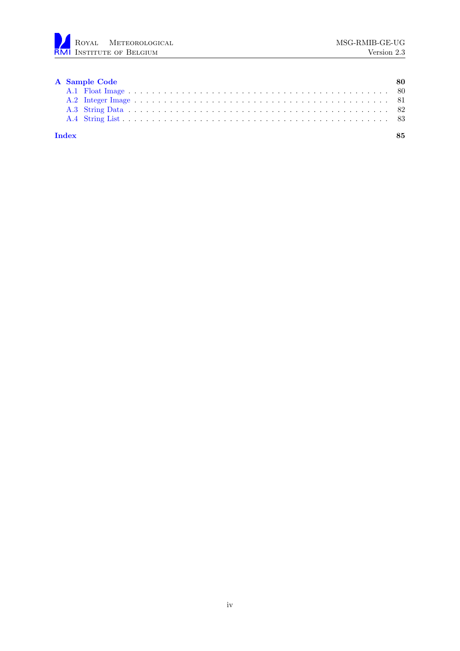|  | <b>A</b> Sample Code | 80 |
|--|----------------------|----|
|  |                      |    |
|  |                      |    |
|  |                      |    |
|  |                      |    |

#### **[Index](#page-98-0) 85 (2008)** 2014 2022 2023 2024 2022 2023 2024 2022 2023 2024 2022 2023 2024 2022 2023 2024 2022 2023 2024 20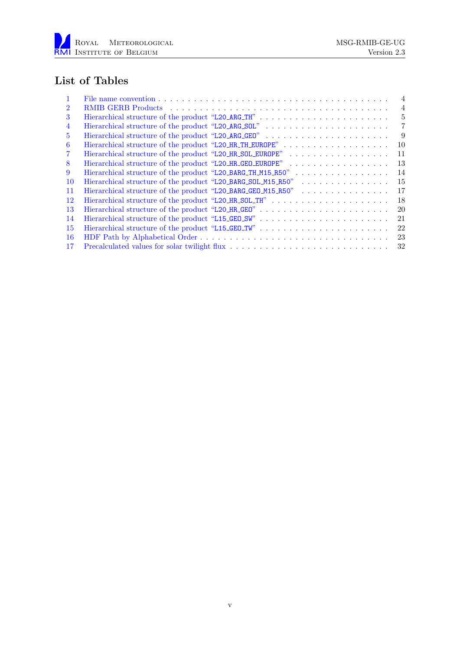

# List of Tables

| $\mathbf{1}$   | $\overline{4}$<br>File name convention $\ldots$ , $\ldots$ , $\ldots$ , $\ldots$ , $\ldots$ , $\ldots$ , $\ldots$ , $\ldots$ , $\ldots$ , $\ldots$ , $\ldots$ , $\ldots$ |
|----------------|--------------------------------------------------------------------------------------------------------------------------------------------------------------------------|
| $\overline{2}$ | $\overline{4}$                                                                                                                                                           |
| 3              | Hierarchical structure of the product "L20_ARG_TH"<br>5                                                                                                                  |
| $\overline{4}$ | $\overline{7}$<br>Hierarchical structure of the product "L20_ARG_SOL"                                                                                                    |
| $5^{\circ}$    | Hierarchical structure of the product "L20_ARG_GEO"<br>-9                                                                                                                |
| 6              | Hierarchical structure of the product "L20_HR_TH_EUROPE"<br>10                                                                                                           |
| $\overline{7}$ | Hierarchical structure of the product "L20_HR_SOL_EUROPE"<br>11<br>.                                                                                                     |
| 8              | Hierarchical structure of the product "L20_HR_GEO_EUROPE"<br>13<br>.                                                                                                     |
| 9              | Hierarchical structure of the product "L20_BARG_TH_M15_R50"<br>14<br>.                                                                                                   |
| 10             | Hierarchical structure of the product "L20_BARG_SOL_M15_R50"<br>15<br>.                                                                                                  |
| -11            | Hierarchical structure of the product "L20_BARG_GEO_M15_R50"<br>17<br>.                                                                                                  |
| 12             | 18<br>Hierarchical structure of the product "L20_HR_SOL_TH"                                                                                                              |
| <b>13</b>      | 20<br>Hierarchical structure of the product "L20_HR_GEO"                                                                                                                 |
| 14             | Hierarchical structure of the product "L15_GEO_SW"<br>21                                                                                                                 |
| 15             | 22<br>Hierarchical structure of the product "L15_GEO_TW"                                                                                                                 |
| 16             | 23                                                                                                                                                                       |
| 17             | 32                                                                                                                                                                       |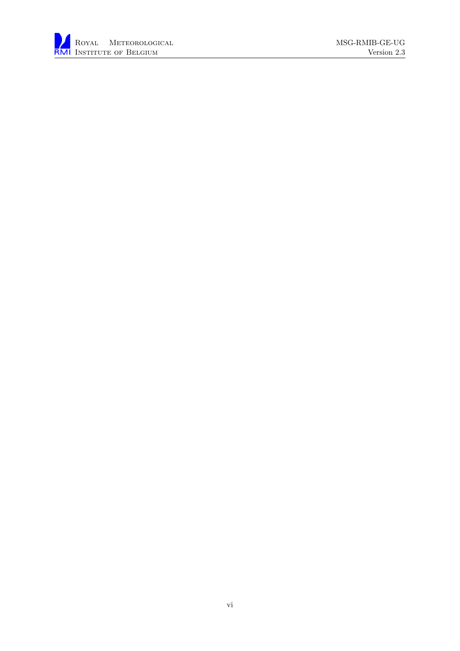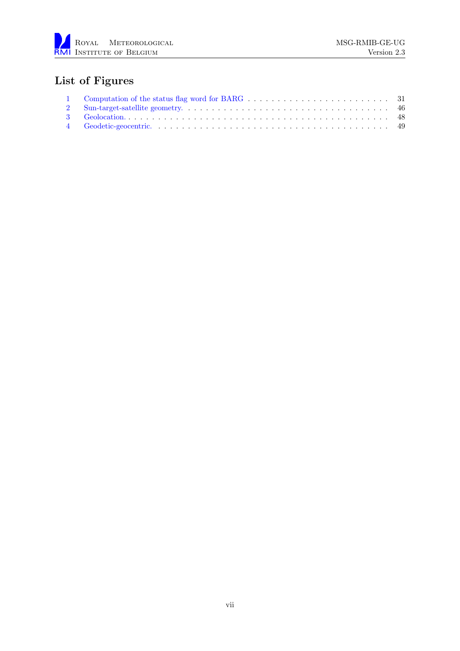

# List of Figures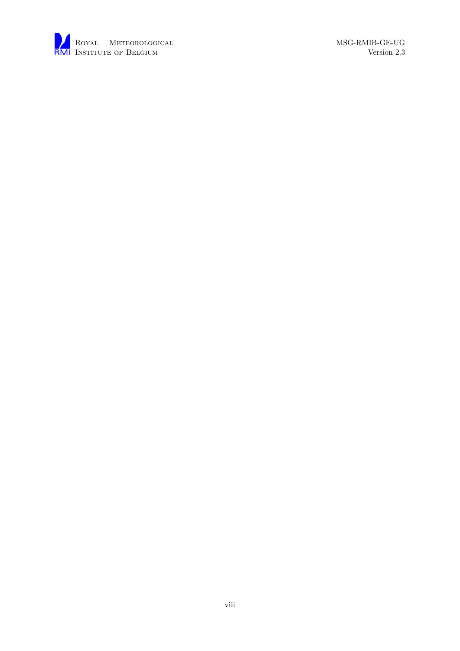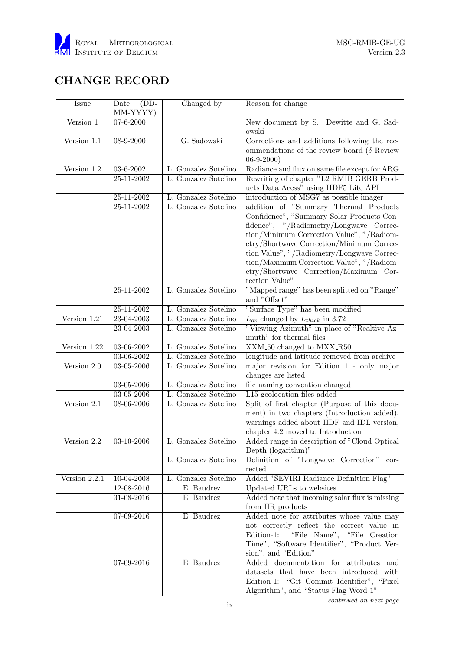# CHANGE RECORD

| <b>Issue</b>                    | Date<br>$(DD-$   | Changed by           | Reason for change                                  |
|---------------------------------|------------------|----------------------|----------------------------------------------------|
|                                 | MM-YYYY)         |                      |                                                    |
| $\overline{\text{Version 1}}$   | 07-6-2000        |                      | New document by S. Dewitte and G. Sad-             |
|                                 |                  |                      | owski                                              |
| $\overline{\text{Version 1.1}}$ | $08 - 9 - 2000$  | G. Sadowski          | Corrections and additions following the rec-       |
|                                 |                  |                      | ommendations of the review board ( $\delta$ Review |
|                                 |                  |                      | $06 - 9 - 2000$                                    |
| Version 1.2                     | 03-6-2002        | L. Gonzalez Sotelino | Radiance and flux on same file except for ARG      |
|                                 | 25-11-2002       | L. Gonzalez Sotelino | Rewriting of chapter "L2 RMIB GERB Prod-           |
|                                 |                  |                      | ucts Data Acess" using HDF5 Lite API               |
|                                 | 25-11-2002       | L. Gonzalez Sotelino | introduction of MSG7 as possible imager            |
|                                 | $25 - 11 - 2002$ | L. Gonzalez Sotelino | addition of "Summary Thermal Products              |
|                                 |                  |                      | Confidence", "Summary Solar Products Con-          |
|                                 |                  |                      | fidence", "/Radiometry/Longwave Correc-            |
|                                 |                  |                      | tion/Minimum Correction Value", "/Radiom-          |
|                                 |                  |                      | etry/Shortwave Correction/Minimum Correc-          |
|                                 |                  |                      | tion Value", "/Radiometry/Longwave Correc-         |
|                                 |                  |                      | tion/Maximum Correction Value", "/Radiom-          |
|                                 |                  |                      | etry/Shortwave Correction/Maximum Cor-             |
|                                 |                  |                      | rection Value"                                     |
|                                 | $25 - 11 - 2002$ | L. Gonzalez Sotelino | "Mapped range" has been splitted on "Range"        |
|                                 |                  |                      | and "Offset"                                       |
|                                 | $25 - 11 - 2002$ | L. Gonzalez Sotelino | "Surface Type" has been modified                   |
| Version 1.21                    | 23-04-2003       | L. Gonzalez Sotelino | $L_{ov}$ changed by $L_{thick}$ in 3.72            |
|                                 | 23-04-2003       | L. Gonzalez Sotelino | "Viewing Azimuth" in place of "Realtive Az-        |
|                                 |                  |                      | imuth" for thermal files                           |
| Version 1.22                    | 03-06-2002       | L. Gonzalez Sotelino | XXM <sub>-50</sub> changed to MXX <sub>-R50</sub>  |
|                                 | 03-06-2002       | L. Gonzalez Sotelino | longitude and latitude removed from archive        |
| $\overline{\text{Version 2.0}}$ | 03-05-2006       | L. Gonzalez Sotelino | major revision for Edition 1 - only major          |
|                                 |                  |                      | changes are listed                                 |
|                                 | $03-05-2006$     | L. Gonzalez Sotelino | file naming convention changed                     |
|                                 | 03-05-2006       | L. Gonzalez Sotelino | L15 geolocation files added                        |
| $\overline{\text{Version 2.1}}$ | 08-06-2006       | L. Gonzalez Sotelino | Split of first chapter (Purpose of this docu-      |
|                                 |                  |                      | ment) in two chapters (Introduction added),        |
|                                 |                  |                      | warnings added about HDF and IDL version,          |
|                                 |                  |                      | chapter 4.2 moved to Introduction                  |
| Version 2.2                     | $03 - 10 - 2006$ | L. Gonzalez Sotelino | Added range in description of "Cloud Optical       |
|                                 |                  |                      | Depth (logarithm)"                                 |
|                                 |                  | L. Gonzalez Sotelino | Definition of "Longwave Correction" cor-           |
|                                 |                  |                      | rected                                             |
| Version 2.2.1                   | 10-04-2008       | L. Gonzalez Sotelino | Added "SEVIRI Radiance Definition Flag"            |
|                                 | 12-08-2016       | E. Baudrez           | Updated URLs to websites                           |
|                                 | 31-08-2016       | E. Baudrez           | Added note that incoming solar flux is missing     |
|                                 |                  |                      | from HR products                                   |
|                                 | 07-09-2016       | E. Baudrez           | Added note for attributes whose value may          |
|                                 |                  |                      | not correctly reflect the correct value in         |
|                                 |                  |                      | "File Name", "File Creation<br>Edition-1:          |
|                                 |                  |                      | Time", "Software Identifier", "Product Ver-        |
|                                 |                  |                      | sion", and "Edition"                               |
|                                 | 07-09-2016       | E. Baudrez           | Added documentation for attributes and             |
|                                 |                  |                      | datasets that have been introduced with            |
|                                 |                  |                      | Edition-1: "Git Commit Identifier", "Pixel         |
|                                 |                  |                      | Algorithm", and "Status Flag Word 1"               |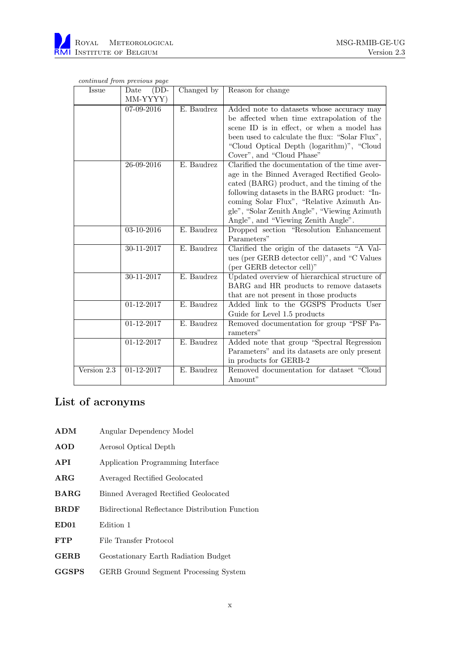| continued from previous page |  |  |  |  |
|------------------------------|--|--|--|--|
|------------------------------|--|--|--|--|

| Issue         | $(DD-$<br>Date   | Changed by | Reason for change                              |
|---------------|------------------|------------|------------------------------------------------|
|               | MM-YYYY)         |            |                                                |
|               | $07-09-2016$     | E. Baudrez | Added note to datasets whose accuracy may      |
|               |                  |            | be affected when time extrapolation of the     |
|               |                  |            | scene ID is in effect, or when a model has     |
|               |                  |            | been used to calculate the flux: "Solar Flux", |
|               |                  |            | "Cloud Optical Depth (logarithm)", "Cloud      |
|               |                  |            | Cover", and "Cloud Phase"                      |
|               | 26-09-2016       | E. Baudrez | Clarified the documentation of the time aver-  |
|               |                  |            | age in the Binned Averaged Rectified Geolo-    |
|               |                  |            | cated (BARG) product, and the timing of the    |
|               |                  |            | following datasets in the BARG product: "In-   |
|               |                  |            | coming Solar Flux", "Relative Azimuth An-      |
|               |                  |            | gle", "Solar Zenith Angle", "Viewing Azimuth"  |
|               |                  |            | Angle", and "Viewing Zenith Angle".            |
|               | 03-10-2016       | E. Baudrez | Dropped section "Resolution Enhancement        |
|               |                  |            | Parameters"                                    |
|               | $30 - 11 - 2017$ | E. Baudrez | Clarified the origin of the datasets "A Val-   |
|               |                  |            | ues (per GERB detector cell)", and "C Values   |
|               |                  |            | (per GERB detector cell)"                      |
|               | $30 - 11 - 2017$ | E. Baudrez | Updated overview of hierarchical structure of  |
|               |                  |            | BARG and HR products to remove datasets        |
|               |                  |            | that are not present in those products         |
|               | $01 - 12 - 2017$ | E. Baudrez | Added link to the GGSPS Products User          |
|               |                  |            | Guide for Level 1.5 products                   |
|               | $01 - 12 - 2017$ | E. Baudrez | Removed documentation for group "PSF Pa-       |
|               |                  |            | rameters"                                      |
|               | 01-12-2017       | E. Baudrez | Added note that group "Spectral Regression     |
|               |                  |            | Parameters" and its datasets are only present  |
|               |                  |            | in products for GERB-2                         |
| $Version$ 2.3 | 01-12-2017       | E. Baudrez | Removed documentation for dataset "Cloud       |
|               |                  |            | Amount"                                        |

# <span id="page-11-0"></span>List of acronyms

- ADM Angular Dependency Model
- AOD Aerosol Optical Depth
- API Application Programming Interface
- ARG Averaged Rectified Geolocated
- BARG Binned Averaged Rectified Geolocated
- BRDF Bidirectional Reflectance Distribution Function
- ED01 Edition 1
- FTP File Transfer Protocol
- GERB Geostationary Earth Radiation Budget
- GGSPS GERB Ground Segment Processing System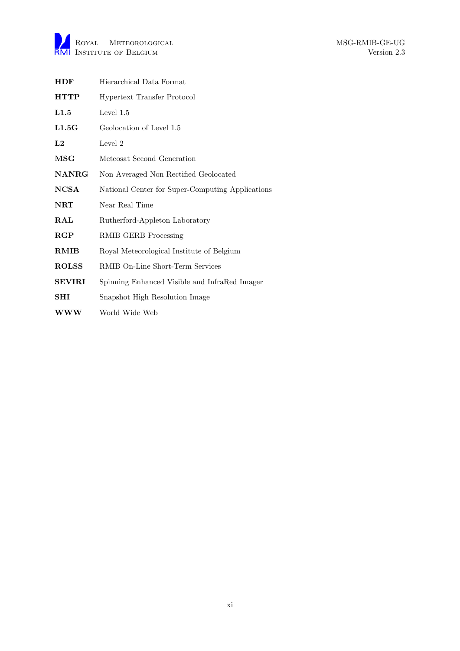| HDF<br>Hierarchical Data Format                          |                                                  |
|----------------------------------------------------------|--------------------------------------------------|
| <b>HTTP</b><br>Hypertext Transfer Protocol               |                                                  |
| L1.5<br>Level $1.5$                                      |                                                  |
| L1.5G<br>Geolocation of Level 1.5                        |                                                  |
| L2                                                       | Level 2                                          |
| $_{\rm{MSG}}$<br>Meteosat Second Generation              |                                                  |
| <b>NANRG</b><br>Non Averaged Non Rectified Geolocated    |                                                  |
| <b>NCSA</b>                                              | National Center for Super-Computing Applications |
| $\overline{\text{NRT}}$                                  | Near Real Time                                   |
| $\mathbf{RAL}$                                           | Rutherford-Appleton Laboratory                   |
| RGP                                                      | RMIB GERB Processing                             |
| <b>RMIB</b><br>Royal Meteorological Institute of Belgium |                                                  |
| <b>ROLSS</b>                                             | RMIB On-Line Short-Term Services                 |
| <b>SEVIRI</b>                                            | Spinning Enhanced Visible and InfraRed Imager    |
| SHI                                                      | Snapshot High Resolution Image                   |
| <b>WWW</b><br>World Wide Web                             |                                                  |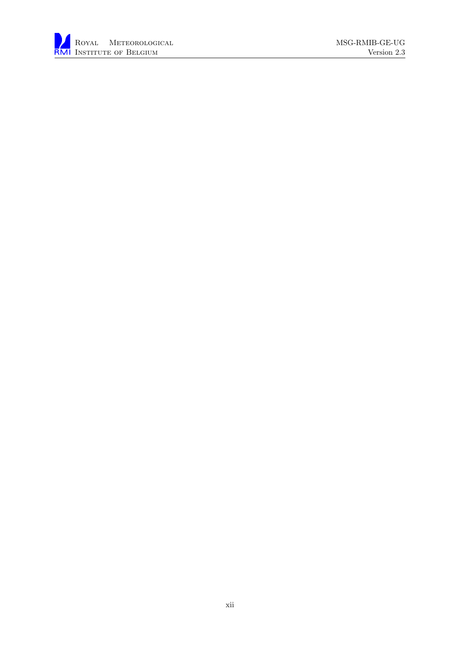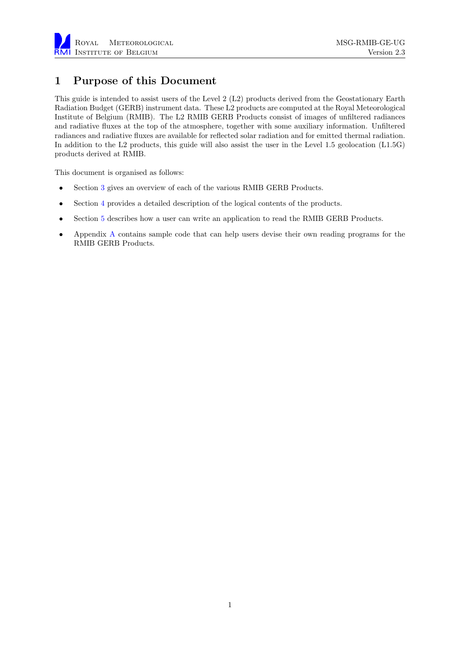### <span id="page-14-0"></span>1 Purpose of this Document

This guide is intended to assist users of the Level 2 (L2) products derived from the Geostationary Earth Radiation Budget (GERB) instrument data. These L2 products are computed at the Royal Meteorological Institute of Belgium (RMIB). The L2 RMIB GERB Products consist of images of unfiltered radiances and radiative fluxes at the top of the atmosphere, together with some auxiliary information. Unfiltered radiances and radiative fluxes are available for reflected solar radiation and for emitted thermal radiation. In addition to the L2 products, this guide will also assist the user in the Level 1.5 geolocation (L1.5G) products derived at RMIB.

This document is organised as follows:

- Section [3](#page-16-0) gives an overview of each of the various RMIB GERB Products.
- Section [4](#page-36-0) provides a detailed description of the logical contents of the products.
- Section [5](#page-83-0) describes how a user can write an application to read the RMIB GERB Products.
- Appendix [A](#page-93-0) contains sample code that can help users devise their own reading programs for the RMIB GERB Products.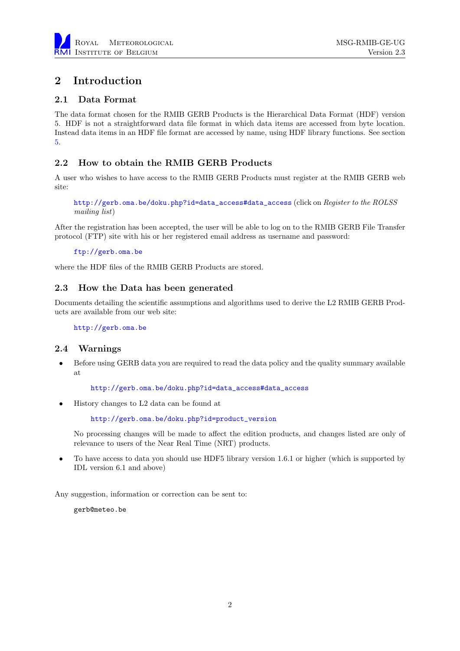## <span id="page-15-0"></span>2 Introduction

#### <span id="page-15-1"></span>2.1 Data Format

The data format chosen for the RMIB GERB Products is the Hierarchical Data Format (HDF) version 5. HDF is not a straightforward data file format in which data items are accessed from byte location. Instead data items in an HDF file format are accessed by name, using HDF library functions. See section [5.](#page-83-0)

#### <span id="page-15-2"></span>2.2 How to obtain the RMIB GERB Products

A user who wishes to have access to the RMIB GERB Products must register at the RMIB GERB web site:

[http://gerb.oma.be/doku.php?id=data\\_access#data\\_access](http://gerb.oma.be/doku.php?id=data_access#data_access) (click on Register to the ROLSS mailing list)

After the registration has been accepted, the user will be able to log on to the RMIB GERB File Transfer protocol (FTP) site with his or her registered email address as username and password:

<ftp://gerb.oma.be>

where the HDF files of the RMIB GERB Products are stored.

#### <span id="page-15-3"></span>2.3 How the Data has been generated

Documents detailing the scientific assumptions and algorithms used to derive the L2 RMIB GERB Products are available from our web site:

<http://gerb.oma.be>

#### <span id="page-15-4"></span>2.4 Warnings

• Before using GERB data you are required to read the data policy and the quality summary available at

[http://gerb.oma.be/doku.php?id=data\\_access#data\\_access](http://gerb.oma.be/doku.php?id=data_access#data_access)

• History changes to L2 data can be found at

[http://gerb.oma.be/doku.php?id=product\\_version](http://gerb.oma.be/doku.php?id=product_version)

No processing changes will be made to affect the edition products, and changes listed are only of relevance to users of the Near Real Time (NRT) products.

• To have access to data you should use HDF5 library version 1.6.1 or higher (which is supported by IDL version 6.1 and above)

Any suggestion, information or correction can be sent to:

gerb@meteo.be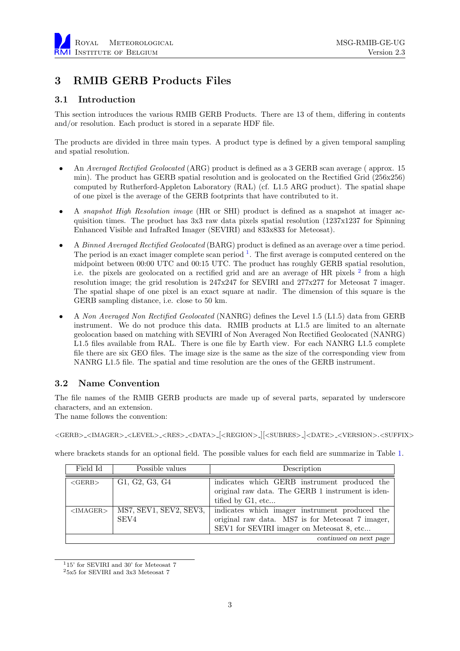# <span id="page-16-0"></span>3 RMIB GERB Products Files

#### <span id="page-16-1"></span>3.1 Introduction

This section introduces the various RMIB GERB Products. There are 13 of them, differing in contents and/or resolution. Each product is stored in a separate HDF file.

The products are divided in three main types. A product type is defined by a given temporal sampling and spatial resolution.

- An Averaged Rectified Geolocated (ARG) product is defined as a 3 GERB scan average ( approx. 15 min). The product has GERB spatial resolution and is geolocated on the Rectified Grid (256x256) computed by Rutherford-Appleton Laboratory (RAL) (cf. L1.5 ARG product). The spatial shape of one pixel is the average of the GERB footprints that have contributed to it.
- A *snapshot High Resolution image* (HR or SHI) product is defined as a snapshot at imager acquisition times. The product has  $3x3$  raw data pixels spatial resolution (1237x1237 for Spinning Enhanced Visible and InfraRed Imager (SEVIRI) and 833x833 for Meteosat).
- A Binned Averaged Rectified Geolocated (BARG) product is defined as an average over a time period. The period is an exact imager complete scan period  $<sup>1</sup>$  $<sup>1</sup>$  $<sup>1</sup>$ . The first average is computed centered on the</sup> midpoint between 00:00 UTC and 00:15 UTC. The product has roughly GERB spatial resolution, i.e. the pixels are geolocated on a rectified grid and are an average of HR pixels  $^2$  $^2$  from a high resolution image; the grid resolution is 247x247 for SEVIRI and 277x277 for Meteosat 7 imager. The spatial shape of one pixel is an exact square at nadir. The dimension of this square is the GERB sampling distance, i.e. close to 50 km.
- A Non Averaged Non Rectified Geolocated (NANRG) defines the Level 1.5 (L1.5) data from GERB instrument. We do not produce this data. RMIB products at L1.5 are limited to an alternate geolocation based on matching with SEVIRI of Non Averaged Non Rectified Geolocated (NANRG) L1.5 files available from RAL. There is one file by Earth view. For each NANRG L1.5 complete file there are six GEO files. The image size is the same as the size of the corresponding view from NANRG L1.5 file. The spatial and time resolution are the ones of the GERB instrument.

#### <span id="page-16-2"></span>3.2 Name Convention

The file names of the RMIB GERB products are made up of several parts, separated by underscore characters, and an extension.

The name follows the convention:

<GERB> <IMAGER> <LEVEL> <RES> <DATA> [<REGION> ][<SUBRES> ]<DATE> <VERSION>.<SUFFIX>

where brackets stands for an optional field. The possible values for each field are summarize in Table [1.](#page-16-3)

<span id="page-16-3"></span>

| Field Id       | Possible values                | Description                                                                                                                                     |
|----------------|--------------------------------|-------------------------------------------------------------------------------------------------------------------------------------------------|
| $<$ GERB $>$   | G1, G2, G3, G4                 | indicates which GERB instrument produced the<br>original raw data. The GERB 1 instrument is iden-<br>tified by G1, etc                          |
| $<$ IMAGER $>$ | MS7, SEV1, SEV2, SEV3,<br>SEV4 | indicates which imager instrument produced the<br>original raw data. MS7 is for Meteosat 7 imager,<br>SEV1 for SEVIRI imager on Meteosat 8, etc |
|                |                                | continued on next page                                                                                                                          |

<span id="page-16-4"></span> $115'$  for SEVIRI and 30' for Meteosat 7

<span id="page-16-5"></span> $^2 5 \mathrm{x} 5$  for SEVIRI and 3x3 Meteosat  $7$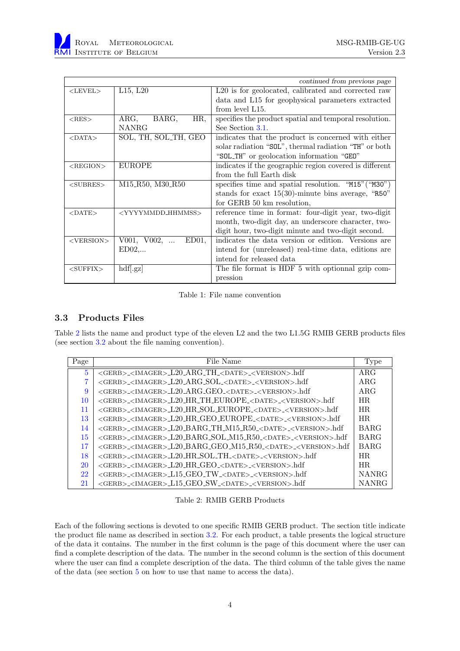|                                      |                                     | continued from previous page                            |
|--------------------------------------|-------------------------------------|---------------------------------------------------------|
| $<$ LEVEL $>$                        | L15, L20                            | L20 is for geolocated, calibrated and corrected raw     |
|                                      |                                     | data and L15 for geophysical parameters extracted       |
|                                      |                                     | from level L15.                                         |
| $<$ RES $>$                          | $\rm{ARG.}$<br>BARG,<br>HR,         | specifies the product spatial and temporal resolution.  |
|                                      | <b>NANRG</b>                        | See Section 3.1.                                        |
| SOL, TH, SOL_TH, GEO<br>$<$ DATA $>$ |                                     | indicates that the product is concerned with either     |
|                                      |                                     | solar radiation "SOL", thermal radiation "TH" or both   |
|                                      |                                     | "SOL_TH" or geolocation information "GEO"               |
| $<$ REGION $>$                       | <b>EUROPE</b>                       | indicates if the geographic region covered is different |
|                                      |                                     | from the full Earth disk                                |
| $<$ SUBRES $>$                       | M15_R50, M30_R50                    | specifies time and spatial resolution. "M15" ("M30")    |
|                                      |                                     | stands for exact $15(30)$ -minute bins average, "R50"   |
|                                      |                                     | for GERB 50 km resolution,                              |
| $<$ DATE $>$                         | <yyyymmdd_hhmmss></yyyymmdd_hhmmss> | reference time in format: four-digit year, two-digit    |
|                                      |                                     | month, two-digit day, an underscore character, two-     |
|                                      |                                     | digit hour, two-digit minute and two-digit second.      |
| $<$ VERSION $>$                      | V001, V002,<br>$ED01$ ,             | indicates the data version or edition. Versions are     |
|                                      | ED02,                               | intend for (unreleased) real-time data, editions are    |
|                                      |                                     | intend for released data                                |
| $<$ SUFFIX $>$                       | hdf[.gz]                            | The file format is HDF 5 with optionnal gzip com-       |
|                                      |                                     | pression                                                |

Table 1: File name convention

#### <span id="page-17-0"></span>3.3 Products Files

Table [2](#page-17-1) lists the name and product type of the eleven L2 and the two L1.5G RMIB GERB products files (see section [3.2](#page-16-2) about the file naming convention).

| Page | File Name                                                                                  | Type        |
|------|--------------------------------------------------------------------------------------------|-------------|
| 5    | <gerb>_<imager>L20_ARG_TH_<date>_<version>.hdf</version></date></imager></gerb>            | ARG         |
| 7    | <gerb>_<imager>_L20_ARG_SOL_<date>_<version>.hdf</version></date></imager></gerb>          | ARG         |
| 9    | <gerb>_<imager>L20_ARG_GEO_<date>_<version>.hdf</version></date></imager></gerb>           | ARG         |
| 10   | <gerb>_<imager>_L20_HR_TH_EUROPE_<date>_<version>.hdf</version></date></imager></gerb>     | HR.         |
| 11   | <gerb>_<imager>_L20_HR_SOL_EUROPE_<date>_<version>.hdf</version></date></imager></gerb>    | HR.         |
| 13   | $\langle$ GERB> $\langle$ IMAGER> L20 HR GEO EUROPE $\langle$ DATE> $\langle$ VERSION>.hdf | HR.         |
| 14   | <gerb>_<imager>_L20_BARG_TH_M15_R50_<date>_<version>.hdf</version></date></imager></gerb>  | <b>BARG</b> |
| 15   | <gerb>_<imager>L20_BARG_SOL_M15_R50_<date>_<version>.hdf</version></date></imager></gerb>  | <b>BARG</b> |
| 17   | <gerb>_<imager>L20_BARG_GEO_M15_R50_<date>_<version>.hdf</version></date></imager></gerb>  | <b>BARG</b> |
| 18   | <gerb>_<imager>L20_HR_SOL_TH_<date>_<version>.hdf</version></date></imager></gerb>         | HR.         |
| 20   | <gerb>_<imager>L20_HR_GEO_<date>_<version>.hdf</version></date></imager></gerb>            | HR.         |
| 22   | <gerb>_<imager>_L15_GEO_TW_<date>_<version>.hdf</version></date></imager></gerb>           | NANRG       |
| 21   | <gerb>_<imager>_L15_GEO_SW_<date>_<version>.hdf</version></date></imager></gerb>           | NANRG       |

<span id="page-17-1"></span>Table 2: RMIB GERB Products

Each of the following sections is devoted to one specific RMIB GERB product. The section title indicate the product file name as described in section [3.2.](#page-16-2) For each product, a table presents the logical structure of the data it contains. The number in the first column is the page of this document where the user can find a complete description of the data. The number in the second column is the section of this document where the user can find a complete description of the data. The third column of the table gives the name of the data (see section [5](#page-83-0) on how to use that name to access the data).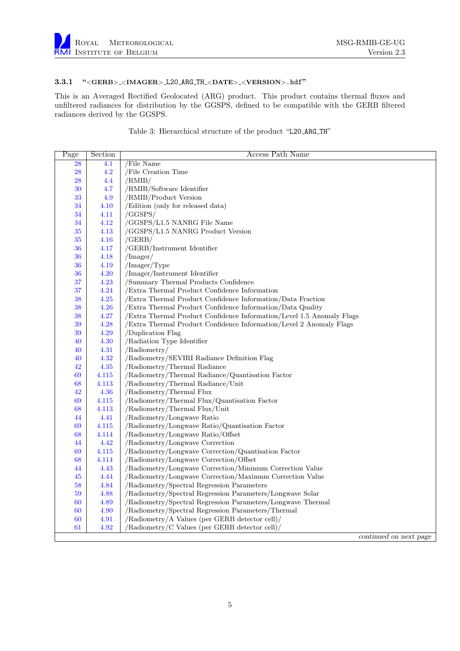#### <span id="page-18-0"></span> ${\bf 3.3.1} \quad ``**GERB>_{<}{\bf IMAGER}>_{<}{\bf L20\_ARG\_TH_<{DATE}>_{<}{\bf VERSION}>\\, {\bf hdf"}**$

This is an Averaged Rectified Geolocated (ARG) product. This product contains thermal fluxes and unfiltered radiances for distribution by the GGSPS, defined to be compatible with the GERB filtered radiances derived by the GGSPS.

#### Table 3: Hierarchical structure of the product "L20 ARG TH"

<span id="page-18-1"></span>

| Page            | Section | <b>Access Path Name</b>                                               |
|-----------------|---------|-----------------------------------------------------------------------|
| $\overline{28}$ | 4.1     | $/$ File Name                                                         |
| 28              | 4.2     | /File Creation Time                                                   |
| ${\bf 28}$      | 4.4     | /RMIB/                                                                |
| 30              | 4.7     | /RMIB/Software Identifier                                             |
| 33              | 4.9     | /RMIB/Product Version                                                 |
| 34              | 4.10    | /Edition (only for released data)                                     |
| 34              | 4.11    | /GGSPS/                                                               |
| 34              | 4.12    | /GGSPS/L1.5 NANRG File Name                                           |
| 35              | 4.13    | /GGSPS/L1.5 NANRG Product Version                                     |
| 35              | 4.16    | $/$ GERB $/$                                                          |
| 36              | 4.17    | /GERB/Instrument Identifier                                           |
| 36              | 4.18    | $/$ Imager $/$                                                        |
| 36              | 4.19    | $/$ Imager $/$ Type                                                   |
| 36              | 4.20    | /Imager/Instrument Identifier                                         |
| 37              | 4.23    | /Summary Thermal Products Confidence                                  |
| 37              | 4.24    | /Extra Thermal Product Confidence Information                         |
| 38              | 4.25    | /Extra Thermal Product Confidence Information/Data Fraction           |
| 38              | 4.26    | /Extra Thermal Product Confidence Information/Data Quality            |
| 38              | 4.27    | /Extra Thermal Product Confidence Information/Level 1.5 Anomaly Flags |
| 39              | 4.28    | /Extra Thermal Product Confidence Information/Level 2 Anomaly Flags   |
| 39              | 4.29    | /Duplication Flag                                                     |
| 40              | 4.30    | /Radiation Type Identifier                                            |
| 40              | 4.31    | /Radiometry/                                                          |
| 40              | 4.32    | /Radiometry/SEVIRI Radiance Definition Flag                           |
| 42              | 4.35    | /Radiometry/Thermal Radiance                                          |
| 69              | 4.115   | /Radiometry/Thermal Radiance/Quantisation Factor                      |
| 68              | 4.113   | /Radiometry/Thermal Radiance/Unit                                     |
| 42              | 4.36    | /Radiometry/Thermal Flux                                              |
| 69              | 4.115   | /Radiometry/Thermal Flux/Quantisation Factor                          |
| 68              | 4.113   | /Radiometry/Thermal Flux/Unit                                         |
| 44              | 4.41    | /Radiometry/Longwave Ratio                                            |
| 69              | 4.115   | /Radiometry/Longwave Ratio/Quantisation Factor                        |
| 68              | 4.114   | /Radiometry/Longwave Ratio/Offset                                     |
| 44              | 4.42    | /Radiometry/Longwave Correction                                       |
| 69              | 4.115   | /Radiometry/Longwave Correction/Quantisation Factor                   |
| 68              | 4.114   | /Radiometry/Longwave Correction/Offset                                |
| 44              | 4.43    | /Radiometry/Longwave Correction/Minimum Correction Value              |
| 45              | 4.44    | /Radiometry/Longwave Correction/Maximum Correction Value              |
| 58              | 4.84    | /Radiometry/Spectral Regression Parameters                            |
| 59              | 4.88    | /Radiometry/Spectral Regression Parameters/Longwave Solar             |
| 60              | 4.89    | /Radiometry/Spectral Regression Parameters/Longwave Thermal           |
| 60              | 4.90    | /Radiometry/Spectral Regression Parameters/Thermal                    |
| 60              | 4.91    | /Radiometry/A Values (per GERB detector cell)/                        |
| 61              | 4.92    | /Radiometry/C Values (per GERB detector cell)/                        |
|                 |         | continued on next page                                                |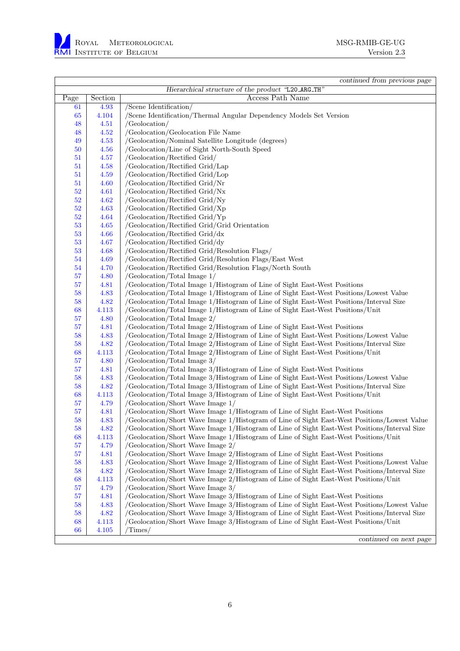|        |          | continued from previous page                                                                 |
|--------|----------|----------------------------------------------------------------------------------------------|
|        |          | Hierarchical structure of the product "L20_ARG_TH"                                           |
| Page   | Section  | Access Path Name                                                                             |
| 61     | 4.93     | /Scene Identification/                                                                       |
| 65     | 4.104    | /Scene Identification/Thermal Angular Dependency Models Set Version                          |
| 48     | 4.51     | /Geolocation/                                                                                |
| 48     | 4.52     | /Geolocation/Geolocation File Name                                                           |
| 49     | 4.53     | /Geolocation/Nominal Satellite Longitude (degrees)                                           |
| 50     | 4.56     | /Geolocation/Line of Sight North-South Speed                                                 |
| 51     | $4.57\,$ | /Geolocation/Rectified Grid/                                                                 |
| 51     | 4.58     | /Geolocation/Rectified Grid/Lap                                                              |
| 51     | 4.59     | /Geolocation/Rectified Grid/Lop                                                              |
| 51     | 4.60     | /Geolocation/Rectified Grid/Nr                                                               |
| $52\,$ | 4.61     | /Geolocation/Rectified Grid/Nx                                                               |
| $52\,$ | 4.62     | /Geolocation/Rectified Grid/Ny                                                               |
| $52\,$ | 4.63     | /Geolocation/Rectified Grid/Xp                                                               |
| 52     | 4.64     | /Geolocation/Rectified Grid/Yp                                                               |
| 53     | 4.65     | /Geolocation/Rectified Grid/Grid Orientation                                                 |
| 53     | 4.66     | /Geolocation/Rectified Grid/dx                                                               |
| 53     | 4.67     | /Geolocation/Rectified Grid/dy                                                               |
| 53     | 4.68     | /Geolocation/Rectified Grid/Resolution Flags/                                                |
| 54     | 4.69     | /Geolocation/Rectified Grid/Resolution Flags/East West                                       |
| 54     | 4.70     | /Geolocation/Rectified Grid/Resolution Flags/North South                                     |
| 57     | 4.80     | /Geolocation/Total Image 1/                                                                  |
| 57     | 4.81     | /Geolocation/Total Image 1/Histogram of Line of Sight East-West Positions                    |
| 58     | 4.83     | /Geolocation/Total Image 1/Histogram of Line of Sight East-West Positions/Lowest Value       |
| 58     | 4.82     | /Geolocation/Total Image 1/Histogram of Line of Sight East-West Positions/Interval Size      |
| 68     | 4.113    | /Geolocation/Total Image 1/Histogram of Line of Sight East-West Positions/Unit               |
| 57     | 4.80     | /Geolocation/Total Image 2/                                                                  |
| 57     | 4.81     | /Geolocation/Total Image 2/Histogram of Line of Sight East-West Positions                    |
| 58     | 4.83     | /Geolocation/Total Image 2/Histogram of Line of Sight East-West Positions/Lowest Value       |
| 58     | 4.82     | /Geolocation/Total Image 2/Histogram of Line of Sight East-West Positions/Interval Size      |
| 68     | 4.113    | /Geolocation/Total Image 2/Histogram of Line of Sight East-West Positions/Unit               |
| 57     | 4.80     | /Geolocation/Total Image 3/                                                                  |
| 57     | 4.81     | /Geolocation/Total Image 3/Histogram of Line of Sight East-West Positions                    |
| 58     | 4.83     | /Geolocation/Total Image 3/Histogram of Line of Sight East-West Positions/Lowest Value       |
| 58     | 4.82     | /Geolocation/Total Image 3/Histogram of Line of Sight East-West Positions/Interval Size      |
| 68     | 4.113    | /Geolocation/Total Image 3/Histogram of Line of Sight East-West Positions/Unit               |
| 57     | 4.79     | /Geolocation/Short Wave Image 1/                                                             |
| 57     | 4.81     | /Geolocation/Short Wave Image 1/Histogram of Line of Sight East-West Positions               |
| 58     | 4.83     | Geolocation/Short Wave Image 1/Histogram of Line of Sight East-West Positions/Lowest Value   |
| 58     | 4.82     | /Geolocation/Short Wave Image 1/Histogram of Line of Sight East-West Positions/Interval Size |
| 68     | 4.113    | /Geolocation/Short Wave Image 1/Histogram of Line of Sight East-West Positions/Unit          |
| 57     | 4.79     | /Geolocation/Short Wave Image 2/                                                             |
| 57     | 4.81     | /Geolocation/Short Wave Image 2/Histogram of Line of Sight East-West Positions               |
| 58     | 4.83     | (Geolocation/Short Wave Image 2/Histogram of Line of Sight East-West Positions/Lowest Value  |
| 58     | 4.82     | /Geolocation/Short Wave Image 2/Histogram of Line of Sight East-West Positions/Interval Size |
| 68     | 4.113    | /Geolocation/Short Wave Image 2/Histogram of Line of Sight East-West Positions/Unit          |
| 57     | 4.79     | /Geolocation/Short Wave Image $3/$                                                           |
| 57     | 4.81     | /Geolocation/Short Wave Image 3/Histogram of Line of Sight East-West Positions               |
| 58     | 4.83     | /Geolocation/Short Wave Image 3/Histogram of Line of Sight East-West Positions/Lowest Value  |
| 58     | 4.82     | /Geolocation/Short Wave Image 3/Histogram of Line of Sight East-West Positions/Interval Size |
| 68     | 4.113    | /Geolocation/Short Wave Image 3/Histogram of Line of Sight East-West Positions/Unit          |
| 66     | 4.105    | $/ \mathrm{Times} /$                                                                         |

continued on next page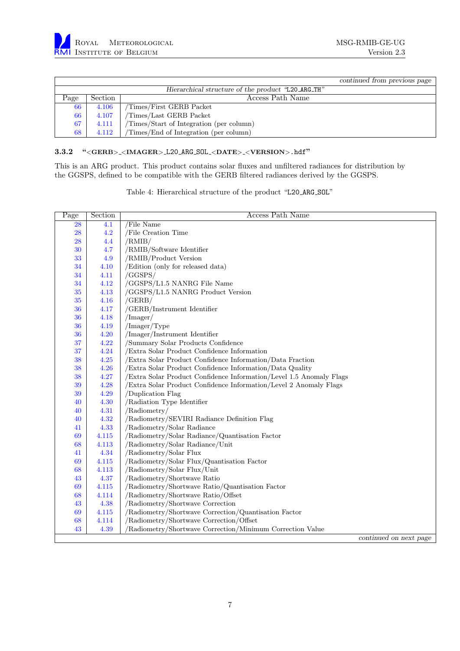|      |         |                                                    | continued from previous page |
|------|---------|----------------------------------------------------|------------------------------|
|      |         | Hierarchical structure of the product "L20_ARG_TH" |                              |
| Page | Section | Access Path Name                                   |                              |
| 66   | 4.106   | Times/First GERB Packet                            |                              |
| 66   | 4.107   | Times/Last GERB Packet                             |                              |
| 67   | 4.111   | Times/Start of Integration (per column)            |                              |
| 68   | 4.112   | Times/End of Integration (per column)              |                              |

#### <span id="page-20-0"></span>3.3.2 "<GERB> <IMAGER> L20 ARG SOL <DATE> <VERSION>.hdf"

This is an ARG product. This product contains solar fluxes and unfiltered radiances for distribution by the GGSPS, defined to be compatible with the GERB filtered radiances derived by the GGSPS.

Table 4: Hierarchical structure of the product "L20 ARG SOL"

<span id="page-20-1"></span>

| Page      | Section | <b>Access Path Name</b>                                             |                        |
|-----------|---------|---------------------------------------------------------------------|------------------------|
| 28        | 4.1     | /File Name                                                          |                        |
| <b>28</b> | 4.2     | /File Creation Time                                                 |                        |
| 28        | 4.4     | /RMIB/                                                              |                        |
| 30        | 4.7     | /RMIB/Software Identifier                                           |                        |
| 33        | 4.9     | /RMIB/Product Version                                               |                        |
| 34        | 4.10    | /Edition (only for released data)                                   |                        |
| 34        | 4.11    | /GGSPS/                                                             |                        |
| 34        | 4.12    | /GGSPS/L1.5 NANRG File Name                                         |                        |
| 35        | 4.13    | /GGSPS/L1.5 NANRG Product Version                                   |                        |
| 35        | 4.16    | $/$ GERB $/$                                                        |                        |
| 36        | 4.17    | /GERB/Instrument Identifier                                         |                        |
| 36        | 4.18    | $/$ Imager $/$                                                      |                        |
| 36        | 4.19    | $/$ Imager $/$ Type                                                 |                        |
| 36        | 4.20    | /Imager/Instrument Identifier                                       |                        |
| 37        | 4.22    | /Summary Solar Products Confidence                                  |                        |
| 37        | 4.24    | /Extra Solar Product Confidence Information                         |                        |
| 38        | 4.25    | /Extra Solar Product Confidence Information/Data Fraction           |                        |
| 38        | 4.26    | /Extra Solar Product Confidence Information/Data Quality            |                        |
| 38        | 4.27    | /Extra Solar Product Confidence Information/Level 1.5 Anomaly Flags |                        |
| 39        | 4.28    | /Extra Solar Product Confidence Information/Level 2 Anomaly Flags   |                        |
| 39        | 4.29    | /Duplication Flag                                                   |                        |
| 40        | 4.30    | /Radiation Type Identifier                                          |                        |
| 40        | 4.31    | /Radiometry/                                                        |                        |
| 40        | 4.32    | /Radiometry/SEVIRI Radiance Definition Flag                         |                        |
| 41        | 4.33    | /Radiometry/Solar Radiance                                          |                        |
| 69        | 4.115   | /Radiometry/Solar Radiance/Quantisation Factor                      |                        |
| 68        | 4.113   | /Radiometry/Solar Radiance/Unit                                     |                        |
| 41        | 4.34    | /Radiometry/Solar Flux                                              |                        |
| 69        | 4.115   | /Radiometry/Solar Flux/Quantisation Factor                          |                        |
| 68        | 4.113   | /Radiometry/Solar Flux/Unit                                         |                        |
| 43        | 4.37    | /Radiometry/Shortwave Ratio                                         |                        |
| 69        | 4.115   | /Radiometry/Shortwave Ratio/Quantisation Factor                     |                        |
| 68        | 4.114   | /Radiometry/Shortwave Ratio/Offset                                  |                        |
| 43        | 4.38    | /Radiometry/Shortwave Correction                                    |                        |
| 69        | 4.115   | /Radiometry/Shortwave Correction/Quantisation Factor                |                        |
| 68        | 4.114   | /Radiometry/Shortwave Correction/Offset                             |                        |
| 43        | 4.39    | /Radiometry/Shortwave Correction/Minimum Correction Value           |                        |
|           |         |                                                                     | continued on next page |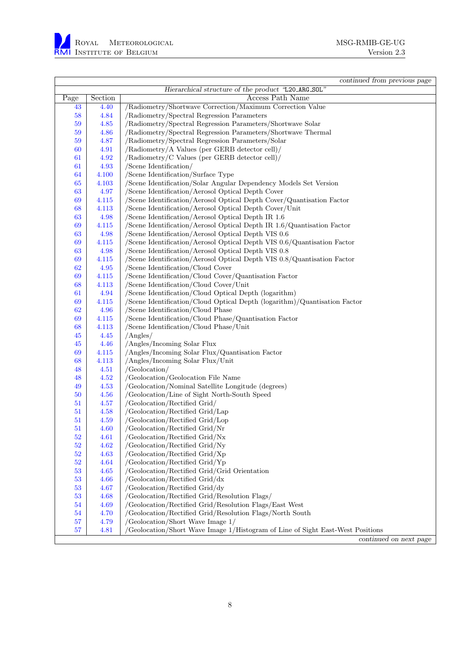|        |          | continued from previous page                                                   |
|--------|----------|--------------------------------------------------------------------------------|
|        |          | Hierarchical structure of the product "L20_ARG_SOL"                            |
| Page   | Section  | Access Path Name                                                               |
| 43     | 4.40     | /Radiometry/Shortwave Correction/Maximum Correction Value                      |
| 58     | 4.84     | /Radiometry/Spectral Regression Parameters                                     |
| 59     | 4.85     | /Radiometry/Spectral Regression Parameters/Shortwave Solar                     |
| 59     | 4.86     | /Radiometry/Spectral Regression Parameters/Shortwave Thermal                   |
| 59     | 4.87     | /Radiometry/Spectral Regression Parameters/Solar                               |
| 60     | 4.91     | /Radiometry/A Values (per GERB detector cell)/                                 |
| 61     | 4.92     | /Radiometry/C Values (per GERB detector cell)/                                 |
| 61     | 4.93     | /Scene Identification/                                                         |
| 64     | 4.100    | /Scene Identification/Surface Type                                             |
| 65     | 4.103    | /Scene Identification/Solar Angular Dependency Models Set Version              |
| 63     | 4.97     | /Scene Identification/Aerosol Optical Depth Cover                              |
| 69     | 4.115    | /Scene Identification/Aerosol Optical Depth Cover/Quantisation Factor          |
| 68     | 4.113    | /Scene Identification/Aerosol Optical Depth Cover/Unit                         |
| 63     | 4.98     | /Scene Identification/Aerosol Optical Depth IR 1.6                             |
| 69     | 4.115    | /Scene Identification/Aerosol Optical Depth IR 1.6/Quantisation Factor         |
| 63     | 4.98     | /Scene Identification/Aerosol Optical Depth VIS 0.6                            |
| 69     | 4.115    | /Scene Identification/Aerosol Optical Depth VIS 0.6/Quantisation Factor        |
| 63     | 4.98     | /Scene Identification/Aerosol Optical Depth VIS 0.8                            |
| 69     | 4.115    | /Scene Identification/Aerosol Optical Depth VIS 0.8/Quantisation Factor        |
| 62     | 4.95     | /Scene Identification/Cloud Cover                                              |
| 69     | 4.115    | /Scene Identification/Cloud Cover/Quantisation Factor                          |
| 68     | 4.113    | /Scene Identification/Cloud Cover/Unit                                         |
| 61     | 4.94     | /Scene Identification/Cloud Optical Depth (logarithm)                          |
| 69     | 4.115    | /Scene Identification/Cloud Optical Depth (logarithm)/Quantisation Factor      |
| 62     | 4.96     | /Scene Identification/Cloud Phase                                              |
| 69     | 4.115    | /Scene Identification/Cloud Phase/Quantisation Factor                          |
| 68     | 4.113    | /Scene Identification/Cloud Phase/Unit                                         |
| 45     | 4.45     | $/$ Angles $/$                                                                 |
| 45     | 4.46     | /Angles/Incoming Solar Flux                                                    |
| 69     | 4.115    | /Angles/Incoming Solar Flux/Quantisation Factor                                |
| 68     | 4.113    | /Angles/Incoming Solar Flux/Unit                                               |
| 48     | 4.51     | /Geolocation/                                                                  |
| 48     | 4.52     | /Geolocation/Geolocation File Name                                             |
| 49     | 4.53     | /Geolocation/Nominal Satellite Longitude (degrees)                             |
| 50     | 4.56     | /Geolocation/Line of Sight North-South Speed                                   |
| 51     | $4.57\,$ | /Geolocation/Rectified Grid/                                                   |
| 51     | 4.58     | /Geolocation/Rectified Grid/Lap                                                |
| 51     | 4.59     | /Geolocation/Rectified Grid/Lop                                                |
| 51     | 4.60     | /Geolocation/Rectified Grid/Nr                                                 |
| 52     | 4.61     | /Geolocation/Rectified Grid/Nx                                                 |
| $52\,$ | 4.62     | /Geolocation/Rectified Grid/Ny                                                 |
| 52     | 4.63     | /Geolocation/Rectified Grid/Xp                                                 |
| 52     | 4.64     | /Geolocation/Rectified Grid/Yp                                                 |
| 53     | 4.65     | /Geolocation/Rectified Grid/Grid Orientation                                   |
| 53     | 4.66     | /Geolocation/Rectified Grid/dx                                                 |
| 53     | 4.67     | /Geolocation/Rectified Grid/dy                                                 |
| 53     | 4.68     | /Geolocation/Rectified Grid/Resolution Flags/                                  |
| 54     | 4.69     | /Geolocation/Rectified Grid/Resolution Flags/East West                         |
| 54     | 4.70     | /Geolocation/Rectified Grid/Resolution Flags/North South                       |
| 57     | 4.79     | /Geolocation/Short Wave Image 1/                                               |
| 57     | 4.81     | /Geolocation/Short Wave Image 1/Histogram of Line of Sight East-West Positions |
|        |          | continued on next page                                                         |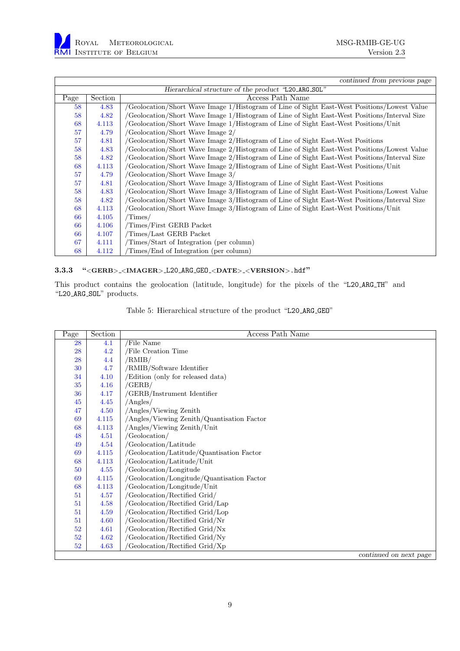|      |         | continued from previous page                                                                 |
|------|---------|----------------------------------------------------------------------------------------------|
|      |         | Hierarchical structure of the product "L20_ARG_SOL"                                          |
| Page | Section | Access Path Name                                                                             |
| 58   | 4.83    | /Geolocation/Short Wave Image 1/Histogram of Line of Sight East-West Positions/Lowest Value  |
| 58   | 4.82    | Geolocation/Short Wave Image 1/Histogram of Line of Sight East-West Positions/Interval Size  |
| 68   | 4.113   | /Geolocation/Short Wave Image 1/Histogram of Line of Sight East-West Positions/Unit          |
| 57   | 4.79    | /Geolocation/Short Wave Image 2/                                                             |
| 57   | 4.81    | (Geolocation/Short Wave Image 2/Histogram of Line of Sight East-West Positions               |
| 58   | 4.83    | /Geolocation/Short Wave Image 2/Histogram of Line of Sight East-West Positions/Lowest Value  |
| 58   | 4.82    | /Geolocation/Short Wave Image 2/Histogram of Line of Sight East-West Positions/Interval Size |
| 68   | 4.113   | /Geolocation/Short Wave Image 2/Histogram of Line of Sight East-West Positions/Unit          |
| 57   | 4.79    | /Geolocation/Short Wave Image 3/                                                             |
| 57   | 4.81    | (Geolocation) Short Wave Image 3/Histogram of Line of Sight East-West Positions              |
| 58   | 4.83    | Geolocation/Short Wave Image 3/Histogram of Line of Sight East-West Positions/Lowest Value   |
| 58   | 4.82    | Geolocation/Short Wave Image 3/Histogram of Line of Sight East-West Positions/Interval Size  |
| 68   | 4.113   | (Geolocation/Short Wave Image 3/Histogram of Line of Sight East-West Positions/Unit          |
| 66   | 4.105   | /Times/                                                                                      |
| 66   | 4.106   | Times/First GERB Packet                                                                      |
| 66   | 4.107   | Times/Last GERB Packet                                                                       |
| 67   | 4.111   | Times/Start of Integration (per column)                                                      |
| 68   | 4.112   | Times/End of Integration (per column)                                                        |

#### <span id="page-22-0"></span>3.3.3 "<GERB> <IMAGER> L20 ARG GEO <DATE> <VERSION>.hdf"

This product contains the geolocation (latitude, longitude) for the pixels of the "L20 ARG TH" and "L20 ARG SOL" products.

<span id="page-22-1"></span>

| Page | Section | Access Path Name                           |
|------|---------|--------------------------------------------|
| 28   | 4.1     | /File Name                                 |
| 28   | 4.2     | /File Creation Time                        |
| 28   | 4.4     | /RMIB/                                     |
| 30   | 4.7     | /RMIB/Software Identifier                  |
| 34   | 4.10    | /Edition (only for released data)          |
| 35   | 4.16    | $/$ GERB $/$                               |
| 36   | 4.17    | /GERB/Instrument Identifier                |
| 45   | 4.45    | $/$ Angles $/$                             |
| 47   | 4.50    | /Angles/Viewing Zenith                     |
| 69   | 4.115   | /Angles/Viewing Zenith/Quantisation Factor |
| 68   | 4.113   | /Angles/Viewing Zenith/Unit                |
| 48   | 4.51    | /Geolocation/                              |
| 49   | 4.54    | /Geolocation/Latitude                      |
| 69   | 4.115   | /Geolocation/Latitude/Quantisation Factor  |
| 68   | 4.113   | /Geolocation/Latitude/Unit                 |
| 50   | 4.55    | /Geolocation/Longitude                     |
| 69   | 4.115   | /Geolocation/Longitude/Quantisation Factor |
| 68   | 4.113   | /Geolocation/Longitude/Unit                |
| 51   | 4.57    | /Geolocation/Rectified Grid/               |
| 51   | 4.58    | /Geolocation/Rectified Grid/Lap            |
| 51   | 4.59    | /Geolocation/Rectified Grid/Lop            |
| 51   | 4.60    | /Geolocation/Rectified Grid/Nr             |
| 52   | 4.61    | /Geolocation/Rectified Grid/Nx             |
| 52   | 4.62    | /Geolocation/Rectified Grid/Ny             |
| 52   | 4.63    | Geolocation/Rectified Grid/Xp              |
|      |         | continued on next page                     |

Table 5: Hierarchical structure of the product "L20 ARG GEO"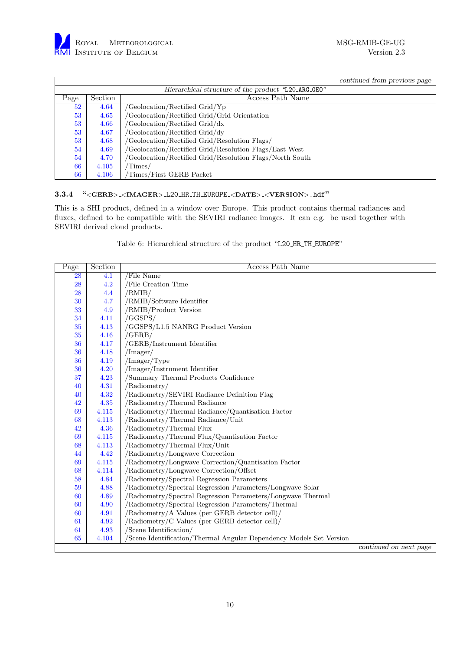|                 |         |                                                         | continued from previous page |
|-----------------|---------|---------------------------------------------------------|------------------------------|
|                 |         | Hierarchical structure of the product "L20_ARG_GEO"     |                              |
| Page            | Section | Access Path Name                                        |                              |
| 52 <sub>2</sub> | 4.64    | /Geolocation/Rectified Grid/Yp                          |                              |
| 53              | 4.65    | /Geolocation/Rectified Grid/Grid Orientation            |                              |
| 53              | 4.66    | /Geolocation/Rectified Grid/dx                          |                              |
| 53              | 4.67    | Geolocation/Rectified Grid/dy                           |                              |
| 53              | 4.68    | /Geolocation/Rectified Grid/Resolution Flags/           |                              |
| 54              | 4.69    | Geolocation/Rectified Grid/Resolution Flags/East West   |                              |
| 54              | 4.70    | Geolocation/Rectified Grid/Resolution Flags/North South |                              |
| 66              | 4.105   | 'Times/                                                 |                              |
| 66              | 4.106   | Times/First GERB Packet                                 |                              |

#### <span id="page-23-0"></span>3.3.4 "<GERB> <IMAGER> L20 HR TH EUROPE <DATE> <VERSION>.hdf"

This is a SHI product, defined in a window over Europe. This product contains thermal radiances and fluxes, defined to be compatible with the SEVIRI radiance images. It can e.g. be used together with SEVIRI derived cloud products.

#### Table 6: Hierarchical structure of the product "L20 HR TH EUROPE"

<span id="page-23-1"></span>

| Page | Section | <b>Access Path Name</b>                                             |                        |
|------|---------|---------------------------------------------------------------------|------------------------|
| 28   | 4.1     | /File Name                                                          |                        |
| 28   | 4.2     | /File Creation Time                                                 |                        |
| 28   | 4.4     | /RMIB/                                                              |                        |
| 30   | 4.7     | /RMIB/Software Identifier                                           |                        |
| 33   | 4.9     | /RMIB/Product Version                                               |                        |
| 34   | 4.11    | /GGSPS/                                                             |                        |
| 35   | 4.13    | /GGSPS/L1.5 NANRG Product Version                                   |                        |
| 35   | 4.16    | $/$ GERB $/$                                                        |                        |
| 36   | 4.17    | $/$ GERB $/$ Instrument Identifier                                  |                        |
| 36   | 4.18    | $/$ Imager $/$                                                      |                        |
| 36   | 4.19    | $/$ Imager $/$ Type                                                 |                        |
| 36   | 4.20    | /Imager/Instrument Identifier                                       |                        |
| 37   | 4.23    | /Summary Thermal Products Confidence                                |                        |
| 40   | 4.31    | /Radiometry/                                                        |                        |
| 40   | 4.32    | /Radiometry/SEVIRI Radiance Definition Flag                         |                        |
| 42   | 4.35    | /Radiometry/Thermal Radiance                                        |                        |
| 69   | 4.115   | /Radiometry/Thermal Radiance/Quantisation Factor                    |                        |
| 68   | 4.113   | /Radiometry/Thermal Radiance/Unit                                   |                        |
| 42   | 4.36    | /Radiometry/Thermal Flux                                            |                        |
| 69   | 4.115   | /Radiometry/Thermal Flux/Quantisation Factor                        |                        |
| 68   | 4.113   | /Radiometry/Thermal Flux/Unit                                       |                        |
| 44   | 4.42    | /Radiometry/Longwave Correction                                     |                        |
| 69   | 4.115   | /Radiometry/Longwave Correction/Quantisation Factor                 |                        |
| 68   | 4.114   | /Radiometry/Longwave Correction/Offset                              |                        |
| 58   | 4.84    | /Radiometry/Spectral Regression Parameters                          |                        |
| 59   | 4.88    | /Radiometry/Spectral Regression Parameters/Longwave Solar           |                        |
| 60   | 4.89    | /Radiometry/Spectral Regression Parameters/Longwave Thermal         |                        |
| 60   | 4.90    | /Radiometry/Spectral Regression Parameters/Thermal                  |                        |
| 60   | 4.91    | /Radiometry/A Values (per GERB detector cell)/                      |                        |
| 61   | 4.92    | /Radiometry/C Values (per GERB detector cell)/                      |                        |
| 61   | 4.93    | /Scene Identification/                                              |                        |
| 65   | 4.104   | /Scene Identification/Thermal Angular Dependency Models Set Version |                        |
|      |         |                                                                     | continued on next page |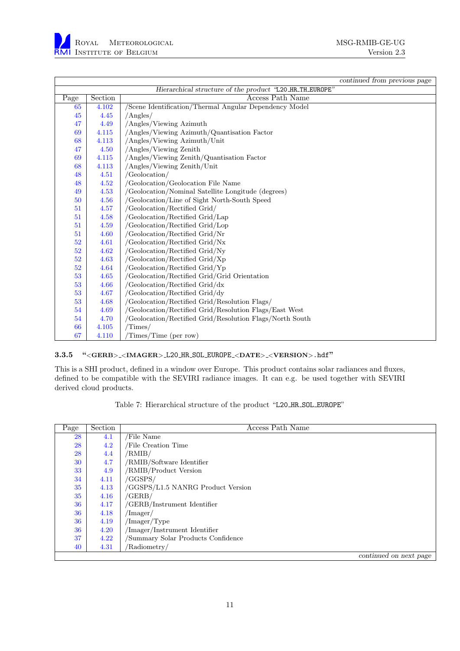|      |                                                          | continued from previous page                             |  |  |
|------|----------------------------------------------------------|----------------------------------------------------------|--|--|
|      | Hierarchical structure of the product "L20_HR_TH_EUROPE" |                                                          |  |  |
| Page | Section                                                  | <b>Access Path Name</b>                                  |  |  |
| 65   | 4.102                                                    | /Scene Identification/Thermal Angular Dependency Model   |  |  |
| 45   | 4.45                                                     | $/$ Angles $/$                                           |  |  |
| 47   | 4.49                                                     | /Angles/Viewing Azimuth                                  |  |  |
| 69   | 4.115                                                    | /Angles/Viewing Azimuth/Quantisation Factor              |  |  |
| 68   | 4.113                                                    | /Angles/Viewing Azimuth/Unit                             |  |  |
| 47   | 4.50                                                     | /Angles/Viewing Zenith                                   |  |  |
| 69   | 4.115                                                    | /Angles/Viewing Zenith/Quantisation Factor               |  |  |
| 68   | 4.113                                                    | /Angles/Viewing Zenith/Unit                              |  |  |
| 48   | 4.51                                                     | /Geolocation/                                            |  |  |
| 48   | 4.52                                                     | /Geolocation/Geolocation File Name                       |  |  |
| 49   | 4.53                                                     | /Geolocation/Nominal Satellite Longitude (degrees)       |  |  |
| 50   | 4.56                                                     | /Geolocation/Line of Sight North-South Speed             |  |  |
| 51   | 4.57                                                     | /Geolocation/Rectified Grid/                             |  |  |
| 51   | 4.58                                                     | /Geolocation/Rectified Grid/Lap                          |  |  |
| 51   | 4.59                                                     | /Geolocation/Rectified Grid/Lop                          |  |  |
| 51   | 4.60                                                     | /Geolocation/Rectified Grid/Nr                           |  |  |
| 52   | 4.61                                                     | /Geolocation/Rectified Grid/Nx                           |  |  |
| 52   | 4.62                                                     | /Geolocation/Rectified Grid/Ny                           |  |  |
| 52   | 4.63                                                     | /Geolocation/Rectified Grid/Xp                           |  |  |
| 52   | 4.64                                                     | /Geolocation/Rectified Grid/Yp                           |  |  |
| 53   | 4.65                                                     | /Geolocation/Rectified Grid/Grid Orientation             |  |  |
| 53   | 4.66                                                     | /Geolocation/Rectified Grid/dx                           |  |  |
| 53   | 4.67                                                     | /Geolocation/Rectified Grid/dy                           |  |  |
| 53   | 4.68                                                     | /Geolocation/Rectified Grid/Resolution Flags/            |  |  |
| 54   | 4.69                                                     | /Geolocation/Rectified Grid/Resolution Flags/East West   |  |  |
| 54   | 4.70                                                     | /Geolocation/Rectified Grid/Resolution Flags/North South |  |  |
| 66   | 4.105                                                    | /Times/                                                  |  |  |
| 67   | 4.110                                                    | Times/Time (per row)                                     |  |  |

#### <span id="page-24-0"></span> ${\bf 3.3.5} \quad ``**GERB>_**IMAGER> L20\_HR\_SOL\_EUROPE_**DATE>_ .hdf"******$

This is a SHI product, defined in a window over Europe. This product contains solar radiances and fluxes, defined to be compatible with the SEVIRI radiance images. It can e.g. be used together with SEVIRI derived cloud products.

Table 7: Hierarchical structure of the product "L20 HR SOL EUROPE"

<span id="page-24-1"></span>

| $\overline{Page}$ | Section | <b>Access Path Name</b>            |
|-------------------|---------|------------------------------------|
| 28                | 4.1     | 'File Name                         |
| 28                | 4.2     | /File Creation Time                |
| 28                | 4.4     | /RMIB/                             |
| 30                | 4.7     | /RMIB/Software Identifier          |
| 33                | 4.9     | /RMIB/Product Version              |
| 34                | 4.11    | /GGSPS/                            |
| 35                | 4.13    | /GGSPS/L1.5 NANRG Product Version  |
| 35                | 4.16    | $\rm 'GERB/$                       |
| 36                | 4.17    | GERB/Instrument Identifier         |
| 36                | 4.18    | $\mathrm{/Imager}/$                |
| 36                | 4.19    | /Imager/Type                       |
| 36                | 4.20    | /Imager/Instrument Identifier      |
| 37                | 4.22    | /Summary Solar Products Confidence |
| 40                | 4.31    | $'$ Radiometry                     |
|                   |         | continued on next page             |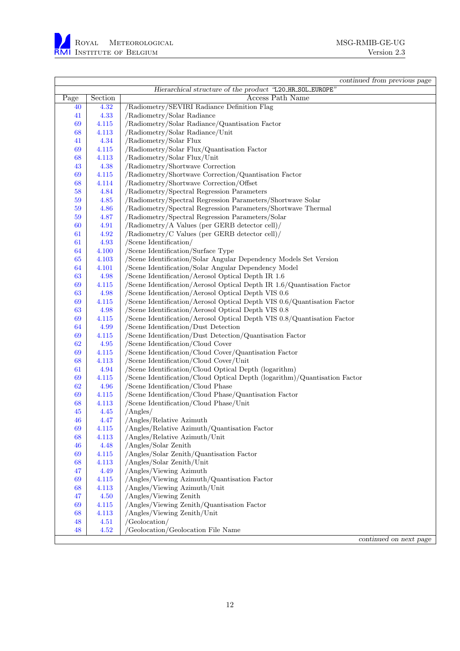|      |         | continued from previous page                                              |
|------|---------|---------------------------------------------------------------------------|
|      |         | Hierarchical structure of the product "L20_HR_SOL_EUROPE"                 |
| Page | Section | <b>Access Path Name</b>                                                   |
| 40   | 4.32    | /Radiometry/SEVIRI Radiance Definition Flag                               |
| 41   | 4.33    | /Radiometry/Solar Radiance                                                |
| 69   | 4.115   | /Radiometry/Solar Radiance/Quantisation Factor                            |
| 68   | 4.113   | /Radiometry/Solar Radiance/Unit                                           |
| 41   | 4.34    | /Radiometry/Solar Flux                                                    |
| 69   | 4.115   | /Radiometry/Solar Flux/Quantisation Factor                                |
| 68   | 4.113   | /Radiometry/Solar Flux/Unit                                               |
| 43   | 4.38    | /Radiometry/Shortwave Correction                                          |
| 69   | 4.115   | /Radiometry/Shortwave Correction/Quantisation Factor                      |
| 68   | 4.114   | /Radiometry/Shortwave Correction/Offset                                   |
| 58   | 4.84    | /Radiometry/Spectral Regression Parameters                                |
| 59   | 4.85    | /Radiometry/Spectral Regression Parameters/Shortwave Solar                |
| 59   | 4.86    | /Radiometry/Spectral Regression Parameters/Shortwave Thermal              |
| 59   | 4.87    | /Radiometry/Spectral Regression Parameters/Solar                          |
| 60   | 4.91    | /Radiometry/A Values (per GERB detector cell)/                            |
| 61   | 4.92    | /Radiometry/C Values (per GERB detector cell)/                            |
| 61   | 4.93    | /Scene Identification/                                                    |
| 64   | 4.100   | /Scene Identification/Surface Type                                        |
| 65   | 4.103   | /Scene Identification/Solar Angular Dependency Models Set Version         |
| 64   | 4.101   | /Scene Identification/Solar Angular Dependency Model                      |
| 63   | 4.98    | /Scene Identification/Aerosol Optical Depth IR 1.6                        |
| 69   | 4.115   | /Scene Identification/Aerosol Optical Depth IR 1.6/Quantisation Factor    |
| 63   | 4.98    | /Scene Identification/Aerosol Optical Depth VIS 0.6                       |
| 69   | 4.115   | /Scene Identification/Aerosol Optical Depth VIS 0.6/Quantisation Factor   |
| 63   | 4.98    | /Scene Identification/Aerosol Optical Depth VIS 0.8                       |
| 69   | 4.115   | /Scene Identification/Aerosol Optical Depth VIS 0.8/Quantisation Factor   |
| 64   | 4.99    | /Scene Identification/Dust Detection                                      |
| 69   | 4.115   | /Scene Identification/Dust Detection/Quantisation Factor                  |
| 62   | 4.95    | /Scene Identification/Cloud Cover                                         |
| 69   | 4.115   | /Scene Identification/Cloud Cover/Quantisation Factor                     |
| 68   | 4.113   | /Scene Identification/Cloud Cover/Unit                                    |
| 61   | 4.94    | /Scene Identification/Cloud Optical Depth (logarithm)                     |
| 69   | 4.115   | /Scene Identification/Cloud Optical Depth (logarithm)/Quantisation Factor |
| 62   | 4.96    | /Scene Identification/Cloud Phase                                         |
| 69   | 4.115   | /Scene Identification/Cloud Phase/Quantisation Factor                     |
| 68   | 4.113   | /Scene Identification/Cloud Phase/Unit                                    |
| 45   | 4.45    | $/$ Angles $/$                                                            |
| 46   | 4.47    | /Angles/Relative Azimuth                                                  |
| 69   | 4.115   | /Angles/Relative Azimuth/Quantisation Factor                              |
| 68   | 4.113   | /Angles/Relative Azimuth/Unit                                             |
| 46   | 4.48    | /Angles/Solar Zenith                                                      |
| 69   | 4.115   | /Angles/Solar Zenith/Quantisation Factor                                  |
| 68   | 4.113   | /Angles/Solar Zenith/Unit                                                 |
| 47   | 4.49    | /Angles/Viewing Azimuth                                                   |
| 69   | 4.115   | /Angles/Viewing Azimuth/Quantisation Factor                               |
| 68   | 4.113   | /Angles/Viewing Azimuth/Unit                                              |
| 47   | 4.50    | /Angles/Viewing Zenith                                                    |
| 69   | 4.115   | $/\mathrm{Angles/Viewing}$ Zenith/Quantisation Factor                     |
| 68   | 4.113   | /Angles/Viewing Zenith/Unit                                               |
| 48   | 4.51    | /Geolocation/                                                             |
| 48   | 4.52    | /Geolocation/Geolocation File Name<br>continued on next page              |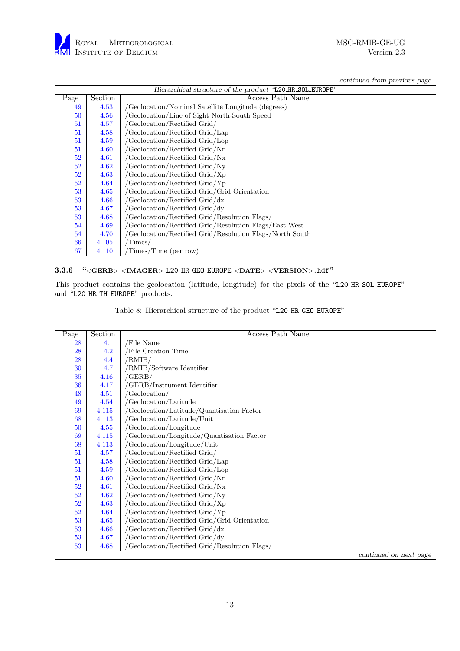|      |         | continued from previous page                              |
|------|---------|-----------------------------------------------------------|
|      |         | Hierarchical structure of the product "L20_HR_SOL_EUROPE" |
| Page | Section | Access Path Name                                          |
| 49   | 4.53    | Geolocation/Nominal Satellite Longitude (degrees)         |
| 50   | 4.56    | Geolocation/Line of Sight North-South Speed               |
| 51   | 4.57    | /Geolocation/Rectified Grid/                              |
| 51   | 4.58    | Geolocation/Rectified Grid/Lap                            |
| 51   | 4.59    | /Geolocation/Rectified Grid/Lop                           |
| 51   | 4.60    | /Geolocation/Rectified Grid/Nr                            |
| 52   | 4.61    | /Geolocation/Rectified Grid/Nx                            |
| 52   | 4.62    | /Geolocation/Rectified Grid/Ny                            |
| 52   | 4.63    | /Geolocation/Rectified Grid/Xp                            |
| 52   | 4.64    | /Geolocation/Rectified Grid/Yp                            |
| 53   | 4.65    | /Geolocation/Rectified Grid/Grid Orientation              |
| 53   | 4.66    | /Geolocation/Rectified Grid/dx                            |
| 53   | 4.67    | Geolocation/Rectified Grid/dy                             |
| 53   | 4.68    | /Geolocation/Rectified Grid/Resolution Flags/             |
| 54   | 4.69    | Geolocation/Rectified Grid/Resolution Flags/East West     |
| 54   | 4.70    | Geolocation/Rectified Grid/Resolution Flags/North South   |
| 66   | 4.105   | $^{\prime}\mathrm{Times}/$                                |
| 67   | 4.110   | Times/Time (per row)                                      |

#### <span id="page-26-0"></span>3.3.6 "<GERB> <IMAGER> L20 HR GEO EUROPE <DATE> <VERSION>.hdf"

This product contains the geolocation (latitude, longitude) for the pixels of the "L20 HR SOL EUROPE" and "L20 HR TH EUROPE" products.

Table 8: Hierarchical structure of the product "L20 HR GEO EUROPE"

<span id="page-26-1"></span>

| Page | Section | Access Path Name                             |                        |
|------|---------|----------------------------------------------|------------------------|
| 28   | 4.1     | /File Name                                   |                        |
| 28   | 4.2     | /File Creation Time                          |                        |
| 28   | 4.4     | /RMIB/                                       |                        |
| 30   | 4.7     | /RMIB/Software Identifier                    |                        |
| 35   | 4.16    | $/$ GERB $/$                                 |                        |
| 36   | 4.17    | /GERB/Instrument Identifier                  |                        |
| 48   | 4.51    | /Geolocation/                                |                        |
| 49   | 4.54    | /Geolocation/Latitude                        |                        |
| 69   | 4.115   | /Geolocation/Latitude/Quantisation Factor    |                        |
| 68   | 4.113   | /Geolocation/Latitude/Unit                   |                        |
| 50   | 4.55    | /Geolocation/Longitude                       |                        |
| 69   | 4.115   | /Geolocation/Longitude/Quantisation Factor   |                        |
| 68   | 4.113   | /Geolocation/Longitude/Unit                  |                        |
| 51   | 4.57    | /Geolocation/Rectified Grid/                 |                        |
| 51   | 4.58    | /Geolocation/Rectified Grid/Lap              |                        |
| 51   | 4.59    | /Geolocation/Rectified Grid/Lop              |                        |
| 51   | 4.60    | /Geolocation/Rectified Grid/Nr               |                        |
| 52   | 4.61    | /Geolocation/Rectified Grid/Nx               |                        |
| 52   | 4.62    | /Geolocation/Rectified Grid/Ny               |                        |
| 52   | 4.63    | /Geolocation/Rectified Grid/Xp               |                        |
| 52   | 4.64    | /Geolocation/Rectified Grid/Yp               |                        |
| 53   | 4.65    | /Geolocation/Rectified Grid/Grid Orientation |                        |
| 53   | 4.66    | /Geolocation/Rectified Grid/dx               |                        |
| 53   | 4.67    | /Geolocation/Rectified Grid/dy               |                        |
| 53   | 4.68    | Geolocation/Rectified Grid/Resolution Flags/ |                        |
|      |         |                                              | continued on next page |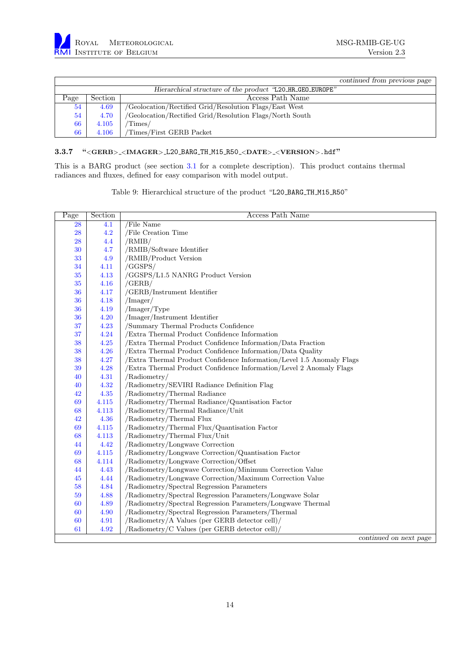|      |         | continued from previous page                              |
|------|---------|-----------------------------------------------------------|
|      |         | Hierarchical structure of the product "L20_HR_GEO_EUROPE" |
| Page | Section | Access Path Name                                          |
| 54   | 4.69    | /Geolocation/Rectified Grid/Resolution Flags/East West    |
| 54   | 4.70    | Geolocation/Rectified Grid/Resolution Flags/North South   |
| 66   | 4.105   | 'Times/                                                   |
| 66   | 4.106   | Times/First GERB Packet                                   |

#### <span id="page-27-0"></span>3.3.7 "<GERB> <IMAGER> L20 BARG TH M15 R50 <DATE> <VERSION>.hdf"

This is a BARG product (see section [3.1](#page-16-1) for a complete description). This product contains thermal radiances and fluxes, defined for easy comparison with model output.

Table 9: Hierarchical structure of the product "L20 BARG TH M15 R50"

<span id="page-27-1"></span>

| Page | Section | <b>Access Path Name</b>                                               |
|------|---------|-----------------------------------------------------------------------|
| 28   | 4.1     | /File Name                                                            |
| 28   | 4.2     | /File Creation Time                                                   |
| 28   | 4.4     | /RMIB/                                                                |
| 30   | 4.7     | /RMIB/Software Identifier                                             |
| 33   | 4.9     | /RMIB/Product Version                                                 |
| 34   | 4.11    | /GGSPS/                                                               |
| 35   | 4.13    | /GGSPS/L1.5 NANRG Product Version                                     |
| 35   | 4.16    | $/$ GERB $/$                                                          |
| 36   | 4.17    | /GERB/Instrument Identifier                                           |
| 36   | 4.18    | $/$ Imager $/$                                                        |
| 36   | 4.19    | $/$ Imager $/$ Type                                                   |
| 36   | 4.20    | /Imager/Instrument Identifier                                         |
| 37   | 4.23    | /Summary Thermal Products Confidence                                  |
| 37   | 4.24    | /Extra Thermal Product Confidence Information                         |
| 38   | 4.25    | /Extra Thermal Product Confidence Information/Data Fraction           |
| 38   | 4.26    | /Extra Thermal Product Confidence Information/Data Quality            |
| 38   | 4.27    | /Extra Thermal Product Confidence Information/Level 1.5 Anomaly Flags |
| 39   | 4.28    | /Extra Thermal Product Confidence Information/Level 2 Anomaly Flags   |
| 40   | 4.31    | /Radiometry/                                                          |
| 40   | 4.32    | /Radiometry/SEVIRI Radiance Definition Flag                           |
| 42   | 4.35    | /Radiometry/Thermal Radiance                                          |
| 69   | 4.115   | /Radiometry/Thermal Radiance/Quantisation Factor                      |
| 68   | 4.113   | /Radiometry/Thermal Radiance/Unit                                     |
| 42   | 4.36    | /Radiometry/Thermal Flux                                              |
| 69   | 4.115   | /Radiometry/Thermal Flux/Quantisation Factor                          |
| 68   | 4.113   | /Radiometry/Thermal Flux/Unit                                         |
| 44   | 4.42    | /Radiometry/Longwave Correction                                       |
| 69   | 4.115   | /Radiometry/Longwave Correction/Quantisation Factor                   |
| 68   | 4.114   | /Radiometry/Longwave Correction/Offset                                |
| 44   | 4.43    | /Radiometry/Longwave Correction/Minimum Correction Value              |
| 45   | 4.44    | /Radiometry/Longwave Correction/Maximum Correction Value              |
| 58   | 4.84    | /Radiometry/Spectral Regression Parameters                            |
| 59   | 4.88    | /Radiometry/Spectral Regression Parameters/Longwave Solar             |
| 60   | 4.89    | /Radiometry/Spectral Regression Parameters/Longwave Thermal           |
| 60   | 4.90    | /Radiometry/Spectral Regression Parameters/Thermal                    |
| 60   | 4.91    | /Radiometry/A Values (per GERB detector cell)/                        |
| 61   | 4.92    | /Radiometry/C Values (per GERB detector cell)/                        |
|      |         | continued on next page                                                |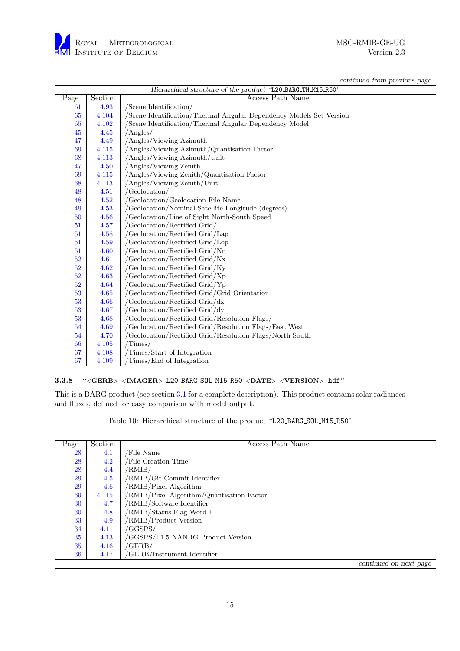|                                                             |         | continued from previous page                                        |
|-------------------------------------------------------------|---------|---------------------------------------------------------------------|
| Hierarchical structure of the product "L20_BARG_TH_M15_R50" |         |                                                                     |
| Page                                                        | Section | <b>Access Path Name</b>                                             |
| 61                                                          | 4.93    | /Scene Identification/                                              |
| 65                                                          | 4.104   | /Scene Identification/Thermal Angular Dependency Models Set Version |
| 65                                                          | 4.102   | /Scene Identification/Thermal Angular Dependency Model              |
| 45                                                          | 4.45    | $/$ Angles $/$                                                      |
| 47                                                          | 4.49    | /Angles/Viewing Azimuth                                             |
| 69                                                          | 4.115   | /Angles/Viewing Azimuth/Quantisation Factor                         |
| 68                                                          | 4.113   | /Angles/Viewing Azimuth/Unit                                        |
| 47                                                          | 4.50    | /Angles/Viewing Zenith                                              |
| 69                                                          | 4.115   | /Angles/Viewing Zenith/Quantisation Factor                          |
| 68                                                          | 4.113   | /Angles/Viewing Zenith/Unit                                         |
| 48                                                          | 4.51    | /Geolocation/                                                       |
| 48                                                          | 4.52    | /Geolocation/Geolocation File Name                                  |
| 49                                                          | 4.53    | /Geolocation/Nominal Satellite Longitude (degrees)                  |
| 50                                                          | 4.56    | /Geolocation/Line of Sight North-South Speed                        |
| 51                                                          | 4.57    | /Geolocation/Rectified Grid/                                        |
| 51                                                          | 4.58    | /Geolocation/Rectified Grid/Lap                                     |
| 51                                                          | 4.59    | /Geolocation/Rectified Grid/Lop                                     |
| 51                                                          | 4.60    | /Geolocation/Rectified Grid/Nr                                      |
| 52                                                          | 4.61    | /Geolocation/Rectified Grid/Nx                                      |
| 52                                                          | 4.62    | /Geolocation/Rectified Grid/Ny                                      |
| 52                                                          | 4.63    | /Geolocation/Rectified Grid/Xp                                      |
| 52                                                          | 4.64    | /Geolocation/Rectified Grid/Yp                                      |
| 53                                                          | 4.65    | /Geolocation/Rectified Grid/Grid Orientation                        |
| 53                                                          | 4.66    | /Geolocation/Rectified Grid/dx                                      |
| 53                                                          | 4.67    | /Geolocation/Rectified Grid/dy                                      |
| 53                                                          | 4.68    | /Geolocation/Rectified Grid/Resolution Flags/                       |
| 54                                                          | 4.69    | /Geolocation/Rectified Grid/Resolution Flags/East West              |
| 54                                                          | 4.70    | /Geolocation/Rectified Grid/Resolution Flags/North South            |
| 66                                                          | 4.105   | $/$ Times $/$                                                       |
| 67                                                          | 4.108   | Times/Start of Integration                                          |
| 67                                                          | 4.109   | Times/End of Integration                                            |

#### <span id="page-28-0"></span> ${\bf 3.3.8} \quad ``**GERB>_**IMAGER> L20\_BARG\_SOL\_M15\_R50_**DATE>_**VERSION> . hdf"********$

This is a BARG product (see section [3.1](#page-16-1) for a complete description). This product contains solar radiances and fluxes, defined for easy comparison with model output.

Table 10: Hierarchical structure of the product "L20 BARG SOL M15 R50"

<span id="page-28-1"></span>

| Page | Section | Access Path Name                          |
|------|---------|-------------------------------------------|
| 28   | 4.1     | 'File Name                                |
| 28   | 4.2     | 'File Creation Time                       |
| 28   | 4.4     | 'RMIB/                                    |
| 29   | 4.5     | /RMIB/Git Commit Identifier               |
| 29   | 4.6     | RMIB/Pixel Algorithm                      |
| 69   | 4.115   | /RMIB/Pixel Algorithm/Quantisation Factor |
| 30   | 4.7     | RMIB/Software Identifier                  |
| 30   | 4.8     | /RMIB/Status Flag Word 1                  |
| 33   | 4.9     | 'RMIB/Product Version                     |
| 34   | 4.11    | 'GGSPS/                                   |
| 35   | 4.13    | GGSPS/L1.5 NANRG Product Version          |
| 35   | 4.16    | 'GERB/                                    |
| 36   | 4.17    | 'GERB/Instrument Identifier               |
|      |         | continued on next page                    |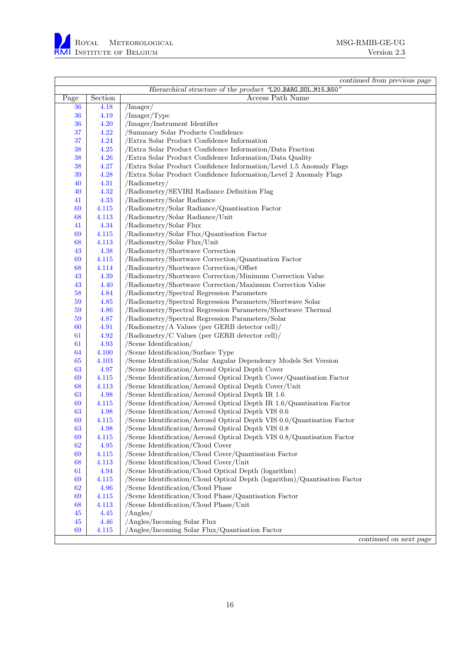|      |          | continued from previous page                                              |
|------|----------|---------------------------------------------------------------------------|
|      |          | Hierarchical structure of the product "L20_BARG_SOL_M15_R50"              |
| Page | Section  | Access Path Name                                                          |
| 36   | 4.18     | $/$ Imager $/$                                                            |
| 36   | 4.19     | $/$ Imager $/$ Type                                                       |
| 36   | 4.20     | /Imager/Instrument Identifier                                             |
| 37   | 4.22     | /Summary Solar Products Confidence                                        |
| 37   | 4.24     | Extra Solar Product Confidence Information                                |
| 38   | $4.25\,$ | /Extra Solar Product Confidence Information/Data Fraction                 |
| 38   | $4.26\,$ | /Extra Solar Product Confidence Information/Data Quality                  |
| 38   | 4.27     | /Extra Solar Product Confidence Information/Level 1.5 Anomaly Flags       |
| 39   | 4.28     | /Extra Solar Product Confidence Information/Level 2 Anomaly Flags         |
| 40   | 4.31     | /Radiometry/                                                              |
| 40   | 4.32     | /Radiometry/SEVIRI Radiance Definition Flag                               |
| 41   | 4.33     | /Radiometry/Solar Radiance                                                |
| 69   | 4.115    | /Radiometry/Solar Radiance/Quantisation Factor                            |
| 68   | 4.113    | /Radiometry/Solar Radiance/Unit                                           |
| 41   | 4.34     | /Radiometry/Solar Flux                                                    |
| 69   | 4.115    | /Radiometry/Solar Flux/Quantisation Factor                                |
| 68   | 4.113    | /Radiometry/Solar Flux/Unit                                               |
| 43   | 4.38     | /Radiometry/Shortwave Correction                                          |
| 69   | 4.115    | /Radiometry/Shortwave Correction/Quantisation Factor                      |
| 68   | 4.114    | /Radiometry/Shortwave Correction/Offset                                   |
| 43   | 4.39     | /Radiometry/Shortwave Correction/Minimum Correction Value                 |
| 43   | 4.40     | /Radiometry/Shortwave Correction/Maximum Correction Value                 |
| 58   | 4.84     | /Radiometry/Spectral Regression Parameters                                |
| 59   | 4.85     | /Radiometry/Spectral Regression Parameters/Shortwave Solar                |
| 59   | 4.86     | /Radiometry/Spectral Regression Parameters/Shortwave Thermal              |
| 59   | 4.87     | /Radiometry/Spectral Regression Parameters/Solar                          |
| 60   | 4.91     | /Radiometry/A Values (per GERB detector cell)/                            |
| 61   | 4.92     | /Radiometry/C Values (per GERB detector cell)/                            |
| 61   | 4.93     | /Scene Identification/                                                    |
| 64   | 4.100    | /Scene Identification/Surface Type                                        |
| 65   | 4.103    | /Scene Identification/Solar Angular Dependency Models Set Version         |
| 63   | 4.97     | /Scene Identification/Aerosol Optical Depth Cover                         |
| 69   | 4.115    | /Scene Identification/Aerosol Optical Depth Cover/Quantisation Factor     |
| 68   | 4.113    | /Scene Identification/Aerosol Optical Depth Cover/Unit                    |
| 63   | 4.98     | /Scene Identification/Aerosol Optical Depth IR 1.6                        |
| 69   | 4.115    | /Scene Identification/Aerosol Optical Depth IR 1.6/Quantisation Factor    |
| 63   | 4.98     | /Scene Identification/Aerosol Optical Depth VIS 0.6                       |
| 69   | 4.115    | /Scene Identification/Aerosol Optical Depth VIS 0.6/Quantisation Factor   |
| 63   | 4.98     | /Scene Identification/Aerosol Optical Depth VIS 0.8                       |
| 69   | 4.115    | /Scene Identification/Aerosol Optical Depth VIS 0.8/Quantisation Factor   |
| 62   | 4.95     | /Scene Identification/Cloud Cover                                         |
| 69   | 4.115    | /Scene Identification/Cloud Cover/Quantisation Factor                     |
| 68   | 4.113    | /Scene Identification/Cloud Cover/Unit                                    |
| 61   | 4.94     | /Scene Identification/Cloud Optical Depth (logarithm)                     |
| 69   | 4.115    | /Scene Identification/Cloud Optical Depth (logarithm)/Quantisation Factor |
| 62   | 4.96     | /Scene Identification/Cloud Phase                                         |
| 69   | 4.115    | /Scene Identification/Cloud Phase/Quantisation Factor                     |
| 68   | 4.113    | /Scene Identification/Cloud Phase/Unit                                    |
| 45   | 4.45     | $/$ Angles $/$                                                            |
| 45   | 4.46     | /Angles/Incoming Solar Flux                                               |
| 69   | 4.115    | /Angles/Incoming Solar Flux/Quantisation Factor                           |
|      |          | continued on next page                                                    |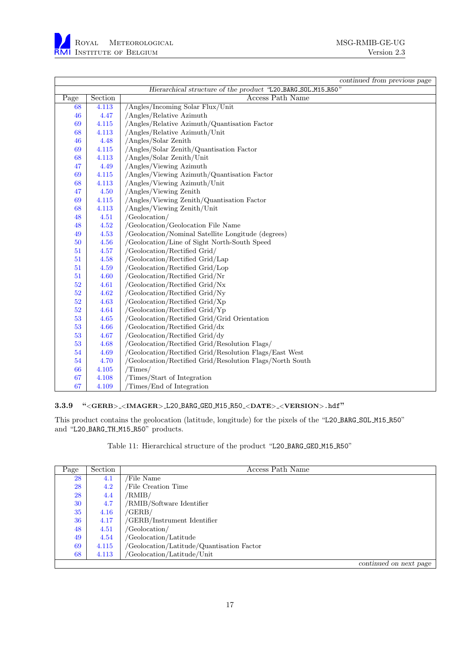|                                                              |         | continued from previous page                             |  |
|--------------------------------------------------------------|---------|----------------------------------------------------------|--|
| Hierarchical structure of the product "L20_BARG_SOL_M15_R50" |         |                                                          |  |
| Page                                                         | Section | <b>Access Path Name</b>                                  |  |
| 68                                                           | 4.113   | /Angles/Incoming Solar Flux/Unit                         |  |
| 46                                                           | 4.47    | /Angles/Relative Azimuth                                 |  |
| 69                                                           | 4.115   | /Angles/Relative Azimuth/Quantisation Factor             |  |
| 68                                                           | 4.113   | /Angles/Relative Azimuth/Unit                            |  |
| 46                                                           | 4.48    | /Angles/Solar Zenith                                     |  |
| 69                                                           | 4.115   | /Angles/Solar Zenith/Quantisation Factor                 |  |
| 68                                                           | 4.113   | /Angles/Solar Zenith/Unit                                |  |
| 47                                                           | 4.49    | /Angles/Viewing Azimuth                                  |  |
| 69                                                           | 4.115   | /Angles/Viewing Azimuth/Quantisation Factor              |  |
| 68                                                           | 4.113   | /Angles/Viewing Azimuth/Unit                             |  |
| 47                                                           | 4.50    | /Angles/Viewing Zenith                                   |  |
| 69                                                           | 4.115   | /Angles/Viewing Zenith/Quantisation Factor               |  |
| 68                                                           | 4.113   | /Angles/Viewing Zenith/Unit                              |  |
| 48                                                           | 4.51    | /Geolocation/                                            |  |
| 48                                                           | 4.52    | /Geolocation/Geolocation File Name                       |  |
| 49                                                           | 4.53    | /Geolocation/Nominal Satellite Longitude (degrees)       |  |
| 50                                                           | 4.56    | /Geolocation/Line of Sight North-South Speed             |  |
| 51                                                           | 4.57    | /Geolocation/Rectified Grid/                             |  |
| 51                                                           | 4.58    | /Geolocation/Rectified Grid/Lap                          |  |
| 51                                                           | 4.59    | /Geolocation/Rectified Grid/Lop                          |  |
| 51                                                           | 4.60    | /Geolocation/Rectified Grid/Nr                           |  |
| 52                                                           | 4.61    | /Geolocation/Rectified Grid/Nx                           |  |
| 52                                                           | 4.62    | /Geolocation/Rectified Grid/Ny                           |  |
| 52                                                           | 4.63    | /Geolocation/Rectified Grid/Xp                           |  |
| 52                                                           | 4.64    | /Geolocation/Rectified Grid/Yp                           |  |
| 53                                                           | 4.65    | /Geolocation/Rectified Grid/Grid Orientation             |  |
| 53                                                           | 4.66    | /Geolocation/Rectified Grid/dx                           |  |
| 53                                                           | 4.67    | /Geolocation/Rectified Grid/dy                           |  |
| 53                                                           | 4.68    | /Geolocation/Rectified Grid/Resolution Flags/            |  |
| 54                                                           | 4.69    | /Geolocation/Rectified Grid/Resolution Flags/East West   |  |
| 54                                                           | 4.70    | /Geolocation/Rectified Grid/Resolution Flags/North South |  |
| 66                                                           | 4.105   | $/$ Times $/$                                            |  |
| 67                                                           | 4.108   | Times/Start of Integration                               |  |
| 67                                                           | 4.109   | Times/End of Integration                                 |  |

#### <span id="page-30-0"></span>3.3.9 "<GERB> <IMAGER> L20 BARG GEO M15 R50 <DATE> <VERSION>.hdf"

This product contains the geolocation (latitude, longitude) for the pixels of the "L20 BARG SOL M15 R50" and "L20 BARG TH M15 R50" products.

#### Table 11: Hierarchical structure of the product "L20 BARG GEO M15 R50"

<span id="page-30-1"></span>

| Page | Section | Access Path Name                         |
|------|---------|------------------------------------------|
| 28   | 4.1     | 'File Name                               |
| 28   | 4.2     | File Creation Time                       |
| 28   | 4.4     | 'RMIB/                                   |
| 30   | 4.7     | 'RMIB/Software Identifier                |
| 35   | 4.16    | 'GERB/                                   |
| 36   | 4.17    | GERB/Instrument Identifier               |
| 48   | 4.51    | Geolocation/                             |
| 49   | 4.54    | 'Geolocation/Latitude                    |
| 69   | 4.115   | Geolocation/Latitude/Quantisation Factor |
| 68   | 4.113   | Geolocation/Latitude/Unit                |
|      |         | continued on next page                   |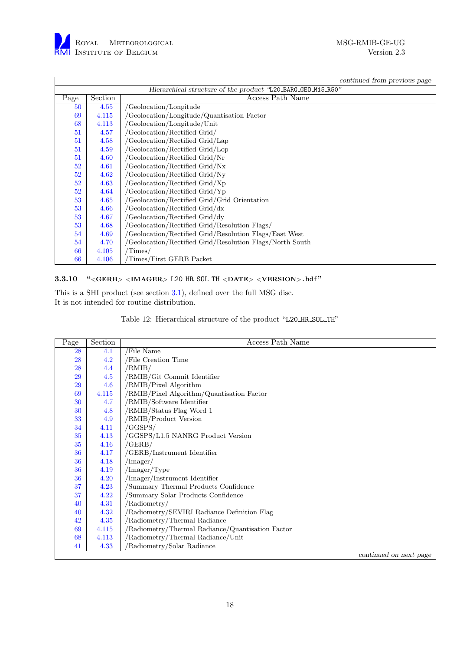|      |         | continued from previous page                                 |
|------|---------|--------------------------------------------------------------|
|      |         | Hierarchical structure of the product "L20_BARG_GEO_M15_R50" |
| Page | Section | Access Path Name                                             |
| 50   | 4.55    | Geolocation/Longitude                                        |
| 69   | 4.115   | /Geolocation/Longitude/Quantisation Factor                   |
| 68   | 4.113   | /Geolocation/Longitude/Unit                                  |
| 51   | 4.57    | /Geolocation/Rectified Grid/                                 |
| 51   | 4.58    | /Geolocation/Rectified Grid/Lap                              |
| 51   | 4.59    | Geolocation/Rectified Grid/Lop                               |
| 51   | 4.60    | /Geolocation/Rectified Grid/Nr                               |
| 52   | 4.61    | /Geolocation/Rectified Grid/Nx                               |
| 52   | 4.62    | /Geolocation/Rectified Grid/Ny                               |
| 52   | 4.63    | /Geolocation/Rectified Grid/Xp                               |
| 52   | 4.64    | /Geolocation/Rectified Grid/Yp                               |
| 53   | 4.65    | /Geolocation/Rectified Grid/Grid Orientation                 |
| 53   | 4.66    | /Geolocation/Rectified Grid/dx                               |
| 53   | 4.67    | /Geolocation/Rectified Grid/dy                               |
| 53   | 4.68    | /Geolocation/Rectified Grid/Resolution Flags/                |
| 54   | 4.69    | /Geolocation/Rectified Grid/Resolution Flags/East West       |
| 54   | 4.70    | /Geolocation/Rectified Grid/Resolution Flags/North South     |
| 66   | 4.105   | Times/                                                       |
| 66   | 4.106   | Times/First GERB Packet                                      |

#### <span id="page-31-0"></span> $\textbf{3.3.10} \quad \text{``_{<}IMAGER>_{L20}HR\_S0L\_TH\_<} \\\textbf{DATE>_{<}VERSION>~}. \label{eq:3.3.10}$

This is a SHI product (see section [3.1\)](#page-16-1), defined over the full MSG disc. It is not intended for routine distribution.

#### Table 12: Hierarchical structure of the product "L20 HR SOL TH"

<span id="page-31-1"></span>

| Page | Section | Access Path Name                                 |
|------|---------|--------------------------------------------------|
| 28   | 4.1     | /File Name                                       |
| 28   | 4.2     | /File Creation Time                              |
| 28   | 4.4     | /RMIB/                                           |
| 29   | 4.5     | /RMIB/Git Commit Identifier                      |
| 29   | 4.6     | /RMIB/Pixel Algorithm                            |
| 69   | 4.115   | /RMIB/Pixel Algorithm/Quantisation Factor        |
| 30   | 4.7     | /RMIB/Software Identifier                        |
| 30   | 4.8     | /RMIB/Status Flag Word 1                         |
| 33   | 4.9     | /RMIB/Product Version                            |
| 34   | 4.11    | /GGSPS/                                          |
| 35   | 4.13    | /GGSPS/L1.5 NANRG Product Version                |
| 35   | 4.16    | $/$ GERB $/$                                     |
| 36   | 4.17    | /GERB/Instrument Identifier                      |
| 36   | 4.18    | $/$ Imager $/$                                   |
| 36   | 4.19    | $/$ Imager $/$ Type                              |
| 36   | 4.20    | /Imager/Instrument Identifier                    |
| 37   | 4.23    | /Summary Thermal Products Confidence             |
| 37   | 4.22    | /Summary Solar Products Confidence               |
| 40   | 4.31    | /Radiometry/                                     |
| 40   | 4.32    | /Radiometry/SEVIRI Radiance Definition Flag      |
| 42   | 4.35    | /Radiometry/Thermal Radiance                     |
| 69   | 4.115   | /Radiometry/Thermal Radiance/Quantisation Factor |
| 68   | 4.113   | /Radiometry/Thermal Radiance/Unit                |
| 41   | 4.33    | /Radiometry/Solar Radiance                       |
|      |         | continued on next page                           |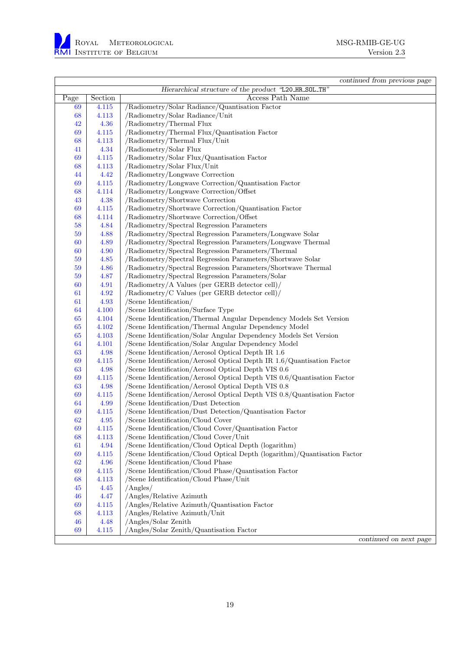|      |         | continued from previous page                                              |
|------|---------|---------------------------------------------------------------------------|
|      |         | Hierarchical structure of the product "L20_HR_SOL_TH"                     |
| Page | Section | <b>Access Path Name</b>                                                   |
| 69   | 4.115   | /Radiometry/Solar Radiance/Quantisation Factor                            |
| 68   | 4.113   | /Radiometry/Solar Radiance/Unit                                           |
| 42   | 4.36    | /Radiometry/Thermal Flux                                                  |
| 69   | 4.115   | /Radiometry/Thermal Flux/Quantisation Factor                              |
| 68   | 4.113   | /Radiometry/Thermal Flux/Unit                                             |
| 41   | 4.34    | /Radiometry/Solar Flux                                                    |
| 69   | 4.115   | /Radiometry/Solar Flux/Quantisation Factor                                |
| 68   | 4.113   | /Radiometry/Solar Flux/Unit                                               |
| 44   | 4.42    | /Radiometry/Longwave Correction                                           |
| 69   | 4.115   | /Radiometry/Longwave Correction/Quantisation Factor                       |
| 68   | 4.114   | /Radiometry/Longwave Correction/Offset                                    |
| 43   | 4.38    | /Radiometry/Shortwave Correction                                          |
| 69   | 4.115   | /Radiometry/Shortwave Correction/Quantisation Factor                      |
| 68   | 4.114   | /Radiometry/Shortwave Correction/Offset                                   |
| 58   | 4.84    | /Radiometry/Spectral Regression Parameters                                |
| 59   | 4.88    | /Radiometry/Spectral Regression Parameters/Longwave Solar                 |
| 60   | 4.89    | /Radiometry/Spectral Regression Parameters/Longwave Thermal               |
| 60   | 4.90    | /Radiometry/Spectral Regression Parameters/Thermal                        |
| 59   | 4.85    | /Radiometry/Spectral Regression Parameters/Shortwave Solar                |
| 59   | 4.86    | /Radiometry/Spectral Regression Parameters/Shortwave Thermal              |
| 59   | 4.87    | /Radiometry/Spectral Regression Parameters/Solar                          |
| 60   | 4.91    | /Radiometry/A Values (per GERB detector cell)/                            |
| 61   | 4.92    | /Radiometry/C Values (per GERB detector cell)/                            |
| 61   | 4.93    | /Scene Identification/                                                    |
| 64   | 4.100   | /Scene Identification/Surface Type                                        |
| 65   | 4.104   | /Scene Identification/Thermal Angular Dependency Models Set Version       |
| 65   | 4.102   | /Scene Identification/Thermal Angular Dependency Model                    |
| 65   | 4.103   | /Scene Identification/Solar Angular Dependency Models Set Version         |
| 64   | 4.101   | /Scene Identification/Solar Angular Dependency Model                      |
| 63   | 4.98    | /Scene Identification/Aerosol Optical Depth IR 1.6                        |
| 69   | 4.115   | /Scene Identification/Aerosol Optical Depth IR 1.6/Quantisation Factor    |
| 63   | 4.98    | /Scene Identification/Aerosol Optical Depth VIS 0.6                       |
| 69   | 4.115   | /Scene Identification/Aerosol Optical Depth VIS 0.6/Quantisation Factor   |
| 63   | 4.98    | /Scene Identification/Aerosol Optical Depth VIS 0.8                       |
| 69   | 4.115   | /Scene Identification/Aerosol Optical Depth VIS 0.8/Quantisation Factor   |
| 64   | 4.99    | /Scene Identification/Dust Detection                                      |
| 69   | 4.115   | /Scene Identification/Dust Detection/Quantisation Factor                  |
| 62   | 4.95    | /Scene Identification/Cloud Cover                                         |
| 69   | 4.115   | /Scene Identification/Cloud Cover/Quantisation Factor                     |
| 68   | 4.113   | /Scene Identification/Cloud Cover/Unit                                    |
| 61   | 4.94    | /Scene Identification/Cloud Optical Depth (logarithm)                     |
| 69   | 4.115   | /Scene Identification/Cloud Optical Depth (logarithm)/Quantisation Factor |
| 62   | 4.96    | /Scene Identification/Cloud Phase                                         |
| 69   | 4.115   | /Scene Identification/Cloud Phase/Quantisation Factor                     |
| 68   | 4.113   | /Scene Identification/Cloud Phase/Unit                                    |
| 45   | 4.45    | $/$ Angles $/$                                                            |
| 46   | 4.47    | /Angles/Relative Azimuth                                                  |
| 69   | 4.115   | /Angles/Relative Azimuth/Quantisation Factor                              |
| 68   | 4.113   | /Angles/Relative Azimuth/Unit                                             |
| 46   | 4.48    | /Angles/Solar Zenith                                                      |
| 69   | 4.115   | /Angles/Solar Zenith/Quantisation Factor                                  |
|      |         | continued on next page                                                    |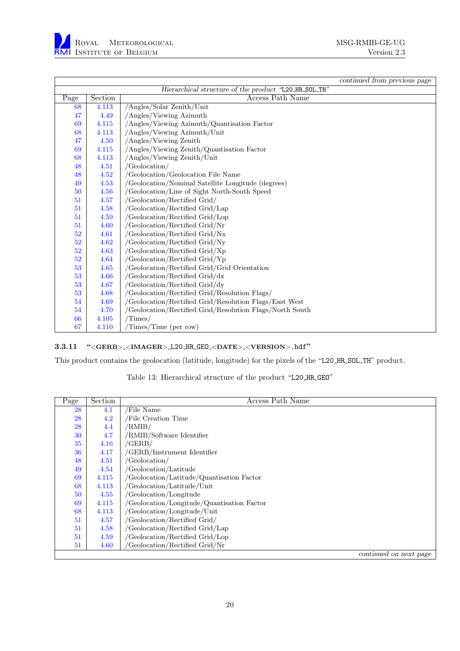|      |                                                       | continued from previous page                             |  |  |  |
|------|-------------------------------------------------------|----------------------------------------------------------|--|--|--|
|      | Hierarchical structure of the product "L20_HR_SOL_TH" |                                                          |  |  |  |
| Page | Section                                               | Access Path Name                                         |  |  |  |
| 68   | 4.113                                                 | /Angles/Solar Zenith/Unit                                |  |  |  |
| 47   | 4.49                                                  | /Angles/Viewing Azimuth                                  |  |  |  |
| 69   | 4.115                                                 | /Angles/Viewing Azimuth/Quantisation Factor              |  |  |  |
| 68   | 4.113                                                 | /Angles/Viewing Azimuth/Unit                             |  |  |  |
| 47   | 4.50                                                  | /Angles/Viewing Zenith                                   |  |  |  |
| 69   | 4.115                                                 | /Angles/Viewing Zenith/Quantisation Factor               |  |  |  |
| 68   | 4.113                                                 | /Angles/Viewing Zenith/Unit                              |  |  |  |
| 48   | 4.51                                                  | /Geolocation/                                            |  |  |  |
| 48   | 4.52                                                  | /Geolocation/Geolocation File Name                       |  |  |  |
| 49   | 4.53                                                  | /Geolocation/Nominal Satellite Longitude (degrees)       |  |  |  |
| 50   | 4.56                                                  | /Geolocation/Line of Sight North-South Speed             |  |  |  |
| 51   | 4.57                                                  | /Geolocation/Rectified Grid/                             |  |  |  |
| 51   | 4.58                                                  | /Geolocation/Rectified Grid/Lap                          |  |  |  |
| 51   | 4.59                                                  | /Geolocation/Rectified Grid/Lop                          |  |  |  |
| 51   | 4.60                                                  | /Geolocation/Rectified Grid/Nr                           |  |  |  |
| 52   | 4.61                                                  | /Geolocation/Rectified Grid/Nx                           |  |  |  |
| 52   | 4.62                                                  | /Geolocation/Rectified Grid/Ny                           |  |  |  |
| 52   | 4.63                                                  | /Geolocation/Rectified Grid/Xp                           |  |  |  |
| 52   | 4.64                                                  | /Geolocation/Rectified Grid/Yp                           |  |  |  |
| 53   | 4.65                                                  | /Geolocation/Rectified Grid/Grid Orientation             |  |  |  |
| 53   | 4.66                                                  | /Geolocation/Rectified Grid/dx                           |  |  |  |
| 53   | 4.67                                                  | /Geolocation/Rectified Grid/dy                           |  |  |  |
| 53   | 4.68                                                  | /Geolocation/Rectified Grid/Resolution Flags/            |  |  |  |
| 54   | 4.69                                                  | /Geolocation/Rectified Grid/Resolution Flags/East West   |  |  |  |
| 54   | 4.70                                                  | /Geolocation/Rectified Grid/Resolution Flags/North South |  |  |  |
| 66   | 4.105                                                 | $/ \mathrm{Times} /$                                     |  |  |  |
| 67   | 4.110                                                 | Times/Time (per row)                                     |  |  |  |

#### <span id="page-33-0"></span>3.3.11 "<GERB> <IMAGER> L20 HR GEO <DATE> <VERSION>.hdf"

<span id="page-33-1"></span>This product contains the geolocation (latitude, longitude) for the pixels of the "L20 HR SOL TH" product.

|  |  |  |  |  | Table 13: Hierarchical structure of the product "L20_HR_GEO" |
|--|--|--|--|--|--------------------------------------------------------------|
|--|--|--|--|--|--------------------------------------------------------------|

| Page | Section | Access Path Name                          |
|------|---------|-------------------------------------------|
| 28   | 4.1     | 'File Name                                |
| 28   | 4.2     | 'File Creation Time                       |
| 28   | 4.4     | /RMIB/                                    |
| 30   | 4.7     | /RMIB/Software Identifier                 |
| 35   | 4.16    | /GERB/                                    |
| 36   | 4.17    | GERB/Instrument Identifier                |
| 48   | 4.51    | Geolocation/                              |
| 49   | 4.54    | Geolocation/Latitude                      |
| 69   | 4.115   | Geolocation/Latitude/Quantisation Factor  |
| 68   | 4.113   | /Geolocation/Latitude/Unit                |
| 50   | 4.55    | Geolocation/Longitude                     |
| 69   | 4.115   | Geolocation/Longitude/Quantisation Factor |
| 68   | 4.113   | Geolocation/Longitude/Unit                |
| 51   | 4.57    | Geolocation/Rectified Grid/               |
| 51   | 4.58    | Geolocation/Rectified Grid/Lap            |
| 51   | 4.59    | /Geolocation/Rectified Grid/Lop           |
| 51   | 4.60    | Geolocation/Rectified Grid/Nr             |
|      |         | continued on next page                    |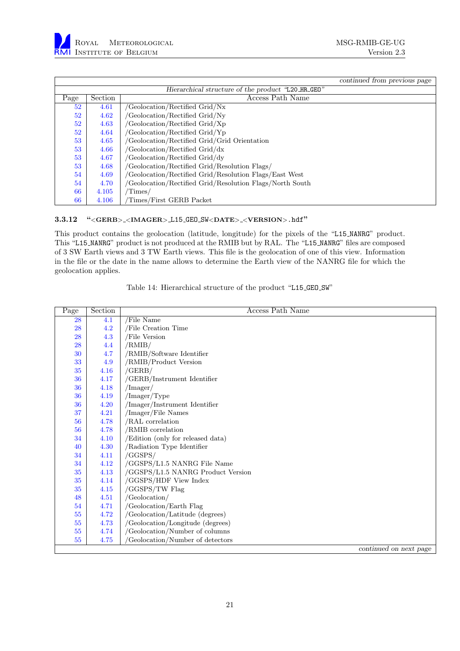|      |                                                    |                                                         | continued from previous page |  |  |
|------|----------------------------------------------------|---------------------------------------------------------|------------------------------|--|--|
|      | Hierarchical structure of the product "L20_HR_GEO" |                                                         |                              |  |  |
| Page | Section                                            | Access Path Name                                        |                              |  |  |
| 52   | 4.61                                               | Geolocation/Rectified Grid/Nx                           |                              |  |  |
| 52   | 4.62                                               | Geolocation/Rectified Grid/Ny                           |                              |  |  |
| 52   | 4.63                                               | Geolocation/Rectified Grid/Xp                           |                              |  |  |
| 52   | 4.64                                               | Geolocation/Rectified Grid/Yp                           |                              |  |  |
| 53   | 4.65                                               | Geolocation/Rectified Grid/Grid Orientation             |                              |  |  |
| 53   | 4.66                                               | Geolocation/Rectified Grid/dx                           |                              |  |  |
| 53   | 4.67                                               | Geolocation/Rectified Grid/dy                           |                              |  |  |
| 53   | 4.68                                               | Geolocation/Rectified Grid/Resolution Flags/            |                              |  |  |
| 54   | 4.69                                               | Geolocation/Rectified Grid/Resolution Flags/East West   |                              |  |  |
| 54   | 4.70                                               | Geolocation/Rectified Grid/Resolution Flags/North South |                              |  |  |
| 66   | 4.105                                              | 'Times/                                                 |                              |  |  |
| 66   | 4.106                                              | Times/First GERB Packet                                 |                              |  |  |

#### <span id="page-34-0"></span>3.3.12 "<GERB> <IMAGER> L15 GEO SW<DATE> <VERSION>.hdf"

This product contains the geolocation (latitude, longitude) for the pixels of the "L15 NANRG" product. This "L15 NANRG" product is not produced at the RMIB but by RAL. The "L15 NANRG" files are composed of 3 SW Earth views and 3 TW Earth views. This file is the geolocation of one of this view. Information in the file or the date in the name allows to determine the Earth view of the NANRG file for which the geolocation applies.

<span id="page-34-1"></span>

| $\overline{\text{Page}}$ | Section  | Access Path Name                  |
|--------------------------|----------|-----------------------------------|
| 28                       | 4.1      | 'File Name                        |
| 28                       | 4.2      | /File Creation Time               |
| 28                       | 4.3      | /File Version                     |
| 28                       | 4.4      | /RMIB/                            |
| 30                       | 4.7      | /RMIB/Software Identifier         |
| 33                       | 4.9      | /RMIB/Product Version             |
| 35                       | 4.16     | $/$ GERB $/$                      |
| 36                       | 4.17     | /GERB/Instrument Identifier       |
| 36                       | 4.18     | $/$ Imager $/$                    |
| 36                       | 4.19     | /Imager/Type                      |
| 36                       | $4.20\,$ | /Imager/Instrument Identifier     |
| 37                       | 4.21     | /Imager/File Names                |
| 56                       | 4.78     | /RAL correlation                  |
| 56                       | 4.78     | /RMIB correlation                 |
| 34                       | 4.10     | /Edition (only for released data) |
| 40                       | 4.30     | /Radiation Type Identifier        |
| 34                       | 4.11     | /GGSPS/                           |
| 34                       | 4.12     | /GGSPS/L1.5 NANRG File Name       |
| 35                       | 4.13     | /GGSPS/L1.5 NANRG Product Version |
| 35                       | 4.14     | /GGSPS/HDF View Index             |
| 35                       | 4.15     | /GGSPS/TW Flag                    |
| 48                       | 4.51     | /Geolocation/                     |
| 54                       | 4.71     | /Geolocation/Earth Flag           |
| 55                       | 4.72     | /Geolocation/Latitude (degrees)   |
| 55                       | 4.73     | /Geolocation/Longitude (degrees)  |
| 55                       | 4.74     | /Geolocation/Number of columns    |
| 55                       | 4.75     | Geolocation/Number of detectors   |
|                          |          | continued on next page            |

Table 14: Hierarchical structure of the product "L15 GEO SW"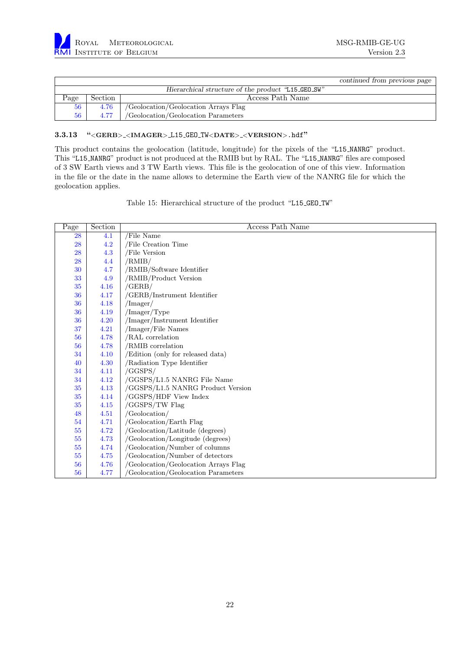|      |                                                    |                                      | continued from previous page |  |  |
|------|----------------------------------------------------|--------------------------------------|------------------------------|--|--|
|      | Hierarchical structure of the product "L15_GEO_SW" |                                      |                              |  |  |
| Page | Section                                            | Access Path Name                     |                              |  |  |
| 56   | 4.76                                               | /Geolocation/Geolocation Arrays Flag |                              |  |  |
| 56   |                                                    | /Geolocation/Geolocation Parameters  |                              |  |  |

#### <span id="page-35-0"></span>3.3.13 "<GERB> <IMAGER> L15 GEO TW<DATE> <VERSION>.hdf"

This product contains the geolocation (latitude, longitude) for the pixels of the "L15 NANRG" product. This "L15 NANRG" product is not produced at the RMIB but by RAL. The "L15 NANRG" files are composed of 3 SW Earth views and 3 TW Earth views. This file is the geolocation of one of this view. Information in the file or the date in the name allows to determine the Earth view of the NANRG file for which the geolocation applies.

Table 15: Hierarchical structure of the product "L15 GEO TW"

<span id="page-35-1"></span>

| $\overline{\text{Page}}$ | Section | Access Path Name                     |
|--------------------------|---------|--------------------------------------|
| 28                       | 4.1     | /File Name                           |
| 28                       | 4.2     | /File Creation Time                  |
| <b>28</b>                | 4.3     | /File Version                        |
| 28                       | 4.4     | /RMIB/                               |
| 30                       | 4.7     | /RMIB/Software Identifier            |
| 33                       | 4.9     | /RMIB/Product Version                |
| 35                       | 4.16    | $/$ GERB $/$                         |
| 36                       | 4.17    | /GERB/Instrument Identifier          |
| 36                       | 4.18    | $\rm /Imager/$                       |
| 36                       | 4.19    | $/$ Imager $/$ Type                  |
| 36                       | 4.20    | /Imager/Instrument Identifier        |
| 37                       | 4.21    | /Imager/File Names                   |
| 56                       | 4.78    | /RAL correlation                     |
| 56                       | 4.78    | /RMIB correlation                    |
| 34                       | 4.10    | /Edition (only for released data)    |
| 40                       | 4.30    | /Radiation Type Identifier           |
| 34                       | 4.11    | /GGSPS/                              |
| 34                       | 4.12    | /GGSPS/L1.5 NANRG File Name          |
| 35                       | 4.13    | /GGSPS/L1.5 NANRG Product Version    |
| 35                       | 4.14    | /GGSPS/HDF View Index                |
| 35                       | 4.15    | /GGSPS/TW Flag                       |
| 48                       | 4.51    | /Geolocation/                        |
| 54                       | 4.71    | /Geolocation/Earth Flag              |
| 55                       | 4.72    | /Geolocation/Latitude (degrees)      |
| 55                       | 4.73    | /Geolocation/Longitude (degrees)     |
| 55                       | 4.74    | /Geolocation/Number of columns       |
| 55                       | 4.75    | /Geolocation/Number of detectors     |
| 56                       | 4.76    | /Geolocation/Geolocation Arrays Flag |
| 56                       | 4.77    | Geolocation/Geolocation Parameters   |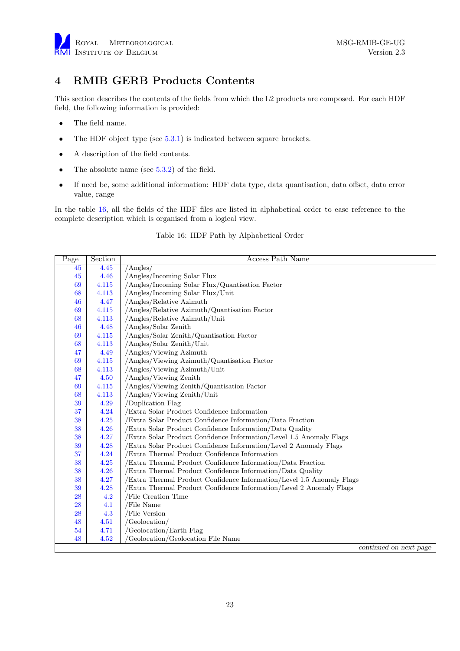# 4 RMIB GERB Products Contents

This section describes the contents of the fields from which the L2 products are composed. For each HDF field, the following information is provided:

- The field name.
- The HDF object type (see  $5.3.1$ ) is indicated between square brackets.
- A description of the field contents.
- The absolute name (see [5.3.2\)](#page-83-1) of the field.
- If need be, some additional information: HDF data type, data quantisation, data offset, data error value, range

In the table [16,](#page-36-0) all the fields of the HDF files are listed in alphabetical order to ease reference to the complete description which is organised from a logical view.

## Table 16: HDF Path by Alphabetical Order

<span id="page-36-0"></span>

| Page      | Section  | <b>Access Path Name</b>                                               |
|-----------|----------|-----------------------------------------------------------------------|
| 45        | 4.45     | $/$ Angles $/$                                                        |
| 45        | 4.46     | /Angles/Incoming Solar Flux                                           |
| 69        | 4.115    | /Angles/Incoming Solar Flux/Quantisation Factor                       |
| 68        | 4.113    | /Angles/Incoming Solar Flux/Unit                                      |
| 46        | 4.47     | /Angles/Relative Azimuth                                              |
| 69        | 4.115    | /Angles/Relative Azimuth/Quantisation Factor                          |
| 68        | 4.113    | /Angles/Relative Azimuth/Unit                                         |
| 46        | 4.48     | /Angles/Solar Zenith                                                  |
| 69        | 4.115    | /Angles/Solar Zenith/Quantisation Factor                              |
| 68        | 4.113    | /Angles/Solar Zenith/Unit                                             |
| 47        | 4.49     | /Angles/Viewing Azimuth                                               |
| 69        | 4.115    | /Angles/Viewing Azimuth/Quantisation Factor                           |
| 68        | 4.113    | /Angles/Viewing Azimuth/Unit                                          |
| 47        | 4.50     | /Angles/Viewing Zenith                                                |
| 69        | 4.115    | /Angles/Viewing Zenith/Quantisation Factor                            |
| 68        | 4.113    | /Angles/Viewing Zenith/Unit                                           |
| 39        | 4.29     | /Duplication Flag                                                     |
| 37        | 4.24     | /Extra Solar Product Confidence Information                           |
| 38        | 4.25     | /Extra Solar Product Confidence Information/Data Fraction             |
| 38        | 4.26     | /Extra Solar Product Confidence Information/Data Quality              |
| 38        | $4.27\,$ | /Extra Solar Product Confidence Information/Level 1.5 Anomaly Flags   |
| 39        | 4.28     | /Extra Solar Product Confidence Information/Level 2 Anomaly Flags     |
| 37        | 4.24     | /Extra Thermal Product Confidence Information                         |
| 38        | 4.25     | /Extra Thermal Product Confidence Information/Data Fraction           |
| 38        | 4.26     | /Extra Thermal Product Confidence Information/Data Quality            |
| 38        | 4.27     | /Extra Thermal Product Confidence Information/Level 1.5 Anomaly Flags |
| 39        | 4.28     | /Extra Thermal Product Confidence Information/Level 2 Anomaly Flags   |
| <b>28</b> | 4.2      | /File Creation Time                                                   |
| 28        | 4.1      | /File Name                                                            |
| 28        | 4.3      | /File Version                                                         |
| 48        | 4.51     | /Geolocation/                                                         |
| 54        | 4.71     | /Geolocation/Earth Flag                                               |
| 48        | 4.52     | /Geolocation/Geolocation File Name                                    |
|           |          | continued on next page                                                |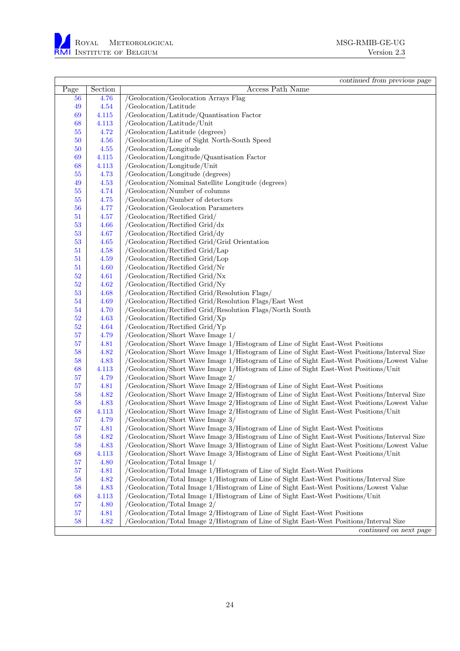$\mathsf{r}$ 

|      |         | continued from previous page                                                                 |
|------|---------|----------------------------------------------------------------------------------------------|
| Page | Section | Access Path Name                                                                             |
| 56   | 4.76    | /Geolocation/Geolocation Arrays Flag                                                         |
| 49   | 4.54    | /Geolocation/Latitude                                                                        |
| 69   | 4.115   | /Geolocation/Latitude/Quantisation Factor                                                    |
| 68   | 4.113   | /Geolocation/Latitude/Unit                                                                   |
| 55   | 4.72    | /Geolocation/Latitude (degrees)                                                              |
| 50   | 4.56    | /Geolocation/Line of Sight North-South Speed                                                 |
| 50   | 4.55    | /Geolocation/Longitude                                                                       |
| 69   | 4.115   | /Geolocation/Longitude/Quantisation Factor                                                   |
| 68   | 4.113   | /Geolocation/Longitude/Unit                                                                  |
| 55   | 4.73    | /Geolocation/Longitude (degrees)                                                             |
| 49   | 4.53    | /Geolocation/Nominal Satellite Longitude (degrees)                                           |
| 55   | 4.74    | /Geolocation/Number of columns                                                               |
| 55   | 4.75    | /Geolocation/Number of detectors                                                             |
| 56   | 4.77    | /Geolocation/Geolocation Parameters                                                          |
| 51   | 4.57    | /Geolocation/Rectified Grid/                                                                 |
| 53   | 4.66    | /Geolocation/Rectified Grid/dx                                                               |
|      |         | /Geolocation/Rectified Grid/dy                                                               |
| 53   | 4.67    |                                                                                              |
| 53   | 4.65    | /Geolocation/Rectified Grid/Grid Orientation                                                 |
| 51   | 4.58    | /Geolocation/Rectified Grid/Lap                                                              |
| 51   | 4.59    | /Geolocation/Rectified Grid/Lop                                                              |
| 51   | 4.60    | /Geolocation/Rectified Grid/Nr                                                               |
| 52   | 4.61    | /Geolocation/Rectified Grid/Nx                                                               |
| 52   | 4.62    | /Geolocation/Rectified Grid/Ny                                                               |
| 53   | 4.68    | /Geolocation/Rectified Grid/Resolution Flags/                                                |
| 54   | 4.69    | /Geolocation/Rectified Grid/Resolution Flags/East West                                       |
| 54   | 4.70    | /Geolocation/Rectified Grid/Resolution Flags/North South                                     |
| 52   | 4.63    | /Geolocation/Rectified Grid/Xp                                                               |
| 52   | 4.64    | /Geolocation/Rectified Grid/Yp                                                               |
| 57   | 4.79    | /Geolocation/Short Wave Image 1/                                                             |
| 57   | 4.81    | /Geolocation/Short Wave Image 1/Histogram of Line of Sight East-West Positions               |
| 58   | 4.82    | Geolocation/Short Wave Image 1/Histogram of Line of Sight East-West Positions/Interval Size  |
| 58   | 4.83    | Geolocation/Short Wave Image 1/Histogram of Line of Sight East-West Positions/Lowest Value   |
| 68   | 4.113   | /Geolocation/Short Wave Image 1/Histogram of Line of Sight East-West Positions/Unit          |
| 57   | 4.79    | /Geolocation/Short Wave Image 2/                                                             |
| 57   | 4.81    | /Geolocation/Short Wave Image 2/Histogram of Line of Sight East-West Positions               |
| 58   | 4.82    | Geolocation/Short Wave Image 2/Histogram of Line of Sight East-West Positions/Interval Size  |
| 58   | 4.83    | /Geolocation/Short Wave Image 2/Histogram of Line of Sight East-West Positions/Lowest Value  |
| 68   | 4.113   | /Geolocation/Short Wave Image 2/Histogram of Line of Sight East-West Positions/Unit          |
| 57   | 4.79    | /Geolocation/Short Wave Image 3/                                                             |
| 57   | 4.81    | /Geolocation/Short Wave Image 3/Histogram of Line of Sight East-West Positions               |
| 58   | 4.82    | /Geolocation/Short Wave Image 3/Histogram of Line of Sight East-West Positions/Interval Size |
| 58   | 4.83    | /Geolocation/Short Wave Image 3/Histogram of Line of Sight East-West Positions/Lowest Value  |
| 68   | 4.113   | /Geolocation/Short Wave Image 3/Histogram of Line of Sight East-West Positions/Unit          |
| 57   | 4.80    | /Geolocation/Total Image 1/                                                                  |
| 57   | 4.81    | /Geolocation/Total Image 1/Histogram of Line of Sight East-West Positions                    |
| 58   | 4.82    | /Geolocation/Total Image 1/Histogram of Line of Sight East-West Positions/Interval Size      |
| 58   | 4.83    | /Geolocation/Total Image 1/Histogram of Line of Sight East-West Positions/Lowest Value       |
| 68   | 4.113   | /Geolocation/Total Image 1/Histogram of Line of Sight East-West Positions/Unit               |
| 57   | 4.80    | /Geolocation/Total Image 2/                                                                  |
| 57   | 4.81    | /Geolocation/Total Image 2/Histogram of Line of Sight East-West Positions                    |
| 58   | 4.82    | Geolocation/Total Image 2/Histogram of Line of Sight East-West Positions/Interval Size       |
|      |         | continued on next page                                                                       |
|      |         |                                                                                              |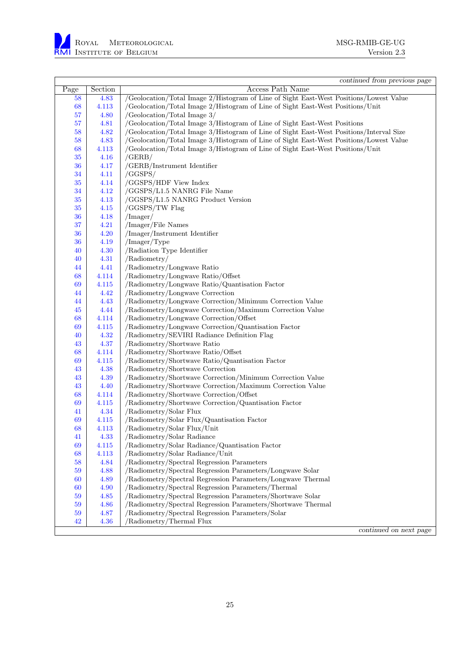|      |          | continued from previous page                                                            |
|------|----------|-----------------------------------------------------------------------------------------|
| Page | Section  | Access Path Name                                                                        |
| 58   | 4.83     | /Geolocation/Total Image 2/Histogram of Line of Sight East-West Positions/Lowest Value  |
| 68   | 4.113    | /Geolocation/Total Image 2/Histogram of Line of Sight East-West Positions/Unit          |
| 57   | 4.80     | /Geolocation/Total Image 3/                                                             |
| 57   | 4.81     | /Geolocation/Total Image 3/Histogram of Line of Sight East-West Positions               |
| 58   | 4.82     | /Geolocation/Total Image 3/Histogram of Line of Sight East-West Positions/Interval Size |
| 58   | 4.83     | /Geolocation/Total Image 3/Histogram of Line of Sight East-West Positions/Lowest Value  |
| 68   | 4.113    | /Geolocation/Total Image 3/Histogram of Line of Sight East-West Positions/Unit          |
| 35   | 4.16     | $/$ GERB $/$                                                                            |
| 36   | 4.17     | /GERB/Instrument Identifier                                                             |
| 34   | 4.11     | /GGSPS/                                                                                 |
| 35   | 4.14     | /GGSPS/HDF View Index                                                                   |
| 34   | 4.12     | /GGSPS/L1.5 NANRG File Name                                                             |
| 35   | 4.13     | /GGSPS/L1.5 NANRG Product Version                                                       |
| 35   | $4.15\,$ | /GGSPS/TW Flag                                                                          |
| 36   | 4.18     | $/$ Imager $/$                                                                          |
| 37   | 4.21     | $/$ Imager $/$ File Names                                                               |
| 36   | $4.20\,$ | $/$ Imager $/$ Instrument Identifier                                                    |
| 36   | 4.19     | $/$ Imager $/$ Type                                                                     |
| 40   | 4.30     | /Radiation Type Identifier                                                              |
| 40   | 4.31     | /Radiometry/                                                                            |
| 44   | 4.41     | /Radiometry/Longwave Ratio                                                              |
| 68   | 4.114    | /Radiometry/Longwave Ratio/Offset                                                       |
| 69   | 4.115    | /Radiometry/Longwave Ratio/Quantisation Factor                                          |
| 44   | 4.42     | /Radiometry/Longwave Correction                                                         |
| 44   | 4.43     | /Radiometry/Longwave Correction/Minimum Correction Value                                |
| 45   | 4.44     | /Radiometry/Longwave Correction/Maximum Correction Value                                |
| 68   | 4.114    | /Radiometry/Longwave Correction/Offset                                                  |
| 69   | 4.115    | /Radiometry/Longwave Correction/Quantisation Factor                                     |
| 40   | 4.32     | /Radiometry/SEVIRI Radiance Definition Flag                                             |
| 43   | 4.37     | /Radiometry/Shortwave Ratio                                                             |
| 68   | 4.114    | /Radiometry/Shortwave Ratio/Offset                                                      |
| 69   | 4.115    | /Radiometry/Shortwave Ratio/Quantisation Factor                                         |
| 43   | 4.38     | /Radiometry/Shortwave Correction                                                        |
| 43   | 4.39     | /Radiometry/Shortwave Correction/Minimum Correction Value                               |
| 43   | 4.40     | /Radiometry/Shortwave Correction/Maximum Correction Value                               |
| 68   | 4.114    | /Radiometry/Shortwave Correction/Offset                                                 |
| 69   | 4.115    | /Radiometry/Shortwave Correction/Quantisation Factor                                    |
| 41   | 4.34     | /Radiometry/Solar Flux                                                                  |
| 69   | 4.115    | /Radiometry/Solar Flux/Quantisation Factor                                              |
| 68   | 4.113    | /Radiometry/Solar Flux/Unit                                                             |
| 41   | 4.33     | /Radiometry/Solar Radiance                                                              |
| 69   | 4.115    | /Radiometry/Solar Radiance/Quantisation Factor                                          |
| 68   | 4.113    | /Radiometry/Solar Radiance/Unit                                                         |
| 58   | 4.84     | /Radiometry/Spectral Regression Parameters                                              |
| 59   | 4.88     | /Radiometry/Spectral Regression Parameters/Longwave Solar                               |
| 60   | 4.89     | /Radiometry/Spectral Regression Parameters/Longwave Thermal                             |
| 60   | 4.90     | /Radiometry/Spectral Regression Parameters/Thermal                                      |
| 59   | 4.85     | /Radiometry/Spectral Regression Parameters/Shortwave Solar                              |
| 59   | 4.86     | /Radiometry/Spectral Regression Parameters/Shortwave Thermal                            |
| 59   | 4.87     | /Radiometry/Spectral Regression Parameters/Solar                                        |
| 42   | 4.36     | /Radiometry/Thermal Flux                                                                |
|      |          | continued on next page                                                                  |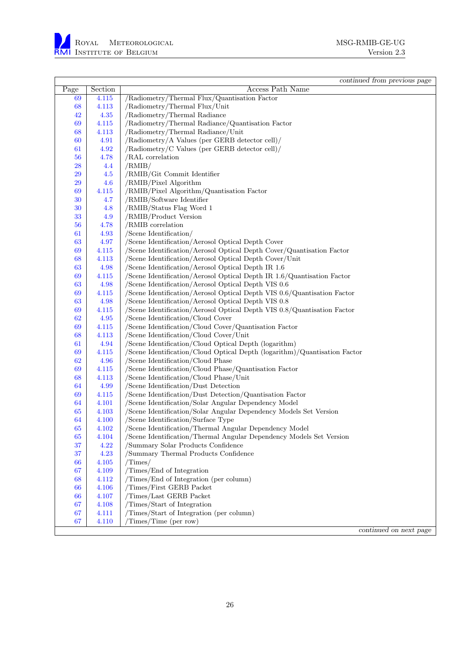$\mathsf{r}$ 

|             |           | continued from previous page                                              |
|-------------|-----------|---------------------------------------------------------------------------|
| Page        | Section   | Access Path Name                                                          |
| 69          | 4.115     | /Radiometry/Thermal Flux/Quantisation Factor                              |
| 68          | 4.113     | /Radiometry/Thermal Flux/Unit                                             |
| 42          | 4.35      | /Radiometry/Thermal Radiance                                              |
| 69          | 4.115     | /Radiometry/Thermal Radiance/Quantisation Factor                          |
| 68          | 4.113     | /Radiometry/Thermal Radiance/Unit                                         |
| 60          | 4.91      | /Radiometry/A Values (per GERB detector cell)/                            |
| 61          | 4.92      | /Radiometry/C Values (per GERB detector cell)/                            |
| 56          | 4.78      | /RAL correlation                                                          |
| <b>28</b>   | 4.4       | /RMIB/                                                                    |
| $\sqrt{29}$ | 4.5       | /RMIB/Git Commit Identifier                                               |
| $\sqrt{29}$ | 4.6       | /RMIB/Pixel Algorithm                                                     |
| 69          | 4.115     | /RMIB/Pixel Algorithm/Quantisation Factor                                 |
| 30          | 4.7       | /RMIB/Software Identifier                                                 |
| 30          | 4.8       | /RMIB/Status Flag Word 1                                                  |
| 33          | 4.9       | /RMIB/Product Version                                                     |
| 56          | 4.78      | /RMIB correlation                                                         |
| 61          | 4.93      | /Scene Identification/                                                    |
| 63          | 4.97      | /Scene Identification/Aerosol Optical Depth Cover                         |
| 69          | $4.115\,$ | /Scene Identification/Aerosol Optical Depth Cover/Quantisation Factor     |
| 68          | 4.113     | /Scene Identification/Aerosol Optical Depth Cover/Unit                    |
| 63          | 4.98      | /Scene Identification/Aerosol Optical Depth IR 1.6                        |
| 69          | 4.115     | /Scene Identification/Aerosol Optical Depth IR 1.6/Quantisation Factor    |
| 63          | 4.98      | /Scene Identification/Aerosol Optical Depth VIS 0.6                       |
| 69          | 4.115     | /Scene Identification/Aerosol Optical Depth VIS 0.6/Quantisation Factor   |
| 63          | 4.98      | /Scene Identification/Aerosol Optical Depth VIS 0.8                       |
| 69          | 4.115     | /Scene Identification/Aerosol Optical Depth VIS 0.8/Quantisation Factor   |
| 62          | 4.95      | /Scene Identification/Cloud Cover                                         |
| 69          | 4.115     | /Scene Identification/Cloud Cover/Quantisation Factor                     |
| 68          | 4.113     | /Scene Identification/Cloud Cover/Unit                                    |
| 61          | 4.94      | /Scene Identification/Cloud Optical Depth (logarithm)                     |
| 69          | $4.115\,$ | /Scene Identification/Cloud Optical Depth (logarithm)/Quantisation Factor |
| 62          | 4.96      | /Scene Identification/Cloud Phase                                         |
| 69          | 4.115     | /Scene Identification/Cloud Phase/Quantisation Factor                     |
| 68          | 4.113     | /Scene Identification/Cloud Phase/Unit                                    |
| 64          | 4.99      | /Scene Identification/Dust Detection                                      |
| 69          | 4.115     | /Scene Identification/Dust Detection/Quantisation Factor                  |
| 64          | 4.101     | /Scene Identification/Solar Angular Dependency Model                      |
| 65          | 4.103     | /Scene Identification/Solar Angular Dependency Models Set Version         |
| 64          | 4.100     | /Scene Identification/Surface Type                                        |
| 65          | 4.102     | /Scene Identification/Thermal Angular Dependency Model                    |
| 65          | 4.104     | /Scene Identification/Thermal Angular Dependency Models Set Version       |
| 37          | 4.22      | /Summary Solar Products Confidence                                        |
| 37          | 4.23      | /Summary Thermal Products Confidence                                      |
| 66          | 4.105     | /Times/                                                                   |
| 67          | 4.109     | /Times/End of Integration                                                 |
| 68          | 4.112     | Times/End of Integration (per column)                                     |
| 66          | 4.106     | /Times/First GERB Packet                                                  |
| 66          | 4.107     | /Times/Last GERB Packet                                                   |
| 67          | 4.108     | Times/Start of Integration                                                |
| 67          | 4.111     | Times/Start of Integration (per column)                                   |
| 67          | 4.110     | $/$ Times $/$ Time (per row)                                              |
|             |           | continued on novt page                                                    |

continued on next page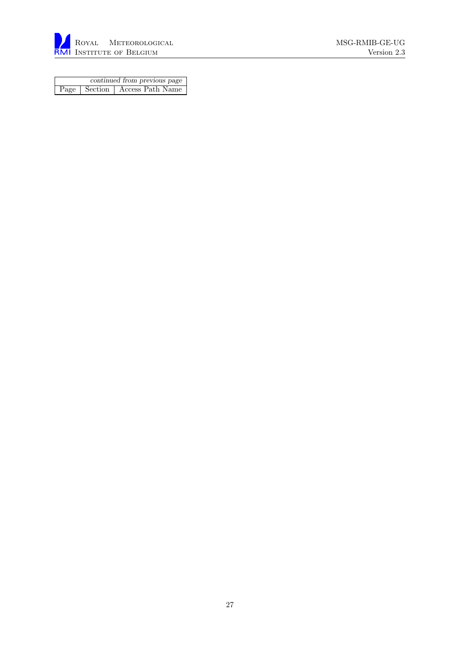

| continued from previous page |  |                                   |
|------------------------------|--|-----------------------------------|
|                              |  | Page   Section   Access Path Name |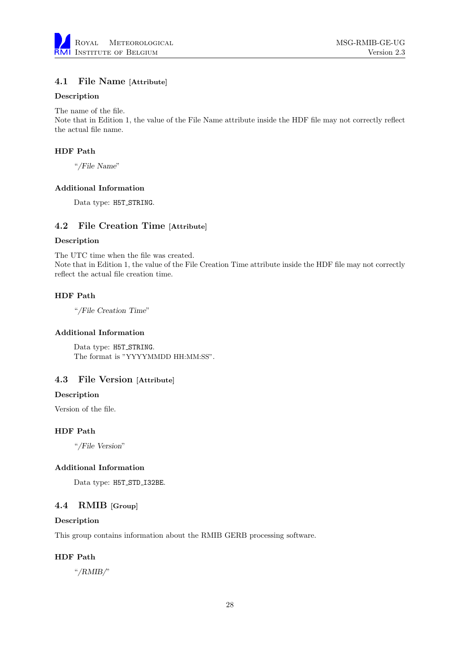## <span id="page-41-1"></span>4.1 File Name [Attribute]

### Description

The name of the file.

Note that in Edition 1, the value of the File Name attribute inside the HDF file may not correctly reflect the actual file name.

### HDF Path

"/File Name"

### Additional Information

Data type: H5T\_STRING.

## <span id="page-41-0"></span>4.2 File Creation Time [Attribute]

#### Description

The UTC time when the file was created. Note that in Edition 1, the value of the File Creation Time attribute inside the HDF file may not correctly reflect the actual file creation time.

### HDF Path

"/File Creation Time"

## Additional Information

Data type: H5T\_STRING. The format is "YYYYMMDD HH:MM:SS".

## <span id="page-41-2"></span>4.3 File Version [Attribute]

### Description

Version of the file.

### HDF Path

"/File Version"

### Additional Information

Data type: H5T\_STD\_I32BE.

## <span id="page-41-3"></span>4.4 RMIB [Group]

### Description

This group contains information about the RMIB GERB processing software.

### HDF Path

"/RMIB/"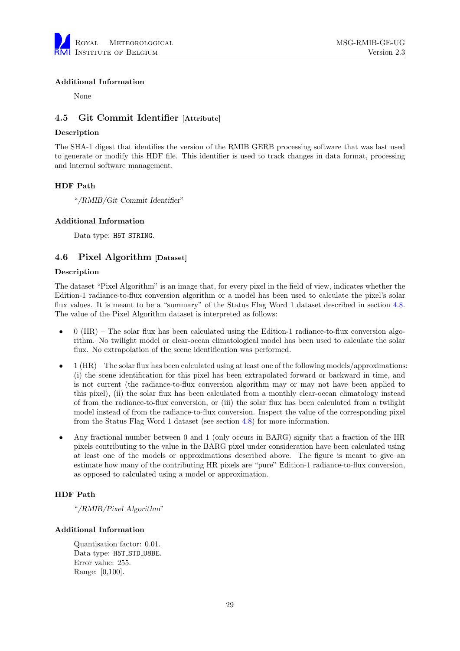

None

## <span id="page-42-0"></span>4.5 Git Commit Identifier [Attribute]

### Description

The SHA-1 digest that identifies the version of the RMIB GERB processing software that was last used to generate or modify this HDF file. This identifier is used to track changes in data format, processing and internal software management.

### HDF Path

"/RMIB/Git Commit Identifier"

### Additional Information

Data type: H5T\_STRING.

## <span id="page-42-1"></span>4.6 Pixel Algorithm [Dataset]

#### Description

The dataset "Pixel Algorithm" is an image that, for every pixel in the field of view, indicates whether the Edition-1 radiance-to-flux conversion algorithm or a model has been used to calculate the pixel's solar flux values. It is meant to be a "summary" of the Status Flag Word 1 dataset described in section [4.8.](#page-43-1) The value of the Pixel Algorithm dataset is interpreted as follows:

- $\theta$  (HR) The solar flux has been calculated using the Edition-1 radiance-to-flux conversion algorithm. No twilight model or clear-ocean climatological model has been used to calculate the solar flux. No extrapolation of the scene identification was performed.
- 1 (HR) The solar flux has been calculated using at least one of the following models/approximations: (i) the scene identification for this pixel has been extrapolated forward or backward in time, and is not current (the radiance-to-flux conversion algorithm may or may not have been applied to this pixel), (ii) the solar flux has been calculated from a monthly clear-ocean climatology instead of from the radiance-to-flux conversion, or (iii) the solar flux has been calculated from a twilight model instead of from the radiance-to-flux conversion. Inspect the value of the corresponding pixel from the Status Flag Word 1 dataset (see section [4.8\)](#page-43-1) for more information.
- Any fractional number between 0 and 1 (only occurs in BARG) signify that a fraction of the HR pixels contributing to the value in the BARG pixel under consideration have been calculated using at least one of the models or approximations described above. The figure is meant to give an estimate how many of the contributing HR pixels are "pure" Edition-1 radiance-to-flux conversion, as opposed to calculated using a model or approximation.

## HDF Path

"/RMIB/Pixel Algorithm"

### Additional Information

Quantisation factor: 0.01. Data type: H5T\_STD\_U8BE. Error value: 255. Range: [0,100].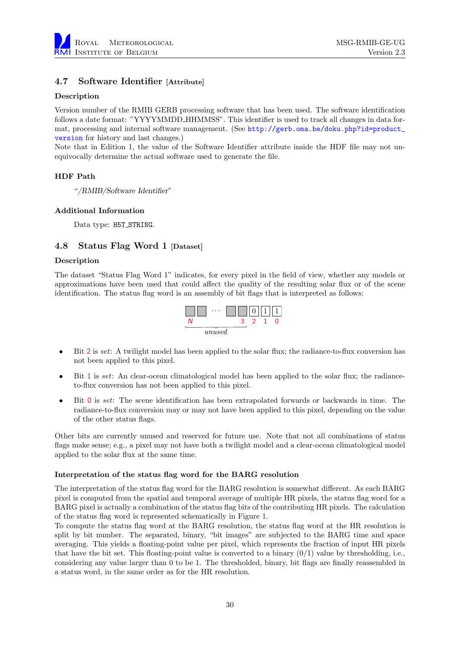## <span id="page-43-0"></span>4.7 Software Identifier [Attribute]

#### Description

Version number of the RMIB GERB processing software that has been used. The software identification follows a date format: "YYYYMMDD HHMMSS". This identifier is used to track all changes in data format, processing and internal software management. (See [http://gerb.oma.be/doku.php?id=product\\_](http://gerb.oma.be/doku.php?id=product_version) [version](http://gerb.oma.be/doku.php?id=product_version) for history and last changes.)

Note that in Edition 1, the value of the Software Identifier attribute inside the HDF file may not unequivocally determine the actual software used to generate the file.

#### HDF Path

"/RMIB/Software Identifier"

### Additional Information

Data type: H5T\_STRING.

### <span id="page-43-1"></span>4.8 Status Flag Word 1 [Dataset]

#### Description

The dataset "Status Flag Word 1" indicates, for every pixel in the field of view, whether any models or approximations have been used that could affect the quality of the resulting solar flux or of the scene identification. The status flag word is an assembly of bit flags that is interpreted as follows:



- Bit 2 is set: A twilight model has been applied to the solar flux; the radiance-to-flux conversion has not been applied to this pixel.
- Bit 1 is set: An clear-ocean climatological model has been applied to the solar flux; the radianceto-flux conversion has not been applied to this pixel.
- Bit 0 is set: The scene identification has been extrapolated forwards or backwards in time. The radiance-to-flux conversion may or may not have been applied to this pixel, depending on the value of the other status flags.

Other bits are currently unused and reserved for future use. Note that not all combinations of status flags make sense; e.g., a pixel may not have both a twilight model and a clear-ocean climatological model applied to the solar flux at the same time.

#### Interpretation of the status flag word for the BARG resolution

The interpretation of the status flag word for the BARG resolution is somewhat different. As each BARG pixel is computed from the spatial and temporal average of multiple HR pixels, the status flag word for a BARG pixel is actually a combination of the status flag bits of the contributing HR pixels. The calculation of the status flag word is represented schematically in Figure [1.](#page-44-0)

To compute the status flag word at the BARG resolution, the status flag word at the HR resolution is split by bit number. The separated, binary, "bit images" are subjected to the BARG time and space averaging. This yields a floating-point value per pixel, which represents the fraction of input HR pixels that have the bit set. This floating-point value is converted to a binary  $(0/1)$  value by thresholding, i.e., considering any value larger than 0 to be 1. The thresholded, binary, bit flags are finally reassembled in a status word, in the same order as for the HR resolution.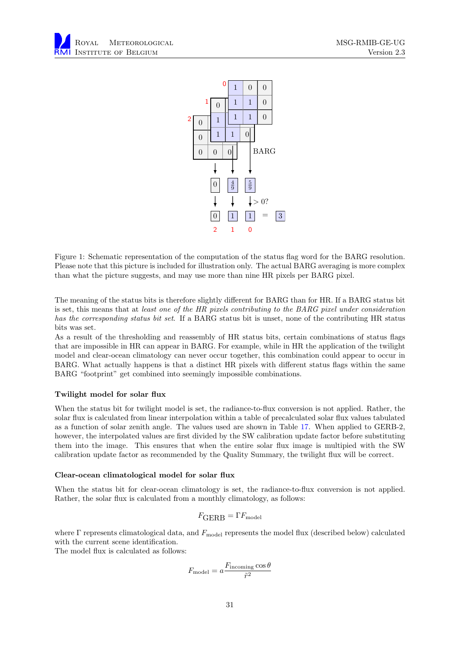

<span id="page-44-0"></span>Figure 1: Schematic representation of the computation of the status flag word for the BARG resolution. Please note that this picture is included for illustration only. The actual BARG averaging is more complex than what the picture suggests, and may use more than nine HR pixels per BARG pixel.

The meaning of the status bits is therefore slightly different for BARG than for HR. If a BARG status bit is set, this means that at least one of the HR pixels contributing to the BARG pixel under consideration has the corresponding status bit set. If a BARG status bit is unset, none of the contributing HR status bits was set.

As a result of the thresholding and reassembly of HR status bits, certain combinations of status flags that are impossible in HR can appear in BARG. For example, while in HR the application of the twilight model and clear-ocean climatology can never occur together, this combination could appear to occur in BARG. What actually happens is that a distinct HR pixels with different status flags within the same BARG "footprint" get combined into seemingly impossible combinations.

#### Twilight model for solar flux

When the status bit for twilight model is set, the radiance-to-flux conversion is not applied. Rather, the solar flux is calculated from linear interpolation within a table of precalculated solar flux values tabulated as a function of solar zenith angle. The values used are shown in Table [17.](#page-45-0) When applied to GERB-2, however, the interpolated values are first divided by the SW calibration update factor before substituting them into the image. This ensures that when the entire solar flux image is multipied with the SW calibration update factor as recommended by the Quality Summary, the twilight flux will be correct.

#### Clear-ocean climatological model for solar flux

When the status bit for clear-ocean climatology is set, the radiance-to-flux conversion is not applied. Rather, the solar flux is calculated from a monthly climatology, as follows:

$$
F_{\rm GERB}=\Gamma F_{\rm model}
$$

where  $\Gamma$  represents climatological data, and  $F_{\text{model}}$  represents the model flux (described below) calculated with the current scene identification.

The model flux is calculated as follows:

$$
F_{\text{model}} = a \frac{F_{\text{incoming}} \cos \theta}{\tilde{r}^2}
$$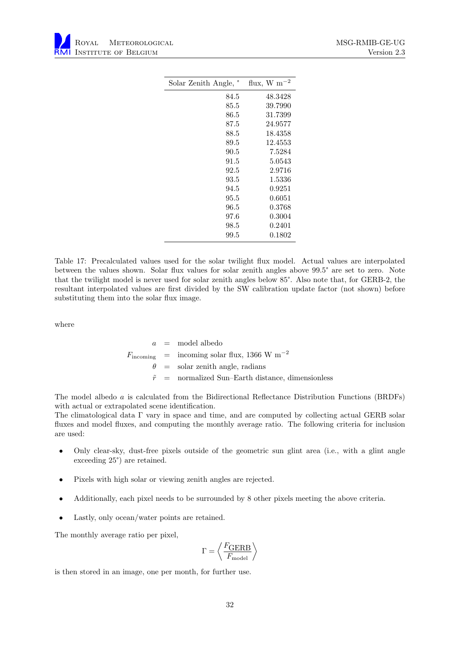| Solar Zenith Angle, | flux, W $m^{-2}$ |
|---------------------|------------------|
| 84.5                | 48.3428          |
| 85.5                | 39.7990          |
| 86.5                | 31.7399          |
| 87.5                | 24.9577          |
| 88.5                | 18.4358          |
| 89.5                | 12.4553          |
| 90.5                | 7.5284           |
| 91.5                | 5.0543           |
| 92.5                | 2.9716           |
| 93.5                | 1.5336           |
| 94.5                | 0.9251           |
| 95.5                | 0.6051           |
| 96.5                | 0.3768           |
| 97.6                | 0.3004           |
| 98.5                | 0.2401           |
| 99.5                | 0.1802           |

<span id="page-45-0"></span>Table 17: Precalculated values used for the solar twilight flux model. Actual values are interpolated between the values shown. Solar flux values for solar zenith angles above 99.5° are set to zero. Note that the twilight model is never used for solar zenith angles below 85°. Also note that, for GERB-2, the resultant interpolated values are first divided by the SW calibration update factor (not shown) before substituting them into the solar flux image.

where

 $a =$  model albedo  $F_{\text{incoming}}$  = incoming solar flux, 1366 W m<sup>-2</sup>  $\theta = \text{ solar zenith angle, radians}$  $\tilde{r}$  = normalized Sun–Earth distance, dimensionless

The model albedo a is calculated from the Bidirectional Reflectance Distribution Functions (BRDFs) with actual or extrapolated scene identification.

The climatological data Γ vary in space and time, and are computed by collecting actual GERB solar fluxes and model fluxes, and computing the monthly average ratio. The following criteria for inclusion are used:

- Only clear-sky, dust-free pixels outside of the geometric sun glint area (i.e., with a glint angle exceeding 25°) are retained.
- Pixels with high solar or viewing zenith angles are rejected.
- Additionally, each pixel needs to be surrounded by 8 other pixels meeting the above criteria.
- Lastly, only ocean/water points are retained.

The monthly average ratio per pixel,

$$
\Gamma = \left< \frac{F_{\rm GERB}}{F_{\rm model}} \right>
$$

is then stored in an image, one per month, for further use.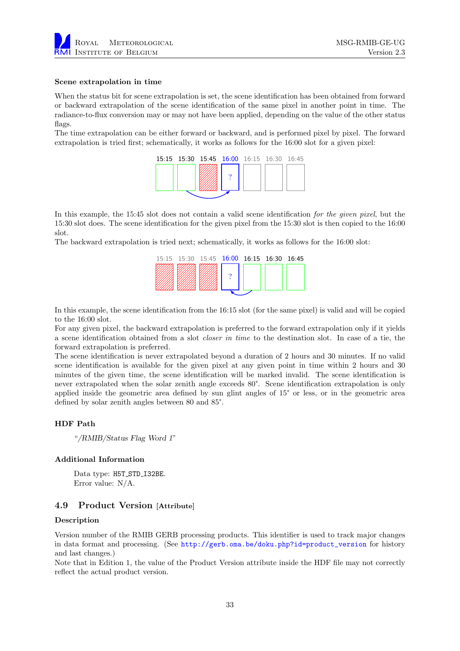

#### Scene extrapolation in time

When the status bit for scene extrapolation is set, the scene identification has been obtained from forward or backward extrapolation of the scene identification of the same pixel in another point in time. The radiance-to-flux conversion may or may not have been applied, depending on the value of the other status flags.

The time extrapolation can be either forward or backward, and is performed pixel by pixel. The forward extrapolation is tried first; schematically, it works as follows for the 16:00 slot for a given pixel:



In this example, the 15:45 slot does not contain a valid scene identification for the given pixel, but the 15:30 slot does. The scene identification for the given pixel from the 15:30 slot is then copied to the 16:00 slot.

The backward extrapolation is tried next; schematically, it works as follows for the 16:00 slot:



In this example, the scene identification from the 16:15 slot (for the same pixel) is valid and will be copied to the 16:00 slot.

For any given pixel, the backward extrapolation is preferred to the forward extrapolation only if it yields a scene identification obtained from a slot closer in time to the destination slot. In case of a tie, the forward extrapolation is preferred.

The scene identification is never extrapolated beyond a duration of 2 hours and 30 minutes. If no valid scene identification is available for the given pixel at any given point in time within 2 hours and 30 minutes of the given time, the scene identification will be marked invalid. The scene identification is never extrapolated when the solar zenith angle exceeds 80°. Scene identification extrapolation is only applied inside the geometric area defined by sun glint angles of 15° or less, or in the geometric area defined by solar zenith angles between 80 and 85°.

### HDF Path

"/RMIB/Status Flag Word 1"

#### Additional Information

Data type: H5T\_STD\_I32BE. Error value: N/A.

### <span id="page-46-0"></span>4.9 Product Version [Attribute]

#### Description

Version number of the RMIB GERB processing products. This identifier is used to track major changes in data format and processing. (See [http://gerb.oma.be/doku.php?id=product\\_version](http://gerb.oma.be/doku.php?id=product_version) for history and last changes.)

Note that in Edition 1, the value of the Product Version attribute inside the HDF file may not correctly reflect the actual product version.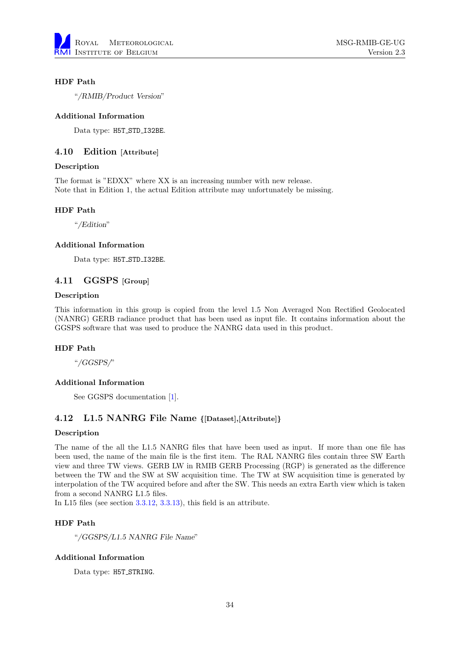"/RMIB/Product Version"

#### Additional Information

Data type: H5T\_STD\_I32BE.

### 4.10 Edition [Attribute]

#### Description

The format is "EDXX" where XX is an increasing number with new release. Note that in Edition 1, the actual Edition attribute may unfortunately be missing.

### HDF Path

"/Edition"

#### Additional Information

Data type: H5T\_STD\_I32BE.

## <span id="page-47-0"></span>4.11 GGSPS [Group]

### Description

This information in this group is copied from the level 1.5 Non Averaged Non Rectified Geolocated (NANRG) GERB radiance product that has been used as input file. It contains information about the GGSPS software that was used to produce the NANRG data used in this product.

### HDF Path

"/GGSPS/"

### Additional Information

See GGSPS documentation [\[1\]](#page-98-0).

## <span id="page-47-1"></span>4.12 L1.5 NANRG File Name {[Dataset],[Attribute]}

#### Description

The name of the all the L1.5 NANRG files that have been used as input. If more than one file has been used, the name of the main file is the first item. The RAL NANRG files contain three SW Earth view and three TW views. GERB LW in RMIB GERB Processing (RGP) is generated as the difference between the TW and the SW at SW acquisition time. The TW at SW acquisition time is generated by interpolation of the TW acquired before and after the SW. This needs an extra Earth view which is taken from a second NANRG L1.5 files.

In L15 files (see section [3.3.12,](#page-34-0) [3.3.13\)](#page-35-0), this field is an attribute.

### HDF Path

"/GGSPS/L1.5 NANRG File Name"

### Additional Information

Data type: H5T\_STRING.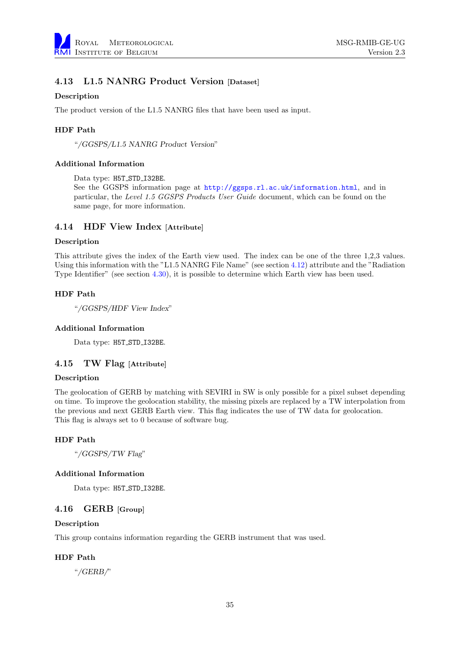# <span id="page-48-2"></span>4.13 L1.5 NANRG Product Version [Dataset]

#### Description

The product version of the L1.5 NANRG files that have been used as input.

### HDF Path

"/GGSPS/L1.5 NANRG Product Version"

#### Additional Information

Data type: H5T\_STD\_I32BE.

See the GGSPS information page at <http://ggsps.rl.ac.uk/information.html>, and in particular, the Level 1.5 GGSPS Products User Guide document, which can be found on the same page, for more information.

## <span id="page-48-1"></span>4.14 HDF View Index [Attribute]

#### Description

This attribute gives the index of the Earth view used. The index can be one of the three 1,2,3 values. Using this information with the "L1.5 NANRG File Name" (see section [4.12\)](#page-47-1) attribute and the "Radiation Type Identifier" (see section [4.30\)](#page-53-0), it is possible to determine which Earth view has been used.

### HDF Path

"/GGSPS/HDF View Index"

### Additional Information

Data type: H5T\_STD\_I32BE.

## <span id="page-48-3"></span>4.15 TW Flag [Attribute]

#### Description

The geolocation of GERB by matching with SEVIRI in SW is only possible for a pixel subset depending on time. To improve the geolocation stability, the missing pixels are replaced by a TW interpolation from the previous and next GERB Earth view. This flag indicates the use of TW data for geolocation. This flag is always set to 0 because of software bug.

### HDF Path

"/GGSPS/TW Flag"

### Additional Information

Data type: H5T\_STD\_I32BE.

## <span id="page-48-0"></span>4.16 GERB [Group]

#### Description

This group contains information regarding the GERB instrument that was used.

### HDF Path

"/GERB/"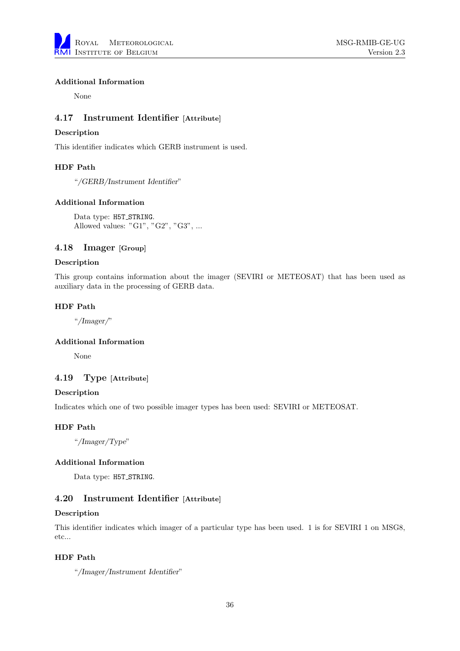

None

## <span id="page-49-0"></span>4.17 Instrument Identifier [Attribute]

### Description

This identifier indicates which GERB instrument is used.

### HDF Path

"/GERB/Instrument Identifier"

### Additional Information

Data type: H5T\_STRING. Allowed values: "G1", "G2", "G3",  $\ldots$ 

## <span id="page-49-1"></span>4.18 Imager [Group]

#### Description

This group contains information about the imager (SEVIRI or METEOSAT) that has been used as auxiliary data in the processing of GERB data.

### HDF Path

"/Imager/"

### Additional Information

None

### <span id="page-49-3"></span>4.19 Type [Attribute]

#### Description

Indicates which one of two possible imager types has been used: SEVIRI or METEOSAT.

### HDF Path

"/Imager/Type"

### Additional Information

Data type: H5T\_STRING.

## <span id="page-49-2"></span>4.20 Instrument Identifier [Attribute]

### Description

This identifier indicates which imager of a particular type has been used. 1 is for SEVIRI 1 on MSG8, etc...

### HDF Path

"/Imager/Instrument Identifier"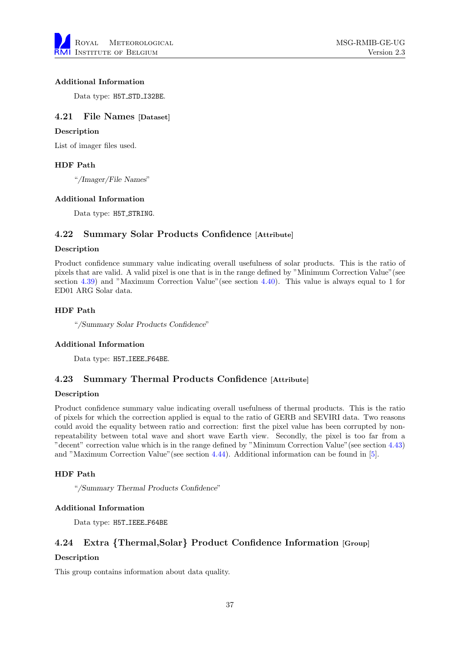Data type: H5T\_STD\_I32BE.

## <span id="page-50-1"></span>4.21 File Names [Dataset]

### Description

List of imager files used.

### HDF Path

"/Imager/File Names"

### Additional Information

Data type: H5T\_STRING.

## <span id="page-50-2"></span>4.22 Summary Solar Products Confidence [Attribute]

### Description

Product confidence summary value indicating overall usefulness of solar products. This is the ratio of pixels that are valid. A valid pixel is one that is in the range defined by "Minimum Correction Value"(see section [4.39\)](#page-56-2) and "Maximum Correction Value"(see section [4.40\)](#page-56-3). This value is always equal to 1 for ED01 ARG Solar data.

### HDF Path

"/Summary Solar Products Confidence"

### Additional Information

Data type: H5T IEEE F64BE.

## <span id="page-50-3"></span>4.23 Summary Thermal Products Confidence [Attribute]

### Description

Product confidence summary value indicating overall usefulness of thermal products. This is the ratio of pixels for which the correction applied is equal to the ratio of GERB and SEVIRI data. Two reasons could avoid the equality between ratio and correction: first the pixel value has been corrupted by nonrepeatability between total wave and short wave Earth view. Secondly, the pixel is too far from a "decent" correction value which is in the range defined by "Minimum Correction Value"(see section [4.43\)](#page-57-2) and "Maximum Correction Value"(see section [4.44\)](#page-58-2). Additional information can be found in [\[5\]](#page-98-1).

### HDF Path

"/Summary Thermal Products Confidence"

### Additional Information

Data type: H5T IEEE F64BE

# <span id="page-50-0"></span>4.24 Extra {Thermal,Solar} Product Confidence Information [Group]

### Description

This group contains information about data quality.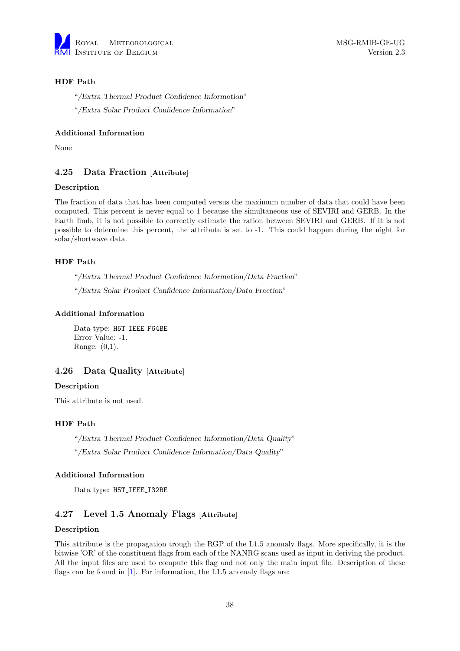

"/Extra Thermal Product Confidence Information" "/Extra Solar Product Confidence Information"

### Additional Information

None

### <span id="page-51-0"></span>4.25 Data Fraction [Attribute]

#### Description

The fraction of data that has been computed versus the maximum number of data that could have been computed. This percent is never equal to 1 because the simultaneous use of SEVIRI and GERB. In the Earth limb, it is not possible to correctly estimate the ration between SEVIRI and GERB. If it is not possible to determine this percent, the attribute is set to -1. This could happen during the night for solar/shortwave data.

### HDF Path

"/Extra Thermal Product Confidence Information/Data Fraction"

"/Extra Solar Product Confidence Information/Data Fraction"

### Additional Information

Data type: H5T\_IEEE\_F64BE Error Value: -1. Range: (0,1).

## <span id="page-51-1"></span>4.26 Data Quality [Attribute]

### Description

This attribute is not used.

## HDF Path

"/Extra Thermal Product Confidence Information/Data Quality" "/Extra Solar Product Confidence Information/Data Quality"

### Additional Information

Data type: H5T IEEE I32BE

## <span id="page-51-2"></span>4.27 Level 1.5 Anomaly Flags [Attribute]

#### Description

This attribute is the propagation trough the RGP of the L1.5 anomaly flags. More specifically, it is the bitwise 'OR' of the constituent flags from each of the NANRG scans used as input in deriving the product. All the input files are used to compute this flag and not only the main input file. Description of these flags can be found in  $[1]$ . For information, the L1.5 anomaly flags are: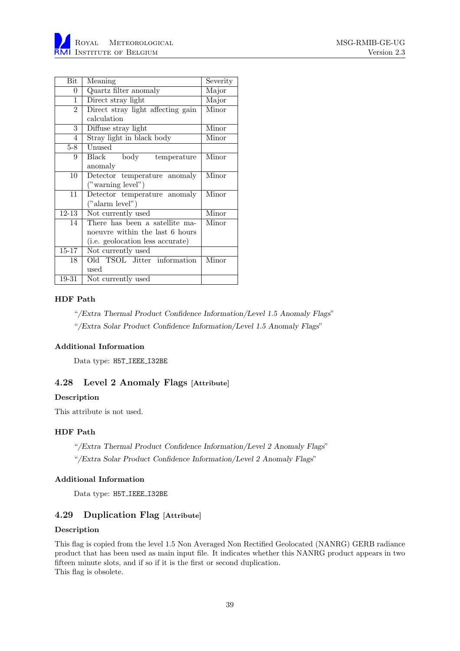| Bit            | Meaning                            | Severity |  |
|----------------|------------------------------------|----------|--|
| 0              | Quartz filter anomaly              | Major    |  |
| $\mathbf{1}$   | Direct stray light                 | Major    |  |
| $\overline{2}$ | Direct stray light affecting gain  | Minor    |  |
|                | calculation                        |          |  |
| 3              | Diffuse stray light<br>Minor       |          |  |
| $\overline{4}$ | Stray light in black body<br>Minor |          |  |
| $5-8$          | Unused                             |          |  |
| 9              | Black<br>body<br>temperature       | Minor    |  |
|                | anomaly                            |          |  |
| 10             | Detector temperature anomaly       | Minor    |  |
|                | ("warning level")                  |          |  |
| 11             | Detector temperature anomaly       | Minor    |  |
|                | ("alam level")                     |          |  |
| $12 - 13$      | Not currently used                 | Minor    |  |
| 14             | There has been a satellite ma-     | Minor    |  |
|                | noeuvre within the last 6 hours    |          |  |
|                | (i.e. geolocation less accurate)   |          |  |
| $15 - 17$      | Not currently used                 |          |  |
| 18             | Old TSOL Jitter information        | Minor    |  |
|                | used                               |          |  |
| 19-31          | Not currently used                 |          |  |

"/Extra Thermal Product Confidence Information/Level 1.5 Anomaly Flags" "/Extra Solar Product Confidence Information/Level 1.5 Anomaly Flags"

## Additional Information

Data type: H5T IEEE I32BE

# <span id="page-52-1"></span>4.28 Level 2 Anomaly Flags [Attribute]

## Description

This attribute is not used.

## HDF Path

"/Extra Thermal Product Confidence Information/Level 2 Anomaly Flags"

"/Extra Solar Product Confidence Information/Level 2 Anomaly Flags"

## Additional Information

Data type: H5T IEEE I32BE

# <span id="page-52-0"></span>4.29 Duplication Flag [Attribute]

## Description

This flag is copied from the level 1.5 Non Averaged Non Rectified Geolocated (NANRG) GERB radiance product that has been used as main input file. It indicates whether this NANRG product appears in two fifteen minute slots, and if so if it is the first or second duplication. This flag is obsolete.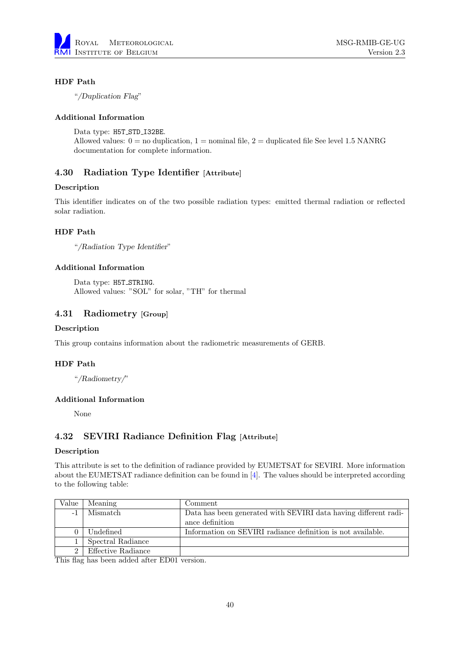

"/Duplication Flag"

### Additional Information

Data type: H5T\_STD\_I32BE.

Allowed values:  $0 =$  no duplication,  $1 =$  nominal file,  $2 =$  duplicated file See level 1.5 NANRG documentation for complete information.

## <span id="page-53-0"></span>4.30 Radiation Type Identifier [Attribute]

### Description

This identifier indicates on of the two possible radiation types: emitted thermal radiation or reflected solar radiation.

### HDF Path

"/Radiation Type Identifier"

### Additional Information

Data type: H5T\_STRING. Allowed values: "SOL" for solar, "TH" for thermal

## <span id="page-53-1"></span>4.31 Radiometry [Group]

### Description

This group contains information about the radiometric measurements of GERB.

### HDF Path

"/Radiometry/"

### Additional Information

None

## <span id="page-53-2"></span>4.32 SEVIRI Radiance Definition Flag [Attribute]

#### Description

This attribute is set to the definition of radiance provided by EUMETSAT for SEVIRI. More information about the EUMETSAT radiance definition can be found in [\[4\]](#page-98-2). The values should be interpreted according to the following table:

| Value    | Meaning            | Comment                                                         |
|----------|--------------------|-----------------------------------------------------------------|
|          | Mismatch           | Data has been generated with SEVIRI data having different radi- |
|          |                    | ance definition                                                 |
|          | Undefined          | Information on SEVIRI radiance definition is not available.     |
|          | Spectral Radiance  |                                                                 |
| $\Omega$ | Effective Radiance |                                                                 |

This flag has been added after ED01 version.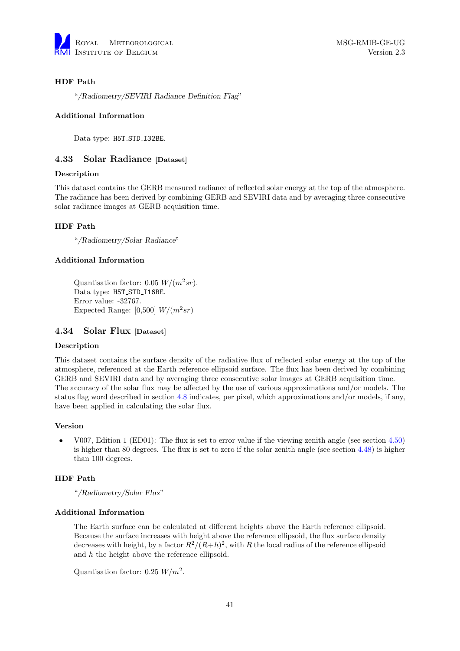

"/Radiometry/SEVIRI Radiance Definition Flag"

#### Additional Information

Data type: H5T\_STD\_I32BE.

### <span id="page-54-1"></span>4.33 Solar Radiance [Dataset]

### Description

This dataset contains the GERB measured radiance of reflected solar energy at the top of the atmosphere. The radiance has been derived by combining GERB and SEVIRI data and by averaging three consecutive solar radiance images at GERB acquisition time.

### HDF Path

"/Radiometry/Solar Radiance"

### Additional Information

Quantisation factor: 0.05  $W/(m^2sr)$ . Data type: H5T\_STD\_I16BE. Error value: -32767. Expected Range:  $[0,500]$   $W/(m^2sr)$ 

## <span id="page-54-0"></span>4.34 Solar Flux [Dataset]

### Description

This dataset contains the surface density of the radiative flux of reflected solar energy at the top of the atmosphere, referenced at the Earth reference ellipsoid surface. The flux has been derived by combining GERB and SEVIRI data and by averaging three consecutive solar images at GERB acquisition time. The accuracy of the solar flux may be affected by the use of various approximations and/or models. The status flag word described in section [4.8](#page-43-1) indicates, per pixel, which approximations and/or models, if any, have been applied in calculating the solar flux.

### Version

• V007, Edition 1 (ED01): The flux is set to error value if the viewing zenith angle (see section [4.50\)](#page-60-1) is higher than 80 degrees. The flux is set to zero if the solar zenith angle (see section [4.48\)](#page-59-1) is higher than 100 degrees.

### HDF Path

"/Radiometry/Solar Flux"

### Additional Information

The Earth surface can be calculated at different heights above the Earth reference ellipsoid. Because the surface increases with height above the reference ellipsoid, the flux surface density decreases with height, by a factor  $R^2/(R+h)^2$ , with R the local radius of the reference ellipsoid and  $h$  the height above the reference ellipsoid.

Quantisation factor:  $0.25 W/m^2$ .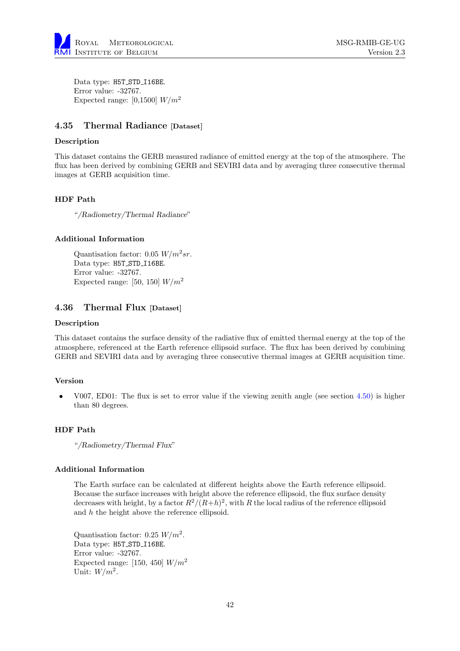Data type: H5T\_STD\_I16BE. Error value: -32767. Expected range: [0,1500]  $W/m^2$ 

## <span id="page-55-1"></span>4.35 Thermal Radiance [Dataset]

### Description

This dataset contains the GERB measured radiance of emitted energy at the top of the atmosphere. The flux has been derived by combining GERB and SEVIRI data and by averaging three consecutive thermal images at GERB acquisition time.

### HDF Path

"/Radiometry/Thermal Radiance"

### Additional Information

Quantisation factor:  $0.05 W/m^2 sr$ . Data type: H5T\_STD\_I16BE. Error value: -32767. Expected range: [50, 150]  $W/m^2$ 

## <span id="page-55-0"></span>4.36 Thermal Flux [Dataset]

### Description

This dataset contains the surface density of the radiative flux of emitted thermal energy at the top of the atmosphere, referenced at the Earth reference ellipsoid surface. The flux has been derived by combining GERB and SEVIRI data and by averaging three consecutive thermal images at GERB acquisition time.

### Version

• V007, ED01: The flux is set to error value if the viewing zenith angle (see section [4.50\)](#page-60-1) is higher than 80 degrees.

### HDF Path

"/Radiometry/Thermal Flux"

### Additional Information

The Earth surface can be calculated at different heights above the Earth reference ellipsoid. Because the surface increases with height above the reference ellipsoid, the flux surface density decreases with height, by a factor  $R^2/(R+h)^2$ , with R the local radius of the reference ellipsoid and h the height above the reference ellipsoid.

Quantisation factor:  $0.25 W/m^2$ . Data type: H5T\_STD\_I16BE. Error value: -32767. Expected range: [150, 450]  $W/m^2$ Unit:  $W/m^2$ .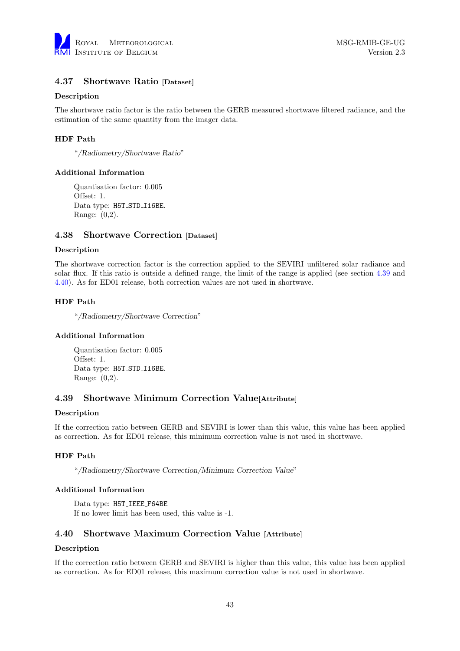## <span id="page-56-0"></span>4.37 Shortwave Ratio [Dataset]

#### Description

The shortwave ratio factor is the ratio between the GERB measured shortwave filtered radiance, and the estimation of the same quantity from the imager data.

### HDF Path

"/Radiometry/Shortwave Ratio"

### Additional Information

Quantisation factor: 0.005 Offset: 1. Data type: H5T\_STD\_I16BE. Range: (0,2).

### <span id="page-56-1"></span>4.38 Shortwave Correction [Dataset]

#### Description

The shortwave correction factor is the correction applied to the SEVIRI unfiltered solar radiance and solar flux. If this ratio is outside a defined range, the limit of the range is applied (see section [4.39](#page-56-2) and [4.40\)](#page-56-3). As for ED01 release, both correction values are not used in shortwave.

### HDF Path

"/Radiometry/Shortwave Correction"

### Additional Information

Quantisation factor: 0.005 Offset: 1. Data type: H5T\_STD\_I16BE. Range: (0,2).

## <span id="page-56-2"></span>4.39 Shortwave Minimum Correction Value[Attribute]

#### Description

If the correction ratio between GERB and SEVIRI is lower than this value, this value has been applied as correction. As for ED01 release, this minimum correction value is not used in shortwave.

### HDF Path

"/Radiometry/Shortwave Correction/Minimum Correction Value"

### Additional Information

Data type: H5T\_IEEE\_F64BE If no lower limit has been used, this value is -1.

### <span id="page-56-3"></span>4.40 Shortwave Maximum Correction Value [Attribute]

### Description

If the correction ratio between GERB and SEVIRI is higher than this value, this value has been applied as correction. As for ED01 release, this maximum correction value is not used in shortwave.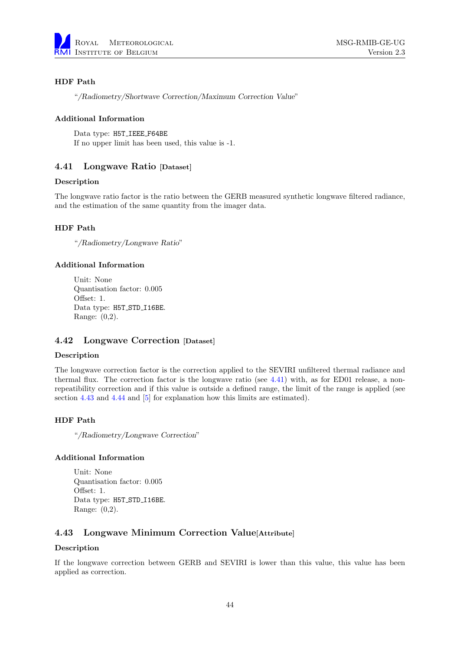

"/Radiometry/Shortwave Correction/Maximum Correction Value"

#### Additional Information

Data type: H5T\_IEEE\_F64BE If no upper limit has been used, this value is -1.

### <span id="page-57-0"></span>4.41 Longwave Ratio [Dataset]

#### Description

The longwave ratio factor is the ratio between the GERB measured synthetic longwave filtered radiance, and the estimation of the same quantity from the imager data.

#### HDF Path

"/Radiometry/Longwave Ratio"

### Additional Information

Unit: None Quantisation factor: 0.005 Offset: 1. Data type: H5T\_STD\_I16BE. Range: (0,2).

### <span id="page-57-1"></span>4.42 Longwave Correction [Dataset]

#### Description

The longwave correction factor is the correction applied to the SEVIRI unfiltered thermal radiance and thermal flux. The correction factor is the longwave ratio (see [4.41\)](#page-57-0) with, as for ED01 release, a nonrepeatibility correction and if this value is outside a defined range, the limit of the range is applied (see section [4.43](#page-57-2) and [4.44](#page-58-2) and [\[5\]](#page-98-1) for explanation how this limits are estimated).

### HDF Path

"/Radiometry/Longwave Correction"

### Additional Information

Unit: None Quantisation factor: 0.005 Offset: 1. Data type: H5T\_STD\_I16BE. Range: (0,2).

### <span id="page-57-2"></span>4.43 Longwave Minimum Correction Value[Attribute]

#### Description

If the longwave correction between GERB and SEVIRI is lower than this value, this value has been applied as correction.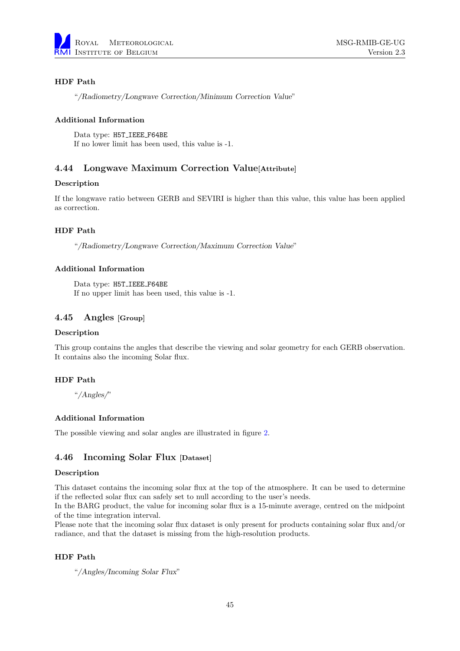

"/Radiometry/Longwave Correction/Minimum Correction Value"

### Additional Information

Data type: H5T IEEE F64BE If no lower limit has been used, this value is -1.

## <span id="page-58-2"></span>4.44 Longwave Maximum Correction Value[Attribute]

### Description

If the longwave ratio between GERB and SEVIRI is higher than this value, this value has been applied as correction.

### HDF Path

"/Radiometry/Longwave Correction/Maximum Correction Value"

### Additional Information

Data type: H5T IEEE F64BE If no upper limit has been used, this value is -1.

## <span id="page-58-0"></span>4.45 Angles [Group]

### Description

This group contains the angles that describe the viewing and solar geometry for each GERB observation. It contains also the incoming Solar flux.

## HDF Path

"/Angles/"

### Additional Information

The possible viewing and solar angles are illustrated in figure [2.](#page-59-2)

## <span id="page-58-1"></span>4.46 Incoming Solar Flux [Dataset]

### Description

This dataset contains the incoming solar flux at the top of the atmosphere. It can be used to determine if the reflected solar flux can safely set to null according to the user's needs.

In the BARG product, the value for incoming solar flux is a 15-minute average, centred on the midpoint of the time integration interval.

Please note that the incoming solar flux dataset is only present for products containing solar flux and/or radiance, and that the dataset is missing from the high-resolution products.

### HDF Path

"/Angles/Incoming Solar Flux"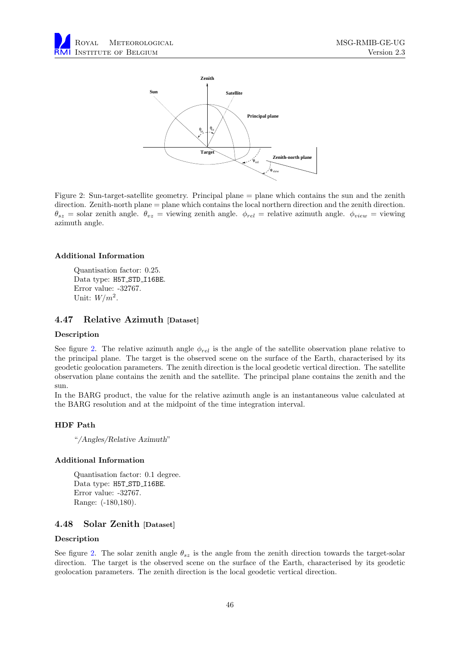

<span id="page-59-2"></span>Figure 2: Sun-target-satellite geometry. Principal plane = plane which contains the sun and the zenith direction. Zenith-north plane = plane which contains the local northern direction and the zenith direction.  $\theta_{sz}$  = solar zenith angle.  $\theta_{vz}$  = viewing zenith angle.  $\phi_{rel}$  = relative azimuth angle.  $\phi_{view}$  = viewing azimuth angle.

#### Additional Information

Quantisation factor: 0.25. Data type: H5T\_STD\_I16BE. Error value: -32767. Unit:  $W/m^2$ .

### <span id="page-59-0"></span>4.47 Relative Azimuth [Dataset]

#### Description

See figure [2.](#page-59-2) The relative azimuth angle  $\phi_{rel}$  is the angle of the satellite observation plane relative to the principal plane. The target is the observed scene on the surface of the Earth, characterised by its geodetic geolocation parameters. The zenith direction is the local geodetic vertical direction. The satellite observation plane contains the zenith and the satellite. The principal plane contains the zenith and the sun.

In the BARG product, the value for the relative azimuth angle is an instantaneous value calculated at the BARG resolution and at the midpoint of the time integration interval.

#### HDF Path

"/Angles/Relative Azimuth"

### Additional Information

Quantisation factor: 0.1 degree. Data type: H5T\_STD\_I16BE. Error value: -32767. Range: (-180,180).

## <span id="page-59-1"></span>4.48 Solar Zenith [Dataset]

#### Description

See figure [2.](#page-59-2) The solar zenith angle  $\theta_{sz}$  is the angle from the zenith direction towards the target-solar direction. The target is the observed scene on the surface of the Earth, characterised by its geodetic geolocation parameters. The zenith direction is the local geodetic vertical direction.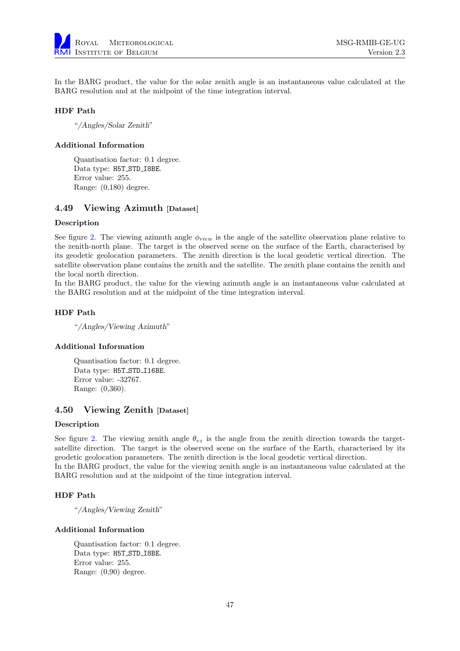In the BARG product, the value for the solar zenith angle is an instantaneous value calculated at the BARG resolution and at the midpoint of the time integration interval.

### HDF Path

"/Angles/Solar Zenith"

### Additional Information

Quantisation factor: 0.1 degree. Data type: H5T\_STD\_I8BE. Error value: 255. Range: (0,180) degree.

## <span id="page-60-0"></span>4.49 Viewing Azimuth [Dataset]

### Description

See figure [2.](#page-59-2) The viewing azimuth angle  $\phi_{view}$  is the angle of the satellite observation plane relative to the zenith-north plane. The target is the observed scene on the surface of the Earth, characterised by its geodetic geolocation parameters. The zenith direction is the local geodetic vertical direction. The satellite observation plane contains the zenith and the satellite. The zenith plane contains the zenith and the local north direction.

In the BARG product, the value for the viewing azimuth angle is an instantaneous value calculated at the BARG resolution and at the midpoint of the time integration interval.

### HDF Path

"/Angles/Viewing Azimuth"

### Additional Information

Quantisation factor: 0.1 degree. Data type: H5T\_STD\_I16BE. Error value: -32767. Range: (0,360).

## <span id="page-60-1"></span>4.50 Viewing Zenith [Dataset]

### Description

See figure [2.](#page-59-2) The viewing zenith angle  $\theta_{vz}$  is the angle from the zenith direction towards the targetsatellite direction. The target is the observed scene on the surface of the Earth, characterised by its geodetic geolocation parameters. The zenith direction is the local geodetic vertical direction.

In the BARG product, the value for the viewing zenith angle is an instantaneous value calculated at the BARG resolution and at the midpoint of the time integration interval.

## HDF Path

"/Angles/Viewing Zenith"

### Additional Information

Quantisation factor: 0.1 degree. Data type: H5T\_STD\_I8BE. Error value: 255. Range: (0,90) degree.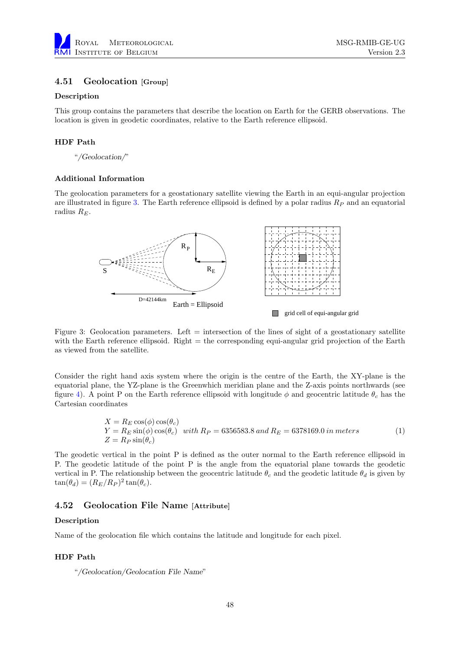## <span id="page-61-0"></span>4.51 Geolocation [Group]

#### Description

This group contains the parameters that describe the location on Earth for the GERB observations. The location is given in geodetic coordinates, relative to the Earth reference ellipsoid.

#### HDF Path

"/Geolocation/"

#### Additional Information

The geolocation parameters for a geostationary satellite viewing the Earth in an equi-angular projection are illustrated in figure [3.](#page-61-2) The Earth reference ellipsoid is defined by a polar radius  $R<sub>P</sub>$  and an equatorial radius  $R_E$ .



<span id="page-61-2"></span>Figure 3: Geolocation parameters. Left  $=$  intersection of the lines of sight of a geostationary satellite with the Earth reference ellipsoid. Right = the corresponding equi-angular grid projection of the Earth as viewed from the satellite.

Consider the right hand axis system where the origin is the centre of the Earth, the XY-plane is the equatorial plane, the YZ-plane is the Greenwhich meridian plane and the Z-axis points northwards (see figure [4\)](#page-62-2). A point P on the Earth reference ellipsoid with longitude  $\phi$  and geocentric latitude  $\theta_c$  has the Cartesian coordinates

$$
X = R_E \cos(\phi) \cos(\theta_c)
$$
  
\n
$$
Y = R_E \sin(\phi) \cos(\theta_c)
$$
 with  $R_P = 6356583.8$  and  $R_E = 6378169.0$  in meters  
\n
$$
Z = R_P \sin(\theta_c)
$$
 (1)

The geodetic vertical in the point P is defined as the outer normal to the Earth reference ellipsoid in P. The geodetic latitude of the point P is the angle from the equatorial plane towards the geodetic vertical in P. The relationship between the geocentric latitude  $\theta_c$  and the geodetic latitude  $\theta_d$  is given by  $\tan(\theta_d) = (R_E/R_P)^2 \tan(\theta_c).$ 

### <span id="page-61-1"></span>4.52 Geolocation File Name [Attribute]

#### Description

Name of the geolocation file which contains the latitude and longitude for each pixel.

### HDF Path

"/Geolocation/Geolocation File Name"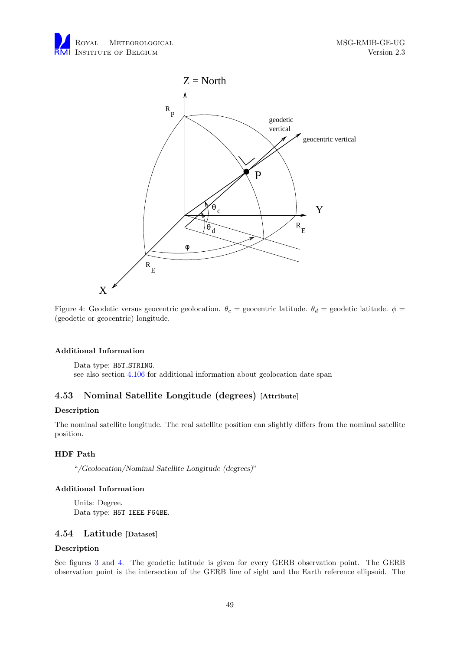

<span id="page-62-2"></span>Figure 4: Geodetic versus geocentric geolocation.  $\theta_c$  = geocentric latitude.  $\theta_d$  = geodetic latitude.  $\phi$  = (geodetic or geocentric) longitude.

Data type: H5T\_STRING.

see also section [4.106](#page-79-1) for additional information about geolocation date span

# <span id="page-62-1"></span>4.53 Nominal Satellite Longitude (degrees) [Attribute]

#### Description

The nominal satellite longitude. The real satellite position can slightly differs from the nominal satellite position.

#### HDF Path

"/Geolocation/Nominal Satellite Longitude (degrees)"

#### Additional Information

Units: Degree. Data type: H5T IEEE F64BE.

#### <span id="page-62-0"></span>4.54 Latitude [Dataset]

### Description

See figures [3](#page-61-2) and [4.](#page-62-2) The geodetic latitude is given for every GERB observation point. The GERB observation point is the intersection of the GERB line of sight and the Earth reference ellipsoid. The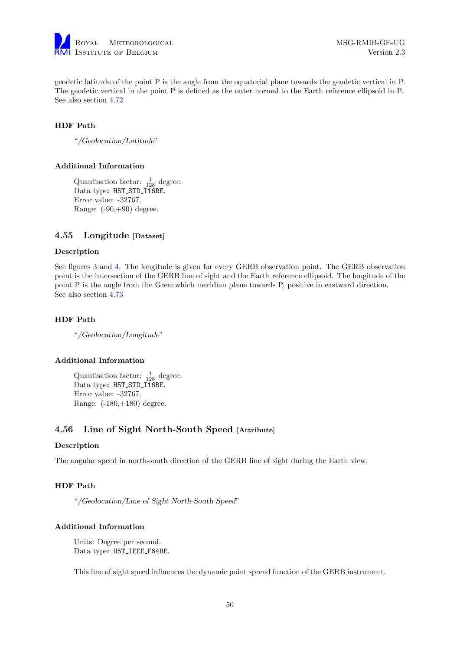

geodetic latitude of the point P is the angle from the equatorial plane towards the geodetic vertical in P. The geodetic vertical in the point P is defined as the outer normal to the Earth reference ellipsoid in P. See also section [4.72](#page-68-0)

#### HDF Path

"/Geolocation/Latitude"

#### Additional Information

Quantisation factor:  $\frac{1}{128}$  degree. Data type: H5T\_STD\_I16BE. Error value: -32767. Range: (-90,+90) degree.

## <span id="page-63-1"></span>4.55 Longitude [Dataset]

#### Description

See figures [3](#page-61-2) and [4.](#page-62-2) The longitude is given for every GERB observation point. The GERB observation point is the intersection of the GERB line of sight and the Earth reference ellipsoid. The longitude of the point P is the angle from the Greenwhich meridian plane towards P, positive in eastward direction. See also section [4.73](#page-68-1)

#### HDF Path

"/Geolocation/Longitude"

#### Additional Information

Quantisation factor:  $\frac{1}{128}$  degree. Data type: H5T\_STD\_I16BE. Error value: -32767. Range: (-180,+180) degree.

### <span id="page-63-0"></span>4.56 Line of Sight North-South Speed [Attribute]

#### Description

The angular speed in north-south direction of the GERB line of sight during the Earth view.

### HDF Path

"/Geolocation/Line of Sight North-South Speed"

### Additional Information

Units: Degree per second. Data type: H5T IEEE F64BE.

This line of sight speed influences the dynamic point spread function of the GERB instrument.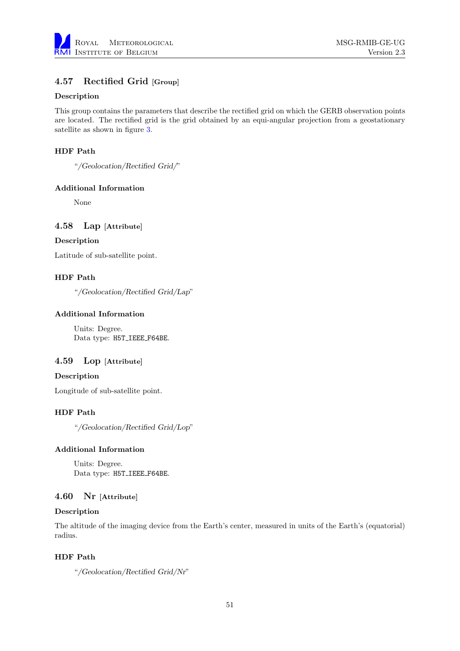# <span id="page-64-0"></span>4.57 Rectified Grid [Group]

### Description

This group contains the parameters that describe the rectified grid on which the GERB observation points are located. The rectified grid is the grid obtained by an equi-angular projection from a geostationary satellite as shown in figure [3.](#page-61-2)

## HDF Path

"/Geolocation/Rectified Grid/"

### Additional Information

None

## <span id="page-64-1"></span>4.58 Lap [Attribute]

### Description

Latitude of sub-satellite point.

## HDF Path

"/Geolocation/Rectified Grid/Lap"

### Additional Information

Units: Degree. Data type: H5T IEEE F64BE.

## <span id="page-64-2"></span>4.59 Lop [Attribute]

### Description

Longitude of sub-satellite point.

## HDF Path

"/Geolocation/Rectified Grid/Lop"

### Additional Information

Units: Degree. Data type: H5T IEEE F64BE.

## <span id="page-64-3"></span>4.60 Nr [Attribute]

### Description

The altitude of the imaging device from the Earth's center, measured in units of the Earth's (equatorial) radius.

### HDF Path

```
"/Geolocation/Rectified Grid/Nr"
```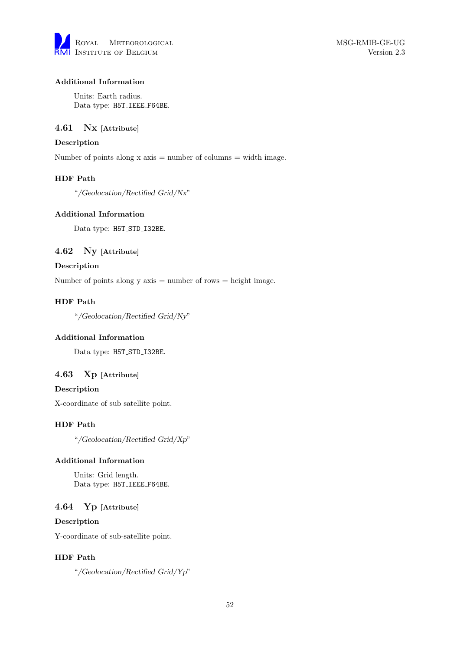Units: Earth radius. Data type: H5T\_IEEE\_F64BE.

## <span id="page-65-0"></span>4.61 Nx [Attribute]

### Description

Number of points along x axis = number of columns = width image.

## HDF Path

"/Geolocation/Rectified Grid/Nx"

### Additional Information

Data type: H5T\_STD\_I32BE.

## <span id="page-65-1"></span>4.62 Ny [Attribute]

### Description

Number of points along  $y$  axis  $=$  number of rows  $=$  height image.

### HDF Path

"/Geolocation/Rectified Grid/Ny"

### Additional Information

Data type: H5T\_STD\_I32BE.

# <span id="page-65-2"></span>4.63 Xp [Attribute]

### Description

X-coordinate of sub satellite point.

## HDF Path

"/Geolocation/Rectified Grid/Xp"

### Additional Information

Units: Grid length. Data type: H5T\_IEEE\_F64BE.

## <span id="page-65-3"></span>4.64 Yp [Attribute]

### Description

Y-coordinate of sub-satellite point.

## HDF Path

"/Geolocation/Rectified Grid/Yp"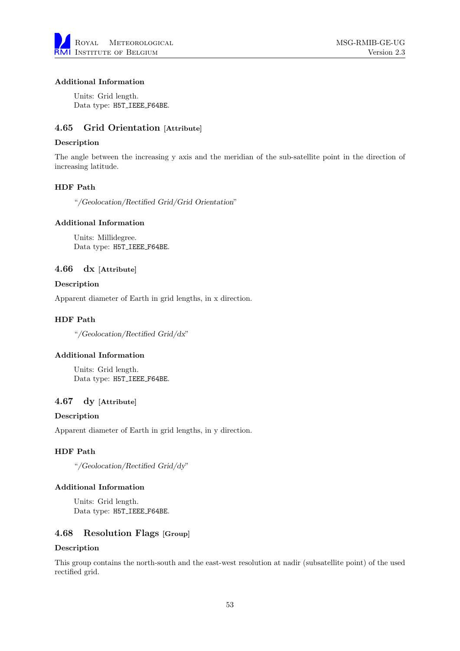Units: Grid length. Data type: H5T IEEE F64BE.

## <span id="page-66-2"></span>4.65 Grid Orientation [Attribute]

### Description

The angle between the increasing y axis and the meridian of the sub-satellite point in the direction of increasing latitude.

### HDF Path

"/Geolocation/Rectified Grid/Grid Orientation"

### Additional Information

Units: Millidegree. Data type: H5T IEEE F64BE.

## <span id="page-66-0"></span>4.66 dx [Attribute]

### Description

Apparent diameter of Earth in grid lengths, in x direction.

### HDF Path

"/Geolocation/Rectified Grid/dx"

### Additional Information

Units: Grid length. Data type: H5T IEEE F64BE.

## <span id="page-66-1"></span>4.67 dy [Attribute]

### Description

Apparent diameter of Earth in grid lengths, in y direction.

### HDF Path

"/Geolocation/Rectified Grid/dy"

## Additional Information

Units: Grid length. Data type: H5T\_IEEE\_F64BE.

## <span id="page-66-3"></span>4.68 Resolution Flags [Group]

### Description

This group contains the north-south and the east-west resolution at nadir (subsatellite point) of the used rectified grid.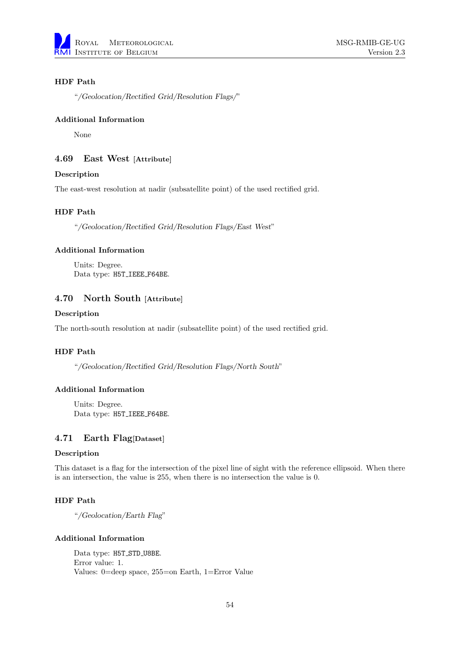"/Geolocation/Rectified Grid/Resolution Flags/"

#### Additional Information

None

## <span id="page-67-1"></span>4.69 East West [Attribute]

### Description

The east-west resolution at nadir (subsatellite point) of the used rectified grid.

### HDF Path

"/Geolocation/Rectified Grid/Resolution Flags/East West"

### Additional Information

Units: Degree. Data type: H5T IEEE F64BE.

## <span id="page-67-2"></span>4.70 North South [Attribute]

### Description

The north-south resolution at nadir (subsatellite point) of the used rectified grid.

### HDF Path

"/Geolocation/Rectified Grid/Resolution Flags/North South"

### Additional Information

Units: Degree. Data type: H5T IEEE F64BE.

### <span id="page-67-0"></span>4.71 Earth Flag[Dataset]

#### Description

This dataset is a flag for the intersection of the pixel line of sight with the reference ellipsoid. When there is an intersection, the value is 255, when there is no intersection the value is 0.

### HDF Path

"/Geolocation/Earth Flag"

#### Additional Information

Data type: H5T\_STD\_U8BE. Error value: 1. Values: 0=deep space, 255=on Earth, 1=Error Value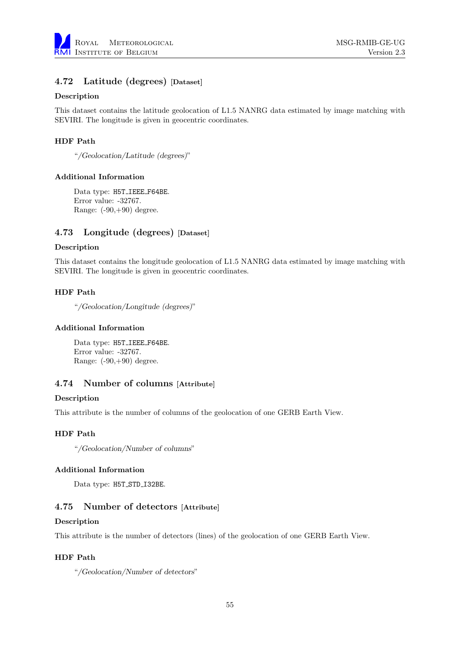# <span id="page-68-0"></span>4.72 Latitude (degrees) [Dataset]

### Description

This dataset contains the latitude geolocation of L1.5 NANRG data estimated by image matching with SEVIRI. The longitude is given in geocentric coordinates.

### HDF Path

"/Geolocation/Latitude (degrees)"

### Additional Information

Data type: H5T IEEE F64BE. Error value: -32767. Range: (-90,+90) degree.

## <span id="page-68-1"></span>4.73 Longitude (degrees) [Dataset]

### Description

This dataset contains the longitude geolocation of L1.5 NANRG data estimated by image matching with SEVIRI. The longitude is given in geocentric coordinates.

### HDF Path

"/Geolocation/Longitude (degrees)"

### Additional Information

Data type: H5T\_IEEE\_F64BE. Error value: -32767. Range:  $(-90,+90)$  degree.

## <span id="page-68-2"></span>4.74 Number of columns [Attribute]

### Description

This attribute is the number of columns of the geolocation of one GERB Earth View.

## HDF Path

"/Geolocation/Number of columns"

### Additional Information

Data type: H5T\_STD\_I32BE.

## <span id="page-68-3"></span>4.75 Number of detectors [Attribute]

### Description

This attribute is the number of detectors (lines) of the geolocation of one GERB Earth View.

## HDF Path

"/Geolocation/Number of detectors"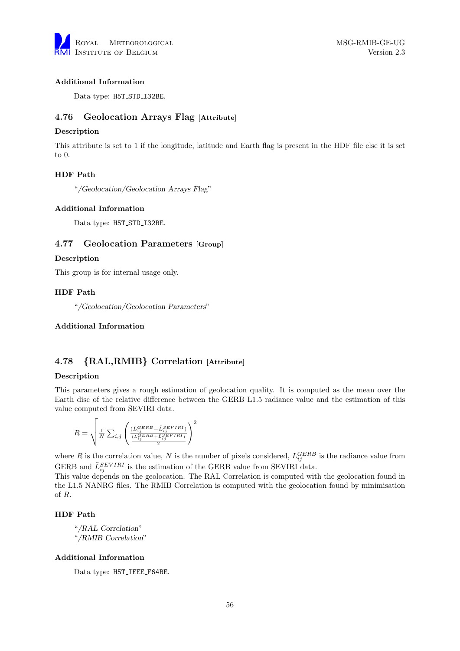Data type: H5T\_STD\_I32BE.

## <span id="page-69-0"></span>4.76 Geolocation Arrays Flag [Attribute]

#### Description

This attribute is set to 1 if the longitude, latitude and Earth flag is present in the HDF file else it is set to 0.

### HDF Path

"/Geolocation/Geolocation Arrays Flag"

### Additional Information

Data type: H5T\_STD\_I32BE.

### <span id="page-69-1"></span>4.77 Geolocation Parameters [Group]

#### Description

This group is for internal usage only.

### HDF Path

"/Geolocation/Geolocation Parameters"

### Additional Information

# <span id="page-69-2"></span>4.78 {RAL,RMIB} Correlation [Attribute]

### Description

This parameters gives a rough estimation of geolocation quality. It is computed as the mean over the Earth disc of the relative difference between the GERB L1.5 radiance value and the estimation of this value computed from SEVIRI data.

$$
R = \sqrt{\frac{1}{N}\sum_{i,j}\left(\frac{(L_{ij}^{GERB}-\tilde{L}_{ij}^{SEVIRI})}{\frac{(L_{ij}^{GERB}+\tilde{L}_{ij}^{SEVIRI})}{2}}\right)^2}
$$

where R is the correlation value, N is the number of pixels considered,  $L_{ij}^{GERB}$  is the radiance value from GERB and  $\tilde{L}_{ij}^{SEVIRI}$  is the estimation of the GERB value from SEVIRI data.

This value depends on the geolocation. The RAL Correlation is computed with the geolocation found in the L1.5 NANRG files. The RMIB Correlation is computed with the geolocation found by minimisation of R.

### HDF Path

"/RAL Correlation" "/RMIB Correlation"

### Additional Information

Data type: H5T IEEE F64BE.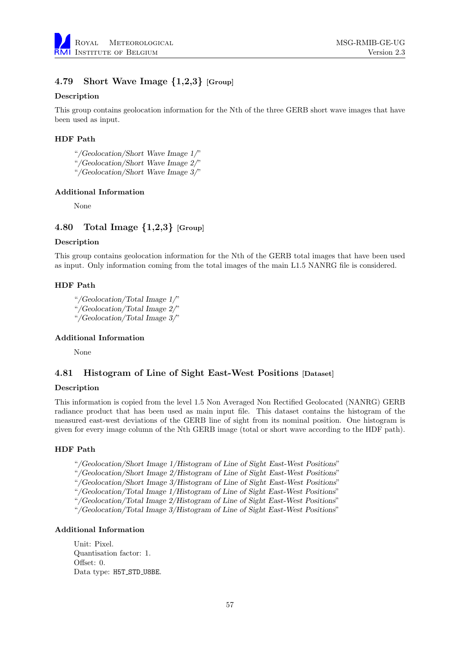# <span id="page-70-0"></span>4.79 Short Wave Image {1,2,3} [Group]

#### Description

This group contains geolocation information for the Nth of the three GERB short wave images that have been used as input.

### HDF Path

"/Geolocation/Short Wave Image 1/"

"/Geolocation/Short Wave Image 2/"

"/Geolocation/Short Wave Image 3/"

### Additional Information

None

## <span id="page-70-2"></span>4.80 Total Image  $\{1,2,3\}$  [Group]

#### Description

This group contains geolocation information for the Nth of the GERB total images that have been used as input. Only information coming from the total images of the main L1.5 NANRG file is considered.

### HDF Path

"/Geolocation/Total Image 1/" "/Geolocation/Total Image 2/" "/Geolocation/Total Image 3/"

### Additional Information

None

## <span id="page-70-1"></span>4.81 Histogram of Line of Sight East-West Positions [Dataset]

### Description

This information is copied from the level 1.5 Non Averaged Non Rectified Geolocated (NANRG) GERB radiance product that has been used as main input file. This dataset contains the histogram of the measured east-west deviations of the GERB line of sight from its nominal position. One histogram is given for every image column of the Nth GERB image (total or short wave according to the HDF path).

### HDF Path

- "/Geolocation/Short Image 1/Histogram of Line of Sight East-West Positions"
- "/Geolocation/Short Image 2/Histogram of Line of Sight East-West Positions"
- "/Geolocation/Short Image 3/Histogram of Line of Sight East-West Positions"

"/Geolocation/Total Image 1/Histogram of Line of Sight East-West Positions"

- "/Geolocation/Total Image 2/Histogram of Line of Sight East-West Positions"
- "/Geolocation/Total Image 3/Histogram of Line of Sight East-West Positions"

### Additional Information

Unit: Pixel. Quantisation factor: 1. Offset: 0. Data type: H5T\_STD\_U8BE.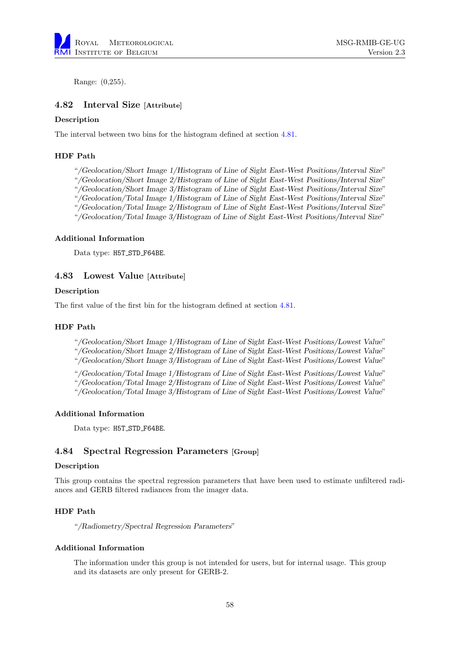Range: (0,255).

## <span id="page-71-0"></span>4.82 Interval Size [Attribute]

#### Description

The interval between two bins for the histogram defined at section [4.81.](#page-70-1)

#### HDF Path

"/Geolocation/Short Image 1/Histogram of Line of Sight East-West Positions/Interval Size"

"/Geolocation/Short Image 2/Histogram of Line of Sight East-West Positions/Interval Size"

"/Geolocation/Short Image 3/Histogram of Line of Sight East-West Positions/Interval Size"

"/Geolocation/Total Image 1/Histogram of Line of Sight East-West Positions/Interval Size"

"/Geolocation/Total Image 2/Histogram of Line of Sight East-West Positions/Interval Size"

"/Geolocation/Total Image 3/Histogram of Line of Sight East-West Positions/Interval Size"

#### Additional Information

Data type: H5T\_STD\_F64BE.

### <span id="page-71-1"></span>4.83 Lowest Value [Attribute]

#### Description

The first value of the first bin for the histogram defined at section [4.81.](#page-70-1)

#### HDF Path

"/Geolocation/Short Image 1/Histogram of Line of Sight East-West Positions/Lowest Value"

"/Geolocation/Short Image 2/Histogram of Line of Sight East-West Positions/Lowest Value"

"/Geolocation/Short Image 3/Histogram of Line of Sight East-West Positions/Lowest Value"

"/Geolocation/Total Image 1/Histogram of Line of Sight East-West Positions/Lowest Value"

"/Geolocation/Total Image 2/Histogram of Line of Sight East-West Positions/Lowest Value"

"/Geolocation/Total Image 3/Histogram of Line of Sight East-West Positions/Lowest Value"

#### Additional Information

Data type: H5T\_STD\_F64BE.

### <span id="page-71-2"></span>4.84 Spectral Regression Parameters [Group]

#### Description

This group contains the spectral regression parameters that have been used to estimate unfiltered radiances and GERB filtered radiances from the imager data.

#### HDF Path

"/Radiometry/Spectral Regression Parameters"

#### Additional Information

The information under this group is not intended for users, but for internal usage. This group and its datasets are only present for GERB-2.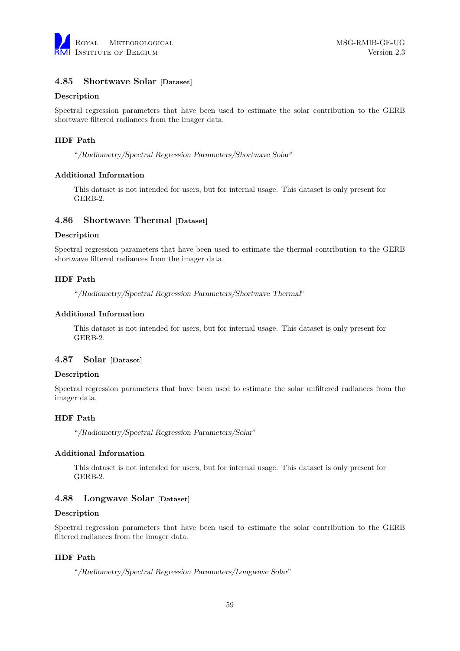# <span id="page-72-0"></span>4.85 Shortwave Solar [Dataset]

#### Description

Spectral regression parameters that have been used to estimate the solar contribution to the GERB shortwave filtered radiances from the imager data.

# HDF Path

"/Radiometry/Spectral Regression Parameters/Shortwave Solar"

# Additional Information

This dataset is not intended for users, but for internal usage. This dataset is only present for GERB-2.

# 4.86 Shortwave Thermal [Dataset]

#### Description

Spectral regression parameters that have been used to estimate the thermal contribution to the GERB shortwave filtered radiances from the imager data.

# HDF Path

"/Radiometry/Spectral Regression Parameters/Shortwave Thermal"

# Additional Information

This dataset is not intended for users, but for internal usage. This dataset is only present for GERB-2.

# 4.87 Solar [Dataset]

### Description

Spectral regression parameters that have been used to estimate the solar unfiltered radiances from the imager data.

# HDF Path

"/Radiometry/Spectral Regression Parameters/Solar"

# Additional Information

This dataset is not intended for users, but for internal usage. This dataset is only present for GERB-2.

# 4.88 Longwave Solar [Dataset]

#### Description

Spectral regression parameters that have been used to estimate the solar contribution to the GERB filtered radiances from the imager data.

# HDF Path

"/Radiometry/Spectral Regression Parameters/Longwave Solar"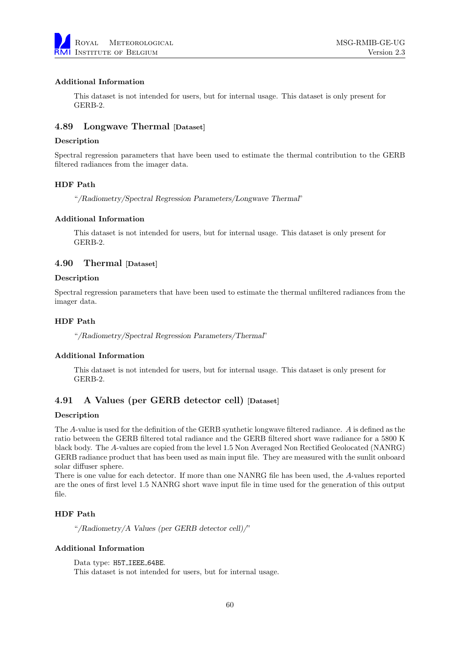<span id="page-73-0"></span>

# Additional Information

This dataset is not intended for users, but for internal usage. This dataset is only present for GERB-2.

# 4.89 Longwave Thermal [Dataset]

### Description

Spectral regression parameters that have been used to estimate the thermal contribution to the GERB filtered radiances from the imager data.

# HDF Path

"/Radiometry/Spectral Regression Parameters/Longwave Thermal"

#### Additional Information

This dataset is not intended for users, but for internal usage. This dataset is only present for GERB-2.

# 4.90 Thermal [Dataset]

#### Description

Spectral regression parameters that have been used to estimate the thermal unfiltered radiances from the imager data.

### HDF Path

"/Radiometry/Spectral Regression Parameters/Thermal"

# Additional Information

This dataset is not intended for users, but for internal usage. This dataset is only present for GERB-2.

# 4.91 A Values (per GERB detector cell) [Dataset]

#### Description

The A-value is used for the definition of the GERB synthetic longwave filtered radiance. A is defined as the ratio between the GERB filtered total radiance and the GERB filtered short wave radiance for a 5800 K black body. The A-values are copied from the level 1.5 Non Averaged Non Rectified Geolocated (NANRG) GERB radiance product that has been used as main input file. They are measured with the sunlit onboard solar diffuser sphere.

There is one value for each detector. If more than one NANRG file has been used, the A-values reported are the ones of first level 1.5 NANRG short wave input file in time used for the generation of this output file.

# HDF Path

"/Radiometry/A Values (per GERB detector cell)/"

# Additional Information

Data type: H5T\_IEEE\_64BE. This dataset is not intended for users, but for internal usage.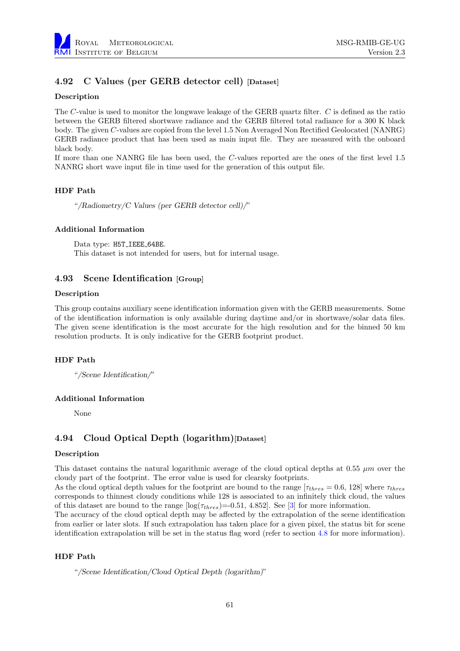# <span id="page-74-0"></span>4.92 C Values (per GERB detector cell) [Dataset]

# Description

The C-value is used to monitor the longwave leakage of the GERB quartz filter. C is defined as the ratio between the GERB filtered shortwave radiance and the GERB filtered total radiance for a 300 K black body. The given C-values are copied from the level 1.5 Non Averaged Non Rectified Geolocated (NANRG) GERB radiance product that has been used as main input file. They are measured with the onboard black body.

If more than one NANRG file has been used, the C-values reported are the ones of the first level 1.5 NANRG short wave input file in time used for the generation of this output file.

#### HDF Path

"/Radiometry/C Values (per GERB detector cell)/"

#### Additional Information

Data type: H5T\_IEEE\_64BE. This dataset is not intended for users, but for internal usage.

# 4.93 Scene Identification [Group]

#### Description

This group contains auxiliary scene identification information given with the GERB measurements. Some of the identification information is only available during daytime and/or in shortwave/solar data files. The given scene identification is the most accurate for the high resolution and for the binned 50 km resolution products. It is only indicative for the GERB footprint product.

# HDF Path

"/Scene Identification/"

# Additional Information

None

# 4.94 Cloud Optical Depth (logarithm)[Dataset]

#### Description

This dataset contains the natural logarithmic average of the cloud optical depths at  $0.55 \mu m$  over the cloudy part of the footprint. The error value is used for clearsky footprints.

As the cloud optical depth values for the footprint are bound to the range  $[\tau_{thres} = 0.6, 128]$  where  $\tau_{thres}$ corresponds to thinnest cloudy conditions while 128 is associated to an infinitely thick cloud, the values of this dataset are bound to the range  $[\log(\tau_{thres})=0.51, 4.852]$ . See [\[3\]](#page-98-0) for more information.

The accuracy of the cloud optical depth may be affected by the extrapolation of the scene identification from earlier or later slots. If such extrapolation has taken place for a given pixel, the status bit for scene identification extrapolation will be set in the status flag word (refer to section [4.8](#page-43-0) for more information).

#### HDF Path

"/Scene Identification/Cloud Optical Depth (logarithm)"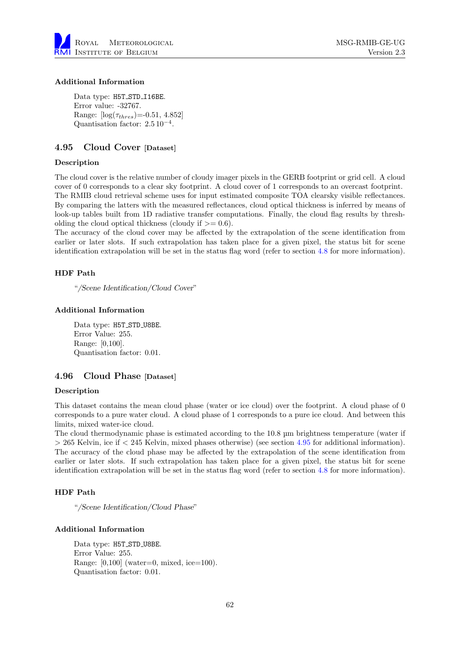<span id="page-75-1"></span>

# Additional Information

Data type: H5T\_STD\_I16BE. Error value: -32767. Range:  $[log(\tau_{thres}) = -0.51, 4.852]$ Quantisation factor:  $2.510^{-4}$ .

# <span id="page-75-0"></span>4.95 Cloud Cover [Dataset]

# Description

The cloud cover is the relative number of cloudy imager pixels in the GERB footprint or grid cell. A cloud cover of 0 corresponds to a clear sky footprint. A cloud cover of 1 corresponds to an overcast footprint. The RMIB cloud retrieval scheme uses for input estimated composite TOA clearsky visible reflectances. By comparing the latters with the measured reflectances, cloud optical thickness is inferred by means of look-up tables built from 1D radiative transfer computations. Finally, the cloud flag results by thresholding the cloud optical thickness (cloudy if  $\geq$  = 0.6).

The accuracy of the cloud cover may be affected by the extrapolation of the scene identification from earlier or later slots. If such extrapolation has taken place for a given pixel, the status bit for scene identification extrapolation will be set in the status flag word (refer to section [4.8](#page-43-0) for more information).

# HDF Path

"/Scene Identification/Cloud Cover"

# Additional Information

Data type: H5T\_STD\_U8BE. Error Value: 255. Range: [0,100]. Quantisation factor: 0.01.

# 4.96 Cloud Phase [Dataset]

# Description

This dataset contains the mean cloud phase (water or ice cloud) over the footprint. A cloud phase of 0 corresponds to a pure water cloud. A cloud phase of 1 corresponds to a pure ice cloud. And between this limits, mixed water-ice cloud.

The cloud thermodynamic phase is estimated according to the 10.8 µm brightness temperature (water if  $> 265$  Kelvin, ice if  $< 245$  Kelvin, mixed phases otherwise) (see section [4.95](#page-75-0) for additional information). The accuracy of the cloud phase may be affected by the extrapolation of the scene identification from earlier or later slots. If such extrapolation has taken place for a given pixel, the status bit for scene identification extrapolation will be set in the status flag word (refer to section [4.8](#page-43-0) for more information).

# HDF Path

"/Scene Identification/Cloud Phase"

# Additional Information

Data type: H5T\_STD\_U8BE. Error Value: 255. Range:  $[0,100]$  (water=0, mixed, ice=100). Quantisation factor: 0.01.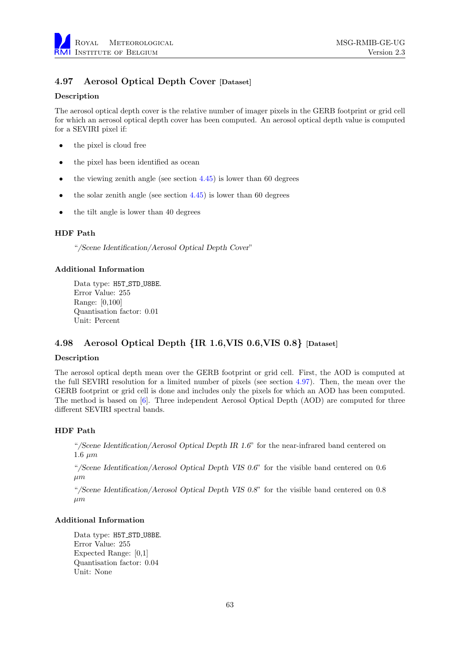# <span id="page-76-1"></span><span id="page-76-0"></span>4.97 Aerosol Optical Depth Cover [Dataset]

# Description

The aerosol optical depth cover is the relative number of imager pixels in the GERB footprint or grid cell for which an aerosol optical depth cover has been computed. An aerosol optical depth value is computed for a SEVIRI pixel if:

- the pixel is cloud free
- the pixel has been identified as ocean
- the viewing zenith angle (see section  $4.45$ ) is lower than 60 degrees
- the solar zenith angle (see section  $4.45$ ) is lower than 60 degrees
- the tilt angle is lower than 40 degrees

# HDF Path

"/Scene Identification/Aerosol Optical Depth Cover"

# Additional Information

Data type: H5T\_STD\_U8BE. Error Value: 255 Range: [0,100] Quantisation factor: 0.01 Unit: Percent

# 4.98 Aerosol Optical Depth {IR 1.6,VIS 0.6,VIS 0.8} [Dataset]

# Description

The aerosol optical depth mean over the GERB footprint or grid cell. First, the AOD is computed at the full SEVIRI resolution for a limited number of pixels (see section [4.97\)](#page-76-0). Then, the mean over the GERB footprint or grid cell is done and includes only the pixels for which an AOD has been computed. The method is based on [\[6\]](#page-98-1). Three independent Aerosol Optical Depth (AOD) are computed for three different SEVIRI spectral bands.

# HDF Path

"/Scene Identification/Aerosol Optical Depth IR 1.6" for the near-infrared band centered on 1.6  $\mu$ m

"/Scene Identification/Aerosol Optical Depth VIS 0.6" for the visible band centered on 0.6  $\mu$ m

"/Scene Identification/Aerosol Optical Depth VIS 0.8" for the visible band centered on 0.8  $\mu$ m

# Additional Information

Data type: H5T\_STD\_U8BE. Error Value: 255 Expected Range: [0,1] Quantisation factor: 0.04 Unit: None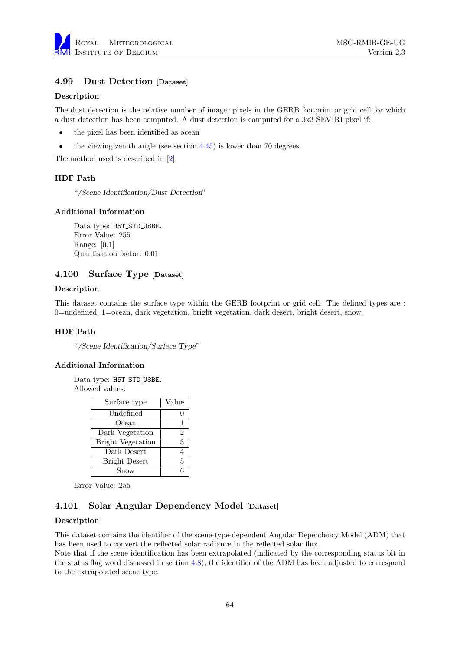# <span id="page-77-0"></span>4.99 Dust Detection [Dataset]

#### Description

The dust detection is the relative number of imager pixels in the GERB footprint or grid cell for which a dust detection has been computed. A dust detection is computed for a 3x3 SEVIRI pixel if:

- the pixel has been identified as ocean
- the viewing zenith angle (see section  $4.45$ ) is lower than 70 degrees

The method used is described in [\[2\]](#page-98-2).

#### HDF Path

"/Scene Identification/Dust Detection"

#### Additional Information

Data type: H5T\_STD\_U8BE. Error Value: 255 Range: [0,1] Quantisation factor: 0.01

# 4.100 Surface Type [Dataset]

#### Description

This dataset contains the surface type within the GERB footprint or grid cell. The defined types are : 0=undefined, 1=ocean, dark vegetation, bright vegetation, dark desert, bright desert, snow.

#### HDF Path

"/Scene Identification/Surface Type"

#### Additional Information

Data type: H5T\_STD\_U8BE. Allowed values:

| Surface type             | Value |
|--------------------------|-------|
| Undefined                |       |
| Ocean                    | 1     |
| Dark Vegetation          | 2     |
| <b>Bright Vegetation</b> | 3     |
| Dark Desert              | 4     |
| <b>Bright Desert</b>     | 5     |
| Snow                     | б     |

Error Value: 255

# 4.101 Solar Angular Dependency Model [Dataset]

#### Description

This dataset contains the identifier of the scene-type-dependent Angular Dependency Model (ADM) that has been used to convert the reflected solar radiance in the reflected solar flux.

Note that if the scene identification has been extrapolated (indicated by the corresponding status bit in the status flag word discussed in section [4.8\)](#page-43-0), the identifier of the ADM has been adjusted to correspond to the extrapolated scene type.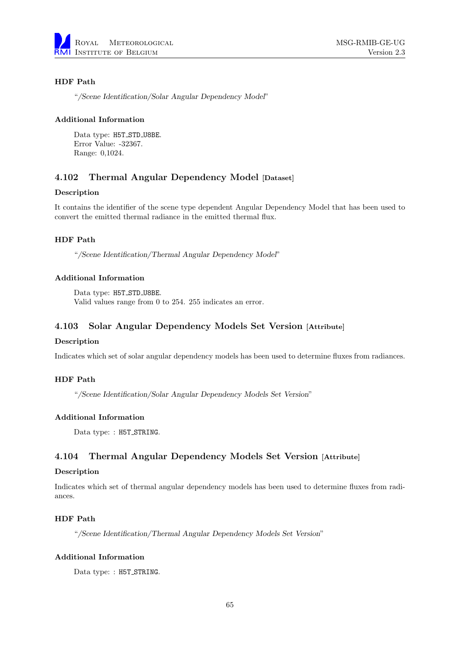<span id="page-78-0"></span>

# HDF Path

"/Scene Identification/Solar Angular Dependency Model"

### Additional Information

Data type: H5T\_STD\_U8BE. Error Value: -32367. Range: 0,1024.

# 4.102 Thermal Angular Dependency Model [Dataset]

# Description

It contains the identifier of the scene type dependent Angular Dependency Model that has been used to convert the emitted thermal radiance in the emitted thermal flux.

# HDF Path

"/Scene Identification/Thermal Angular Dependency Model"

# Additional Information

Data type: H5T\_STD\_U8BE. Valid values range from 0 to 254. 255 indicates an error.

# 4.103 Solar Angular Dependency Models Set Version [Attribute]

# Description

Indicates which set of solar angular dependency models has been used to determine fluxes from radiances.

# HDF Path

"/Scene Identification/Solar Angular Dependency Models Set Version"

# Additional Information

Data type: : H5T\_STRING.

# 4.104 Thermal Angular Dependency Models Set Version [Attribute]

# Description

Indicates which set of thermal angular dependency models has been used to determine fluxes from radiances.

# HDF Path

"/Scene Identification/Thermal Angular Dependency Models Set Version"

#### Additional Information

Data type: : H5T\_STRING.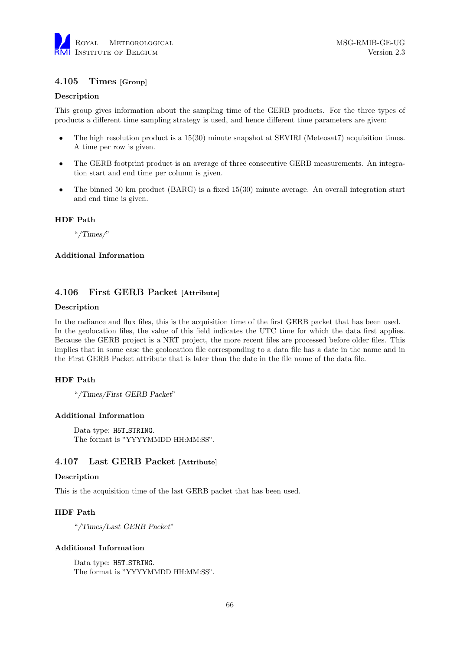<span id="page-79-0"></span>

# 4.105 Times [Group]

#### Description

This group gives information about the sampling time of the GERB products. For the three types of products a different time sampling strategy is used, and hence different time parameters are given:

- The high resolution product is a 15(30) minute snapshot at SEVIRI (Meteosat7) acquisition times. A time per row is given.
- The GERB footprint product is an average of three consecutive GERB measurements. An integration start and end time per column is given.
- The binned 50 km product (BARG) is a fixed 15(30) minute average. An overall integration start and end time is given.

#### HDF Path

"/Times/"

#### Additional Information

# 4.106 First GERB Packet [Attribute]

#### Description

In the radiance and flux files, this is the acquisition time of the first GERB packet that has been used. In the geolocation files, the value of this field indicates the UTC time for which the data first applies. Because the GERB project is a NRT project, the more recent files are processed before older files. This implies that in some case the geolocation file corresponding to a data file has a date in the name and in the First GERB Packet attribute that is later than the date in the file name of the data file.

#### HDF Path

"/Times/First GERB Packet"

#### Additional Information

Data type: H5T\_STRING. The format is "YYYYMMDD HH:MM:SS".

# 4.107 Last GERB Packet [Attribute]

#### Description

This is the acquisition time of the last GERB packet that has been used.

#### HDF Path

"/Times/Last GERB Packet"

#### Additional Information

Data type: H5T\_STRING. The format is "YYYYMMDD HH:MM:SS".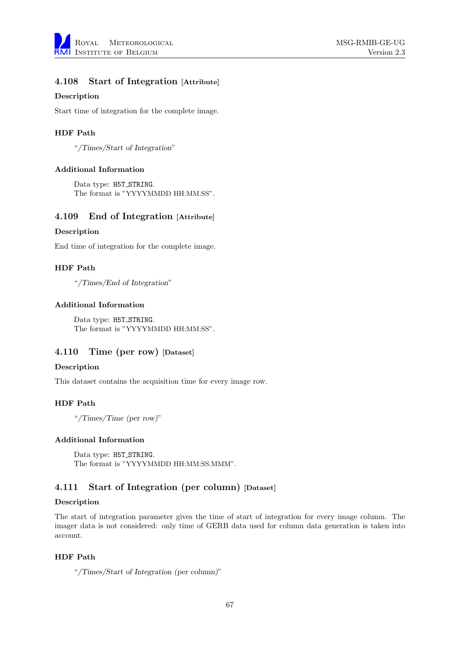# <span id="page-80-0"></span>4.108 Start of Integration [Attribute]

#### Description

Start time of integration for the complete image.

### HDF Path

"/Times/Start of Integration"

#### Additional Information

Data type: H5T\_STRING. The format is "YYYYMMDD HH:MM:SS".

# 4.109 End of Integration [Attribute]

#### Description

End time of integration for the complete image.

# HDF Path

"/Times/End of Integration"

# Additional Information

Data type: H5T\_STRING. The format is "YYYYMMDD HH:MM:SS".

# 4.110 Time (per row) [Dataset]

# Description

This dataset contains the acquisition time for every image row.

#### HDF Path

"/Times/Time (per row)"

#### Additional Information

Data type: H5T\_STRING. The format is "YYYYMMDD HH:MM:SS.MMM".

# 4.111 Start of Integration (per column) [Dataset]

#### Description

The start of integration parameter gives the time of start of integration for every image column. The imager data is not considered: only time of GERB data used for column data generation is taken into account.

# HDF Path

"/Times/Start of Integration (per column)"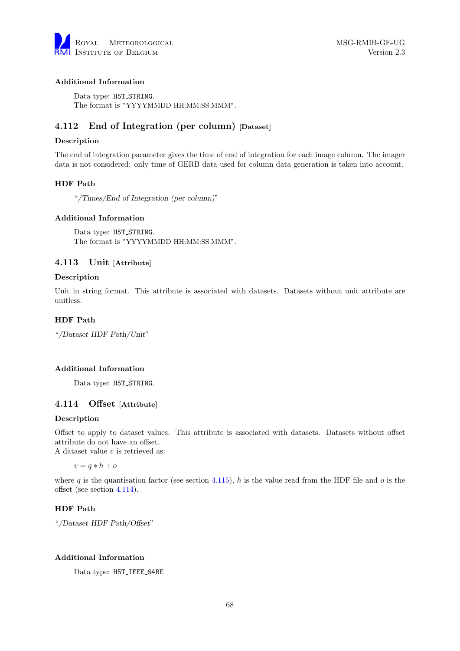<span id="page-81-1"></span>

### Additional Information

Data type: H5T\_STRING. The format is "YYYYMMDD HH:MM:SS.MMM".

# 4.112 End of Integration (per column) [Dataset]

# Description

The end of integration parameter gives the time of end of integration for each image column. The imager data is not considered: only time of GERB data used for column data generation is taken into account.

#### HDF Path

"/Times/End of Integration (per column)"

#### Additional Information

Data type: H5T\_STRING. The format is "YYYYMMDD HH:MM:SS.MMM".

# 4.113 Unit [Attribute]

#### Description

Unit in string format. This attribute is associated with datasets. Datasets without unit attribute are unitless.

#### HDF Path

"/Dataset HDF Path/Unit"

#### Additional Information

Data type: H5T\_STRING.

# <span id="page-81-0"></span>4.114 Offset [Attribute]

#### Description

Offset to apply to dataset values. This attribute is associated with datasets. Datasets without offset attribute do not have an offset.

A dataset value  $v$  is retrieved as:

 $v = q * h + o$ 

where q is the quantisation factor (see section [4.115\)](#page-82-0), h is the value read from the HDF file and  $o$  is the offset (see section [4.114\)](#page-81-0).

# HDF Path

"/Dataset HDF Path/Offset"

#### Additional Information

Data type: H5T\_IEEE\_64BE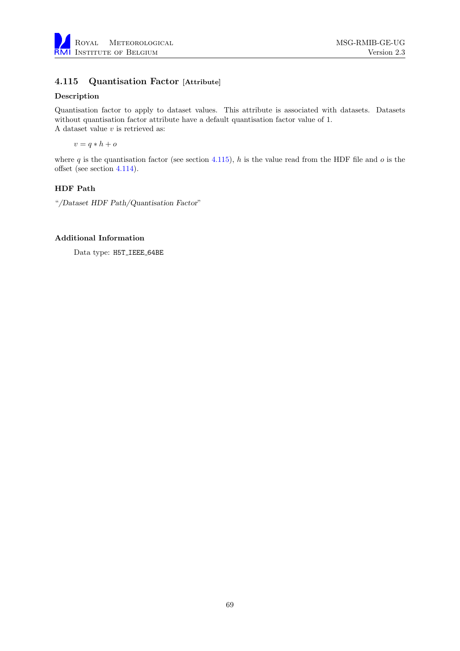# <span id="page-82-1"></span><span id="page-82-0"></span>4.115 Quantisation Factor [Attribute]

# Description

Quantisation factor to apply to dataset values. This attribute is associated with datasets. Datasets without quantisation factor attribute have a default quantisation factor value of 1. A dataset value  $v$  is retrieved as:

 $v = q * h + o$ 

where q is the quantisation factor (see section [4.115\)](#page-82-0), h is the value read from the HDF file and  $o$  is the offset (see section [4.114\)](#page-81-0).

# HDF Path

"/Dataset HDF Path/Quantisation Factor"

# Additional Information

Data type: H5T\_IEEE\_64BE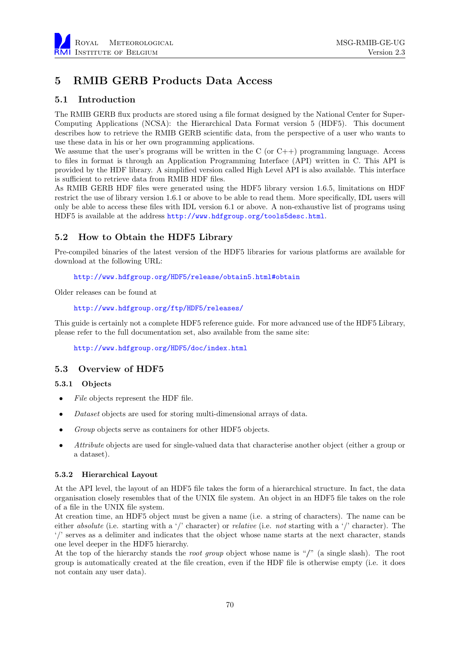# 5 RMIB GERB Products Data Access

# 5.1 Introduction

The RMIB GERB flux products are stored using a file format designed by the National Center for Super-Computing Applications (NCSA): the Hierarchical Data Format version 5 (HDF5). This document describes how to retrieve the RMIB GERB scientific data, from the perspective of a user who wants to use these data in his or her own programming applications.

We assume that the user's programs will be written in the C (or  $C_{++}$ ) programming language. Access to files in format is through an Application Programming Interface (API) written in C. This API is provided by the HDF library. A simplified version called High Level API is also available. This interface is sufficient to retrieve data from RMIB HDF files.

As RMIB GERB HDF files were generated using the HDF5 library version 1.6.5, limitations on HDF restrict the use of library version 1.6.1 or above to be able to read them. More specifically, IDL users will only be able to access these files with IDL version 6.1 or above. A non-exhaustive list of programs using HDF5 is available at the address <http://www.hdfgroup.org/tools5desc.html>.

# <span id="page-83-1"></span>5.2 How to Obtain the HDF5 Library

Pre-compiled binaries of the latest version of the HDF5 libraries for various platforms are available for download at the following URL:

<http://www.hdfgroup.org/HDF5/release/obtain5.html#obtain>

Older releases can be found at

```
http://www.hdfgroup.org/ftp/HDF5/releases/
```
This guide is certainly not a complete HDF5 reference guide. For more advanced use of the HDF5 Library, please refer to the full documentation set, also available from the same site:

<http://www.hdfgroup.org/HDF5/doc/index.html>

# 5.3 Overview of HDF5

# 5.3.1 Objects

- File objects represent the HDF file.
- Dataset objects are used for storing multi-dimensional arrays of data.
- Group objects serve as containers for other HDF5 objects.
- Attribute objects are used for single-valued data that characterise another object (either a group or a dataset).

# <span id="page-83-0"></span>5.3.2 Hierarchical Layout

At the API level, the layout of an HDF5 file takes the form of a hierarchical structure. In fact, the data organisation closely resembles that of the UNIX file system. An object in an HDF5 file takes on the role of a file in the UNIX file system.

At creation time, an HDF5 object must be given a name (i.e. a string of characters). The name can be either *absolute* (i.e. starting with a '/' character) or *relative* (i.e. *not* starting with a '/' character). The '/' serves as a delimiter and indicates that the object whose name starts at the next character, stands one level deeper in the HDF5 hierarchy.

At the top of the hierarchy stands the *root group* object whose name is "/" (a single slash). The root group is automatically created at the file creation, even if the HDF file is otherwise empty (i.e. it does not contain any user data).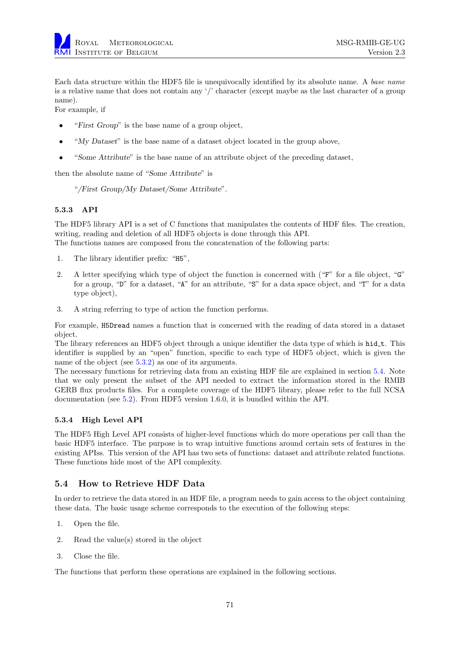Each data structure within the HDF5 file is unequivocally identified by its absolute name. A base name is a relative name that does not contain any '/' character (except maybe as the last character of a group name).

For example, if

- "First Group" is the base name of a group object,
- "My Dataset" is the base name of a dataset object located in the group above,
- "Some Attribute" is the base name of an attribute object of the preceding dataset,

then the absolute name of "Some Attribute" is

"/First Group/My Dataset/Some Attribute".

#### 5.3.3 API

The HDF5 library API is a set of C functions that manipulates the contents of HDF files. The creation, writing, reading and deletion of all HDF5 objects is done through this API. The functions names are composed from the concatenation of the following parts:

- 1. The library identifier prefix: "H5",
- 2. A letter specifying which type of object the function is concerned with ("F" for a file object, "G" for a group, "D" for a dataset, "A" for an attribute, "S" for a data space object, and "T" for a data type object),
- 3. A string referring to type of action the function performs.

For example, H5Dread names a function that is concerned with the reading of data stored in a dataset object.

The library references an HDF5 object through a unique identifier the data type of which is hid\_t. This identifier is supplied by an "open" function, specific to each type of HDF5 object, which is given the name of the object (see [5.3.2\)](#page-83-0) as one of its arguments.

The necessary functions for retrieving data from an existing HDF file are explained in section [5.4.](#page-84-0) Note that we only present the subset of the API needed to extract the information stored in the RMIB GERB flux products files. For a complete coverage of the HDF5 library, please refer to the full NCSA documentation (see [5.2\)](#page-83-1). From HDF5 version 1.6.0, it is bundled within the API.

#### 5.3.4 High Level API

The HDF5 High Level API consists of higher-level functions which do more operations per call than the basic HDF5 interface. The purpose is to wrap intuitive functions around certain sets of features in the existing APIss. This version of the API has two sets of functions: dataset and attribute related functions. These functions hide most of the API complexity.

# <span id="page-84-0"></span>5.4 How to Retrieve HDF Data

In order to retrieve the data stored in an HDF file, a program needs to gain access to the object containing these data. The basic usage scheme corresponds to the execution of the following steps:

- 1. Open the file.
- 2. Read the value(s) stored in the object
- 3. Close the file.

The functions that perform these operations are explained in the following sections.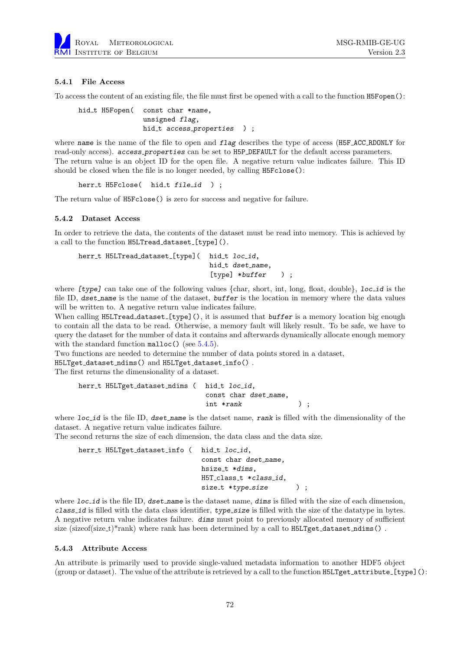#### 5.4.1 File Access

To access the content of an existing file, the file must first be opened with a call to the function H5Fopen():

hid\_t H5Fopen( const char \*name, unsigned flag, hid\_t access\_properties ) ;

where name is the name of the file to open and flag describes the type of access (H5F\_ACC\_RDONLY for read-only access). access properties can be set to H5P DEFAULT for the default access parameters. The return value is an object ID for the open file. A negative return value indicates failure. This ID should be closed when the file is no longer needed, by calling H5Fclose():

herr\_t H5Fclose( hid\_t file\_id ) ;

The return value of H5Fclose() is zero for success and negative for failure.

#### <span id="page-85-0"></span>5.4.2 Dataset Access

In order to retrieve the data, the contents of the dataset must be read into memory. This is achieved by a call to the function H5LTread dataset [type]().

```
herr_t H5LTread_dataset_[type] ( hid_t loc_id,
                                hid_t dset_name,
                                 [type] *buffer ) ;
```
where  $[type]$  can take one of the following values {char, short, int, long, float, double}, loc\_id is the file ID, dset name is the name of the dataset, buffer is the location in memory where the data values will be written to. A negative return value indicates failure.

When calling H5LTread dataset [type](), it is assumed that buffer is a memory location big enough to contain all the data to be read. Otherwise, a memory fault will likely result. To be safe, we have to query the dataset for the number of data it contains and afterwards dynamically allocate enough memory with the standard function malloc() (see  $5.4.5$ ).

Two functions are needed to determine the number of data points stored in a dataset,

H5LTget dataset ndims() and H5LTget dataset info() .

The first returns the dimensionality of a dataset.

```
herr_t H5LTget_dataset_ndims ( hid_t loc_id,
                           const char dset name,
                           int *rank );
```
where loc<sub>id</sub> is the file ID, dset name is the datset name, rank is filled with the dimensionality of the dataset. A negative return value indicates failure.

The second returns the size of each dimension, the data class and the data size.

```
herr_t H5LTget_dataset_info ( hid_t loc_id,
                              const char dset name,
                              hsize_t *dims,
                              H5T class t *class id,
                              size_t *type_size ) ;
```
where loc<sub>id</sub> is the file ID, dset name is the dataset name, dims is filled with the size of each dimension, class id is filled with the data class identifier, type size is filled with the size of the datatype in bytes. A negative return value indicates failure. dims must point to previously allocated memory of sufficient size (sizeof(size\_t)\*rank) where rank has been determined by a call to  $H5LTget\_dataset\_ndims()$ .

#### 5.4.3 Attribute Access

An attribute is primarily used to provide single-valued metadata information to another HDF5 object (group or dataset). The value of the attribute is retrieved by a call to the function H5LTget attribute [type]():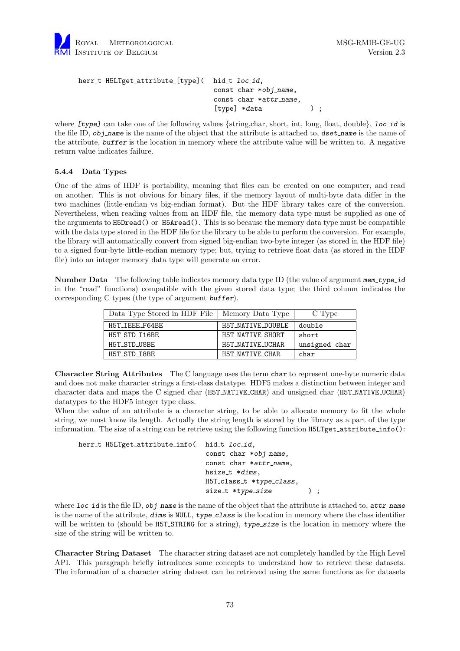```
herr_t H5LTget_attribute_[type]( hid_t loc_id,
                               const char *obj_name,
                               const char *attr_name,
                                [type] * data ) ;
```
where  $[type]$  can take one of the following values {string,char, short, int, long, float, double}, loc\_id is the file ID, obj\_name is the name of the object that the attribute is attached to, dset\_name is the name of the attribute, buffer is the location in memory where the attribute value will be written to. A negative return value indicates failure.

# 5.4.4 Data Types

One of the aims of HDF is portability, meaning that files can be created on one computer, and read on another. This is not obvious for binary files, if the memory layout of multi-byte data differ in the two machines (little-endian vs big-endian format). But the HDF library takes care of the conversion. Nevertheless, when reading values from an HDF file, the memory data type must be supplied as one of the arguments to H5Dread() or H5Aread(). This is so because the memory data type must be compatible with the data type stored in the HDF file for the library to be able to perform the conversion. For example, the library will automatically convert from signed big-endian two-byte integer (as stored in the HDF file) to a signed four-byte little-endian memory type; but, trying to retrieve float data (as stored in the HDF file) into an integer memory data type will generate an error.

Number Data The following table indicates memory data type ID (the value of argument mem type id in the "read" functions) compatible with the given stored data type; the third column indicates the corresponding C types (the type of argument buffer).

| Data Type Stored in HDF File | Memory Data Type  | C Type        |
|------------------------------|-------------------|---------------|
| H5T_IEEE_F64BE               | H5T_NATIVE_DOUBLE | double        |
| H5T_STD_I16BE                | H5T_NATIVE_SHORT  | short         |
| H5T_STD_U8BE                 | H5T_NATIVE_UCHAR  | unsigned char |
| H5T_STD_I8BE                 | H5T NATIVE CHAR   | char          |

Character String Attributes The C language uses the term char to represent one-byte numeric data and does not make character strings a first-class datatype. HDF5 makes a distinction between integer and character data and maps the C signed char (H5T NATIVE CHAR) and unsigned char (H5T NATIVE UCHAR) datatypes to the HDF5 integer type class.

When the value of an attribute is a character string, to be able to allocate memory to fit the whole string, we must know its length. Actually the string length is stored by the library as a part of the type information. The size of a string can be retrieve using the following function H5LTget\_attribute\_info():

```
herr_t H5LTget_attribute_info( hid_t loc_id,
                               const char *obj_name,
                               const char *attr_name,
                               hsize_t *dims,
                               H5T_class_t *type_class,
                               size_t *type_size ) ;
```
where loc-id is the file ID, obj-name is the name of the object that the attribute is attached to, attr name is the name of the attribute, dims is NULL, type\_class is the location in memory where the class identifier will be written to (should be H5T\_STRING for a string), type\_size is the location in memory where the size of the string will be written to.

Character String Dataset The character string dataset are not completely handled by the High Level API. This paragraph briefly introduces some concepts to understand how to retrieve these datasets. The information of a character string dataset can be retrieved using the same functions as for datasets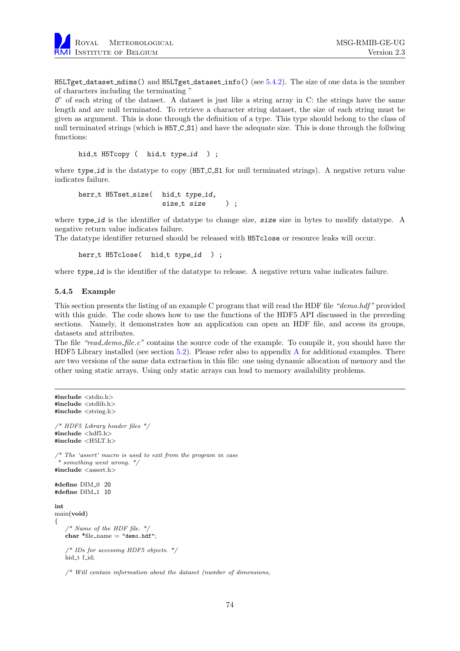<span id="page-87-1"></span>H5LTget dataset ndims() and H5LTget dataset info() (see [5.4.2\)](#page-85-0). The size of one data is the number of characters including the terminating "

 $0$ " of each string of the dataset. A dataset is just like a string array in C: the strings have the same length and are null terminated. To retrieve a character string dataset, the size of each string must be given as argument. This is done through the definition of a type. This type should belong to the class of null terminated strings (which is  $H5T_C_S1$ ) and have the adequate size. This is done through the follwing functions:

hid\_t H5Tcopy ( hid\_t type\_id ) ;

where type\_id is the datatype to copy (H5T\_C\_S1 for null terminated strings). A negative return value indicates failure.

herr\_t H5Tset\_size( hid\_t type\_id, size\_t size ) ;

where type id is the identifier of datatype to change size, size size in bytes to modify datatype. A negative return value indicates failure.

The datatype identifier returned should be released with H5Tclose or resource leaks will occur.

herr\_t H5Tclose( hid\_t type\_id ) ;

where  $type_id$  is the identifier of the datatype to release. A negative return value indicates failure.

#### <span id="page-87-0"></span>5.4.5 Example

This section presents the listing of an example C program that will read the HDF file "demo.hdf" provided with this guide. The code shows how to use the functions of the HDF5 API discussed in the preceding sections. Namely, it demonstrates how an application can open an HDF file, and access its groups, datasets and attributes.

The file "read\_demo\_file.c" contains the source code of the example. To compile it, you should have the HDF5 Library installed (see section [5.2\)](#page-83-1). Please refer also to appendix [A](#page-93-0) for additional examples. There are two versions of the same data extraction in this file: one using dynamic allocation of memory and the other using static arrays. Using only static arrays can lead to memory availability problems.

```
#include <stdio.h>
#include <stdlib.h>
#include <string.h>
/* HDF5 Library header files */*include <hdf5.h>
#include <H5LT.h>
\text{/*} The 'assert' macro is used to exit from the program in case
 * something went wrong. *\#include\; <\!\!assert.h\!\!>#define DIM<sub>-0</sub> 20
#define DIM<sub>-1</sub> 10
int
main(void)
{
    \frac{1}{2} Name of the HDF file. \frac{*}{2}char *file_name = "demo.hdf";
     /* IDs for accessing HDF5 objects. */
   hid_t f_id;
```
 $/*$  Will contain information about the dataset (number of dimensions,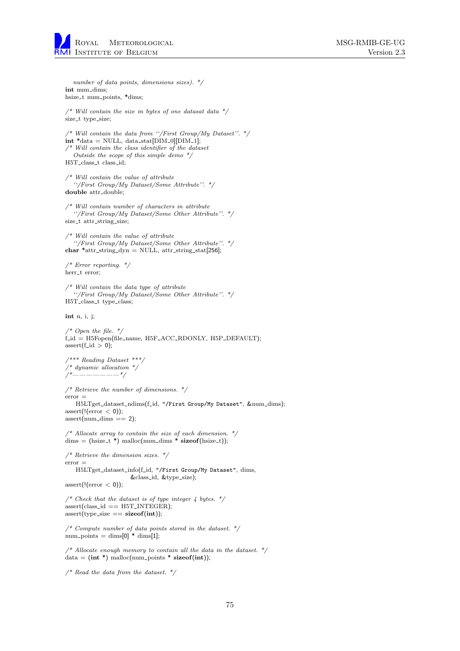

number of data points, dimensions sizes). \*/ int num\_dims; hsize\_t num\_points, \*dims;

 $/*$  Will contain the size in bytes of one datasat data  $*/$ size\_t type\_size;

 $/*$  Will contain the data from "/First Group/My Dataset".  $*/$  $int *data = NULL, data\_stat[DIM_0][DIM_1];$  $/*$  Will contain the class identifier of the dataset Outside the scope of this simple demo \*/ H5T\_class\_t class\_id;

 $/*$  Will contain the value of attribute ''/First Group/My Dataset/Some Attribute''. \*/ double attr\_double;

/\* Will contain number of characters in attribute ''/First Group/My Dataset/Some Other Attribute''. \*/ size\_t attr\_string\_size;

 $/*$  Will contain the value of attribute ''/First Group/My Dataset/Some Other Attribute''. \*/  $char * attr\_string\_dyn = NULL, attr\_string\_stat[256];$ 

 $/*$  Error reporting.  $*/$ herr\_t error;

 $/*$  Will contain the data type of attribute ''/First Group/My Dataset/Some Other Attribute''. \*/ H5T class t type class;

int n, i, j;

 $/*$  Open the file.  $*/$ f id = H5Fopen(file name, H5F ACC RDONLY, H5P DEFAULT);  $assert(f_id > 0);$ 

/\*\*\* Reading Dataset \*\*\*/  $\frac{1}{r^*}$  dynamic allocation \*/ /\*———————\*/

 $/*$  Retrieve the number of dimensions.  $*/$ error = H5LTget\_dataset\_ndims(f\_id, "/First Group/My Dataset", &num\_dims);

 $assert(l(error < 0));$  $assert(num\_dims == 2);$ 

 $\frac{1}{2}$  Allocate array to contain the size of each dimension.  $\frac{1}{2}$  $dims = (hsize_t * )$  malloc(num\_dims \* sizeof(hsize\_t));

 $/*$  Retrieve the dimension sizes.  $*/$ error = H5LTget\_dataset\_info(f\_id, "/First Group/My Dataset", dims, &class id, &type size);  $assert((error < 0));$ 

/\* Check that the dataset is of type integer 4 bytes.  $*/$  $assert$ (class\_id ==  $H5T$ \_INTEGER);  $assert(type_size == sizeof(int));$ 

 $\frac{1}{2}$  Compute number of data points stored in the dataset.  $\frac{1}{2}$  $num\_points = dims[0] * dims[1];$ 

 $\mathcal{N}^*$  Allocate enough memory to contain all the data in the dataset.  $\mathcal{N}$  $data = (int * )$  malloc(num\_points \* sizeof(int));

 $\frac{1}{2}$  Read the data from the dataset. \*/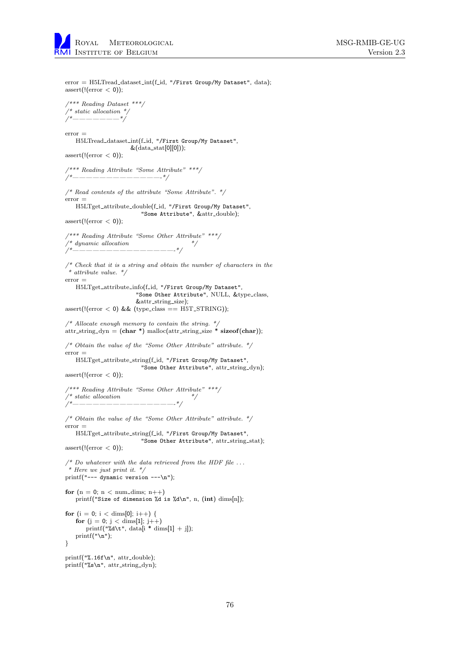$error = H5LTread\_dataset\_int(f_id, "/First Group/My Dataset", data);$  $assert((error < 0));$ 

/\*\*\* Reading Dataset \*\*\*/  $\frac{1}{r^*}$  static allocation \*/ /\*———————\*/

 $error =$ 

H5LTread\_dataset\_int(f\_id, "/First Group/My Dataset",  $\&(\text{data\_stat}[0][0]))$ ;  $assert(lerror < 0);$ /\*\*\* Reading Attribute "Some Attribute" \*\*\*/ /\*—————————————-\*/  $/*$  Read contents of the attribute "Some Attribute".  $*/$ 

error = H5LTget\_attribute\_double(f\_id, "/First Group/My Dataset", "Some Attribute", &attr\_double);

 $assert(l(error < 0));$ 

 $\text{\textit{++}}^* \times \text{Reading}$  Attribute "Some Other Attribute" \*\*\*/ $\text{\textit{++}} \times \text{dynamic}$  allocation  $\text{\textit{++}} \times \text{``}$ /\* dynamic allocation \*/ /\*———————————————-\*/

 $/*$  Check that it is a string and obtain the number of characters in the  $\hspace{0.1cm}^*$  attribute value.  $\hspace{0.1cm}^* /$ error =

H5LTget\_attribute\_info(f\_id, "/First Group/My Dataset", "Some Other Attribute", NULL, &type\_class, &attr string size);

assert(!(error < 0) && (type\_class == H5T\_STRING));

 $\frac{1}{2}$  Allocate enough memory to contain the string. \*/ attr\_string\_dyn =  $(char * )$  malloc $(attr\_string\_size * sizeof(char));$ 

 $/*$  Obtain the value of the "Some Other Attribute" attribute.  $*/$ error =

H5LTget attribute string(f id, "/First Group/My Dataset", "Some Other Attribute", attr\_string\_dyn);

 $assert(l(error < 0));$ 

/\*\*\* Reading Attribute "Some Other Attribute" \*\*\*/  $\frac{7}{4}$  static allocation \*/  $\frac{1}{2}$  /\* — –

 $/*$  Obtain the value of the "Some Other Attribute" attribute.  $*/$  $error =$ 

H5LTget\_attribute\_string(f\_id, "/First Group/My Dataset", "Some Other Attribute", attr\_string\_stat);

```
assert(l(error < 0));
```
 $/*$  Do whatever with the data retrieved from the HDF file ...  $*$  Here we just print it.  $*/$ printf("--- dynamic version ---\n");

for  $(n = 0; n < num\_dims; n++)$ printf("Size of dimension %d is %d\n", n, (int) dims[n]);

```
for (i = 0; i < dims[0]; i++) {
    for (j = 0; j < \text{dim}[1]; j++)printf("%d\t", data[i * dims[1] + j]);
    print(f("\n'\n}
```

```
printf("%.16f\n\pi", attr_double);
printf("%s\n", attr_string_dyn);
```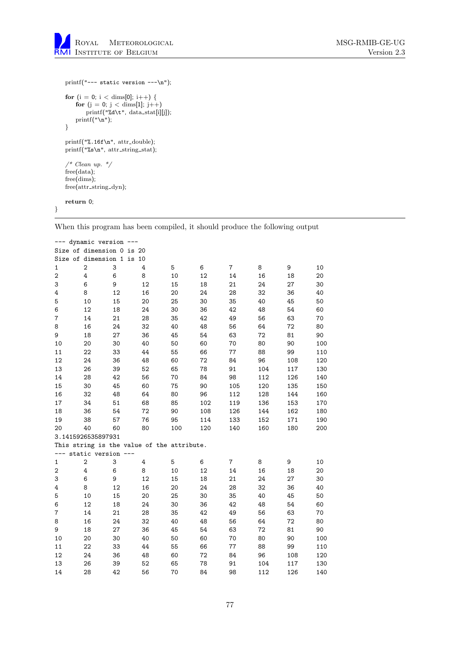

```
printf("--- static version ---\n");
for (i = 0; i < dims[0]; i++) {
     for (j = 0; j < \text{dim}[1]; j++)printf("%d\t", data stat[i][j]);
    printf("\n");
}
printf("%.16f\n", attr_double);
printf("%s\n", attr_string_stat);
\textcolor{black}{\mathcal{N}}^* Clean up. \textcolor{black}{\ast}\textcolor{black}{\mathcal{N}}free(data);free(dims);
free(attr_string_dyn);
return 0;
```
}

When this program has been compiled, it should produce the following output

|                | --- dynamic version --- |                                            |    |     |     |                |     |     |     |
|----------------|-------------------------|--------------------------------------------|----|-----|-----|----------------|-----|-----|-----|
|                |                         | Size of dimension 0 is 20                  |    |     |     |                |     |     |     |
|                |                         | Size of dimension 1 is 10                  |    |     |     |                |     |     |     |
| 1              | 2                       | 3                                          | 4  | 5   | 6   | $\overline{7}$ | 8   | 9   | 10  |
| $\overline{2}$ | 4                       | 6                                          | 8  | 10  | 12  | 14             | 16  | 18  | 20  |
| 3              | 6                       | 9                                          | 12 | 15  | 18  | 21             | 24  | 27  | 30  |
| 4              | 8                       | 12                                         | 16 | 20  | 24  | 28             | 32  | 36  | 40  |
| 5              | 10                      | 15                                         | 20 | 25  | 30  | 35             | 40  | 45  | 50  |
| 6              | 12                      | 18                                         | 24 | 30  | 36  | 42             | 48  | 54  | 60  |
| 7              | 14                      | 21                                         | 28 | 35  | 42  | 49             | 56  | 63  | 70  |
| 8              | 16                      | 24                                         | 32 | 40  | 48  | 56             | 64  | 72  | 80  |
| 9              | 18                      | 27                                         | 36 | 45  | 54  | 63             | 72  | 81  | 90  |
| 10             | 20                      | 30                                         | 40 | 50  | 60  | 70             | 80  | 90  | 100 |
| 11             | 22                      | 33                                         | 44 | 55  | 66  | 77             | 88  | 99  | 110 |
| 12             | 24                      | 36                                         | 48 | 60  | 72  | 84             | 96  | 108 | 120 |
| 13             | 26                      | 39                                         | 52 | 65  | 78  | 91             | 104 | 117 | 130 |
| 14             | 28                      | 42                                         | 56 | 70  | 84  | 98             | 112 | 126 | 140 |
| 15             | 30                      | 45                                         | 60 | 75  | 90  | 105            | 120 | 135 | 150 |
| 16             | 32                      | 48                                         | 64 | 80  | 96  | 112            | 128 | 144 | 160 |
| 17             | 34                      | 51                                         | 68 | 85  | 102 | 119            | 136 | 153 | 170 |
| 18             | 36                      | 54                                         | 72 | 90  | 108 | 126            | 144 | 162 | 180 |
| 19             | 38                      | 57                                         | 76 | 95  | 114 | 133            | 152 | 171 | 190 |
| 20             | 40                      | 60                                         | 80 | 100 | 120 | 140            | 160 | 180 | 200 |
|                | 3.1415926535897931      |                                            |    |     |     |                |     |     |     |
|                |                         | This string is the value of the attribute. |    |     |     |                |     |     |     |
|                | static version ---      |                                            |    |     |     |                |     |     |     |
| 1              | $\overline{2}$          | 3                                          | 4  | 5   | 6   | $\overline{7}$ | 8   | 9   | 10  |
| 2              | 4                       | 6                                          | 8  | 10  | 12  | 14             | 16  | 18  | 20  |
| 3              | 6                       | 9                                          | 12 | 15  | 18  | 21             | 24  | 27  | 30  |
| 4              | 8                       | 12                                         | 16 | 20  | 24  | 28             | 32  | 36  | 40  |
| 5              | 10                      | 15                                         | 20 | 25  | 30  | 35             | 40  | 45  | 50  |
| 6              | 12                      | 18                                         | 24 | 30  | 36  | 42             | 48  | 54  | 60  |
| 7              | 14                      | 21                                         | 28 | 35  | 42  | 49             | 56  | 63  | 70  |
| 8              | 16                      | 24                                         | 32 | 40  | 48  | 56             | 64  | 72  | 80  |
| 9              | 18                      | 27                                         | 36 | 45  | 54  | 63             | 72  | 81  | 90  |
| 10             | 20                      | 30                                         | 40 | 50  | 60  | 70             | 80  | 90  | 100 |
| 11             | 22                      | 33                                         | 44 | 55  | 66  | 77             | 88  | 99  | 110 |
| 12             | 24                      | 36                                         | 48 | 60  | 72  | 84             | 96  | 108 | 120 |
| 13             | 26                      | 39                                         | 52 | 65  | 78  | 91             | 104 | 117 | 130 |
| 14             | 28                      | 42                                         | 56 | 70  | 84  | 98             | 112 | 126 | 140 |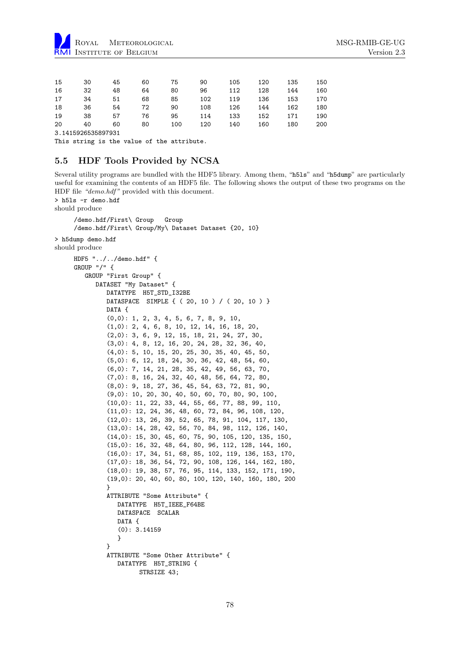

| 15 | 30 | 45 | 60 | 75  | 90  | 105 | 120 | 135 | 150 |
|----|----|----|----|-----|-----|-----|-----|-----|-----|
| 16 | 32 | 48 | 64 | 80  | 96  | 112 | 128 | 144 | 160 |
| 17 | 34 | 51 | 68 | 85  | 102 | 119 | 136 | 153 | 170 |
| 18 | 36 | 54 | 72 | 90  | 108 | 126 | 144 | 162 | 180 |
| 19 | 38 | 57 | 76 | 95  | 114 | 133 | 152 | 171 | 190 |
| 20 | 40 | 60 | 80 | 100 | 120 | 140 | 160 | 180 | 200 |

3.1415926535897931

This string is the value of the attribute.

# 5.5 HDF Tools Provided by NCSA

Several utility programs are bundled with the HDF5 library. Among them, "h5ls" and "h5dump" are particularly useful for examining the contents of an HDF5 file. The following shows the output of these two programs on the HDF file  $\emph{``demo.hdf''}$  provided with this document.

> h5ls -r demo.hdf should produce

```
/demo.hdf/First\ Group Group
/demo.hdf/First\ Group/My\ Dataset Dataset {20, 10}
```
> h5dump demo.hdf

should produce

```
HDF5 "../../demo.hdf" {
GROUP "/" {
   GROUP "First Group" {
      DATASET "My Dataset" {
         DATATYPE H5T_STD_I32BE
         DATASPACE SIMPLE { ( 20, 10 ) / ( 20, 10 ) }
         DATA {
         (0,0): 1, 2, 3, 4, 5, 6, 7, 8, 9, 10,
         (1,0): 2, 4, 6, 8, 10, 12, 14, 16, 18, 20,
         (2,0): 3, 6, 9, 12, 15, 18, 21, 24, 27, 30,
         (3,0): 4, 8, 12, 16, 20, 24, 28, 32, 36, 40,
         (4,0): 5, 10, 15, 20, 25, 30, 35, 40, 45, 50,
         (5,0): 6, 12, 18, 24, 30, 36, 42, 48, 54, 60,
         (6,0): 7, 14, 21, 28, 35, 42, 49, 56, 63, 70,
         (7,0): 8, 16, 24, 32, 40, 48, 56, 64, 72, 80,
         (8,0): 9, 18, 27, 36, 45, 54, 63, 72, 81, 90,
         (9,0): 10, 20, 30, 40, 50, 60, 70, 80, 90, 100,
         (10,0): 11, 22, 33, 44, 55, 66, 77, 88, 99, 110,
         (11,0): 12, 24, 36, 48, 60, 72, 84, 96, 108, 120,
         (12,0): 13, 26, 39, 52, 65, 78, 91, 104, 117, 130,
         (13,0): 14, 28, 42, 56, 70, 84, 98, 112, 126, 140,
         (14,0): 15, 30, 45, 60, 75, 90, 105, 120, 135, 150,
         (15,0): 16, 32, 48, 64, 80, 96, 112, 128, 144, 160,
         (16,0): 17, 34, 51, 68, 85, 102, 119, 136, 153, 170,
         (17,0): 18, 36, 54, 72, 90, 108, 126, 144, 162, 180,
         (18,0): 19, 38, 57, 76, 95, 114, 133, 152, 171, 190,
         (19,0): 20, 40, 60, 80, 100, 120, 140, 160, 180, 200
         }
         ATTRIBUTE "Some Attribute" {
            DATATYPE H5T_IEEE_F64BE
            DATASPACE SCALAR
            DATA {
            (0): 3.14159
            }
         }
         ATTRIBUTE "Some Other Attribute" {
            DATATYPE H5T_STRING {
                  STRSIZE 43;
```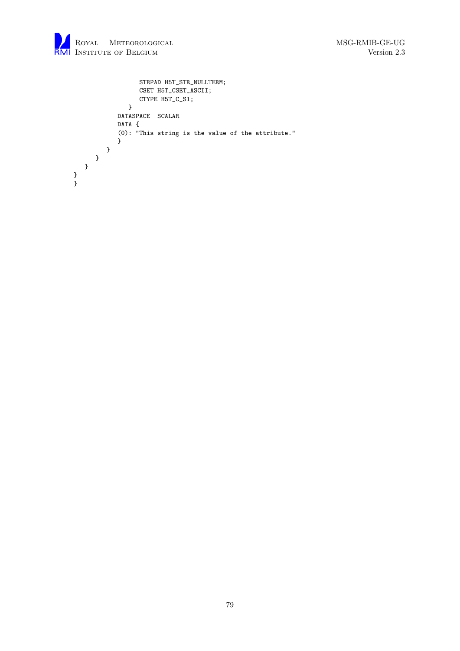

```
STRPAD H5T_STR_NULLTERM;
                 CSET H5T_CSET_ASCII;
                 CTYPE H5T_C_S1;
              }
           DATASPACE SCALAR
           DATA {
           (0): "This string is the value of the attribute."
           }
       }
     }
  }
}
}
```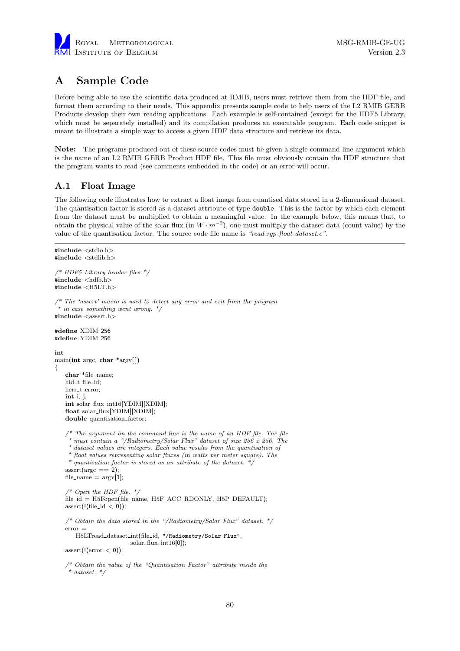# <span id="page-93-1"></span><span id="page-93-0"></span>A Sample Code

Before being able to use the scientific data produced at RMIB, users must retrieve them from the HDF file, and format them according to their needs. This appendix presents sample code to help users of the L2 RMIB GERB Products develop their own reading applications. Each example is self-contained (except for the HDF5 Library, which must be separately installed) and its compilation produces an executable program. Each code snippet is meant to illustrate a simple way to access a given HDF data structure and retrieve its data.

Note: The programs produced out of these source codes must be given a single command line argument which is the name of an L2 RMIB GERB Product HDF file. This file must obviously contain the HDF structure that the program wants to read (see comments embedded in the code) or an error will occur.

# A.1 Float Image

The following code illustrates how to extract a float image from quantised data stored in a 2-dimensional dataset. The quantisation factor is stored as a dataset attribute of type double. This is the factor by which each element from the dataset must be multiplied to obtain a meaningful value. In the example below, this means that, to obtain the physical value of the solar flux (in  $W \cdot m^{-2}$ ), one must multiply the dataset data (count value) by the value of the quantisation factor. The source code file name is "read\_rgp\_float\_dataset.c".

```
#include <stdio.h>
#include <stdlib.h>
/* HDF5 Library header files */*include <hdf5.h>
#include <H5LT.h>
/* The 'assert' macro is used to detect any error and exit from the program
 * in case something went wrong. */#include <assert.h>
#define XDIM 256
#define YDIM 256
int
main(int argc, char *argv[ ])
{
   char *file_name;
   hid_t file_id;
   herr_t error:
   int i, j;
   int solar_flux_int16[YDIM][XDIM];
   float solar_flux[YDIM][XDIM];
   double quantisation factor;
   /* The argument on the command line is the name of an HDF file. The file
    * must contain a "/Radiometry/Solar Flux" dataset of size 256 x 256. The
     ^\ast dataset values are integers. Each value results from the quantisation of
     * float values representing solar fluxes (in watts per meter square). The
     * quantisation factor is stored as an attribute of the dataset. */
   assert(\arg c == 2);file_name = argv[1];\frac{1}{2} Open the HDF file. \frac{*}{2}file_id = H5Fopen(file_name, H5F_ACC_RDONLY, H5P_DEFAULT);
   assert(l(\text{file_id} < 0));\frac{1}{2} Obtain the data stored in the "/Radiometry/Solar Flux" dataset. */
   error =H5LTread dataset int(file id, "/Radiometry/Solar Flux",
                          solar_fflux\_int16[0]);assert((error < 0));/* Obtain the value of the "Quantisation Factor" attribute inside the
    * dataset. */
```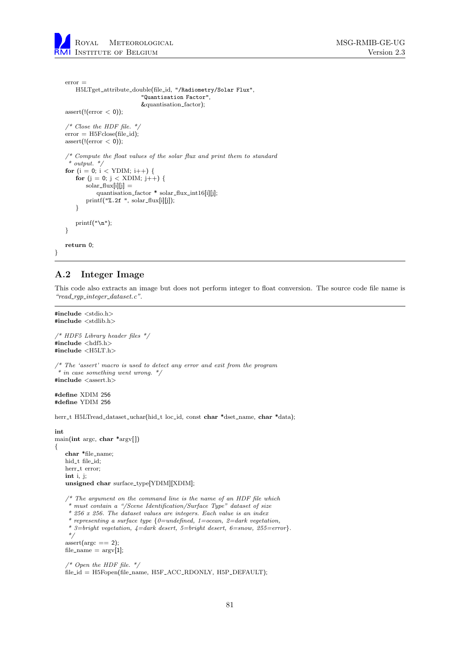```
error =
   H5LTget attribute double(file id, "/Radiometry/Solar Flux",
                          "Quantisation Factor",
                          &quantisation factor);
assert((error < 0));/* Close the HDF file. */error = H5Fclose(file_id);assert((error < 0));/* Compute the float values of the solar flux and print them to standard
* output. */for (i = 0; i < YDIM; i++) {
   for (j = 0; j < XDIM; j++) {
       solar_f, flux[i][j] =quantisation_factor * solar_flux_int16[i][j];
       printf("".2f", solar-flux[i][j]);}
   printf(''\n'');
}
return 0;
```
# A.2 Integer Image

This code also extracts an image but does not perform integer to float conversion. The source code file name is "read rgp integer dataset.c".

#include <stdio.h>  $\#include$ <br/> $<$ stdlib.h $>$ 

}

```
/* HDF5 Library header files */*include <hdf5.h>
#include <H5LT.h>
```
 $\frac{1}{\epsilon}$  The 'assert' macro is used to detect any error and exit from the program  $*$  in case something went wrong.  $*$  $#include <$  <assert.h>

#define XDIM 256 #define YDIM 256

herr\_t H5LTread\_dataset\_uchar(hid\_t loc\_id, const char \*dset\_name, char \*data);

```
int
main(int argc, char *argv[ ])
{
   char *file_name;
   hid_t file_id;
   herr_t error;
   int i, j;
   unsigned char surface_type[YDIM][XDIM];
```
 $/*$  The argument on the command line is the name of an HDF file which

- \* must contain a "/Scene Identification/Surface Type" dataset of size
- $*$  256 x 256. The dataset values are integers. Each value is an index
- \* representing a surface type  ${0=$ undefined, 1=ocean, 2=dark vegetation,
- \* 3=bright vegetation, 4=dark desert, 5=bright desert, 6=snow, 255=error}. \*/

 $assert(argc == 2);$  $file_name = argv[1];$ 

```
\frac{1}{2} Open the HDF file. \frac{*}{2}file id = H5Fopen(file name, H5F ACC RDONLY, H5P DEFAULT);
```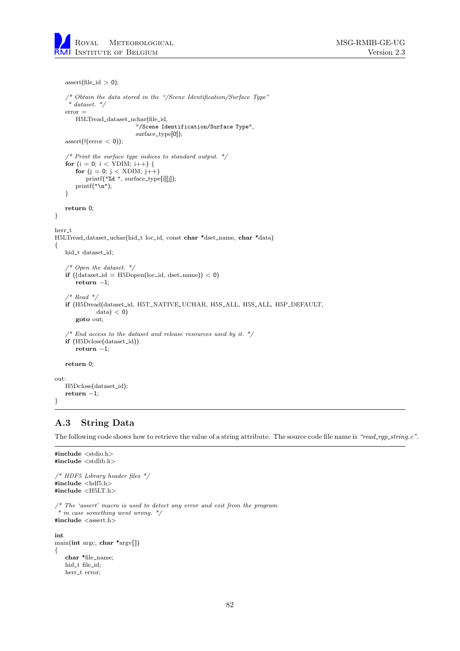```
assert(file_id > 0);/* Obtain the data stored in the "/Scene Identification/Surface Type"
     * dataset. */
   error =H5LTread dataset uchar(file id,
                            "/Scene Identification/Surface Type",
                            surface_type[0]);
   assert((error < 0));\frac{1}{2} Print the surface type indices to standard output. \frac{1}{2}for (i = 0; i < YDIM; i++) {
       for (j = 0; j < XDIM, j++)printf("%d ", surface_type[i][j]);
       printf(''\n'');
   }
   return 0;
}
herr_t
H5LTread_dataset_uchar(hid_t loc_id, const char *dset_name, char *data)
{
   hid_t dataset_id;
    /* Open the dataset. */if ((\text{dataset_id} = \text{H5Dopen}(\text{loc_id}, \text{dest_name})) < 0)return −1;
     4* Read *if (H5Dread(dataset id, H5T NATIVE UCHAR, H5S ALL, H5S ALL, H5P DEFAULT,
              data) < 0goto out;
    \frac{1}{2} End access to the dataset and release resources used by it. */
   if (H5Dclose(dataset_id))
       return −1;
   return 0;
out:
   H5Dclose(dataset id);
   return −1;
}
```
# A.3 String Data

The following code shows how to retrieve the value of a string attribute. The source code file name is "read\_rgp\_string.c".

```
#include <stdio.h>
#include <stdlib.h>
```

```
/* HDF5 Library header files */\#include<br/><hdf5.h>#include <H5LT.h>
```

```
/* The 'assert' macro is used to detect any error and exit from the program
 * in case something went wrong. *#include < <assert.h>
```
int main(int argc, char \*argv[ ]) { char \*file\_name; hid\_t file\_id: herr\_t error;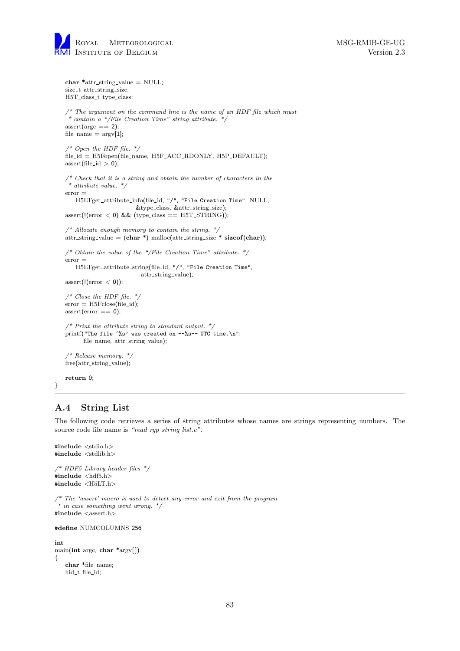<span id="page-96-0"></span>

```
char *_{\text{attr}\_\text{string}\_\text{value}} = \text{NULL};size_t attr_string_size;
H5T_class_t type_class;
\text{/}^* The argument on the command line is the name of an HDF file which must
 * contain a "/File Creation Time" string attribute. *assert(\arg c == 2);file_name = \arg[v[1]];
\frac{1}{2} Open the HDF file. \frac{*}{2}file id = H5Fopen(file name, H5F ACC RDONLY, H5P DEFAULT);
assert(file_id > 0);\frac{1}{2} Check that it is a string and obtain the number of characters in the
 * attribute value. */
error =H5LTget attribute info(file id, "/", "File Creation Time", NULL,
                           &type_class, &attr_string_size);
assert(!(error < 0) && (type_class == H5T\_STRING));
/* Allocate enough memory to contain the string. */
\text{attr}\_\text{string-value} = (\text{char}^*) \text{ malloc}(\text{attr}\_\text{string}\_\text{size}^* \cdot \text{sizeof}(\text{char}));/* Obtain the value of the "/File Creation Time" attribute. */error =
    H5LTget attribute string(file id, "/", "File Creation Time",
                             attr_string_value);
assert(l(error < 0));/* Close the HDF file. */error = H5Fclose(file_id);assert(error == 0);\frac{1}{2} Print the attribute string to standard output. \frac{1}{2}printf("The file '%s' was created on --%s-- UTC time.\n",
       \overleftarrow{\text{file_name}}, \overleftarrow{\text{attr}\_string\_value};
 /* Release memory. *free(attr_string_value);
return 0;
```
}

# A.4 String List

The following code retrieves a series of string attributes whose names are strings representing numbers. The source code file name is " $read\_rgp\_string\_list.c$ ".

```
#include <stdio.h>
#include <stdlib.h>
/* HDF5 Library header files */\#include <hdf5.h>
\#include<br/>< H5LT.h>/* The 'assert' macro is used to detect any error and exit from the program
 * in case something went wrong. *#include <assert.h>
#define NUMCOLUMNS 256
int
main(int argc, char *argv[ ])
{
   char *file_name:
   hid_t file_id;
```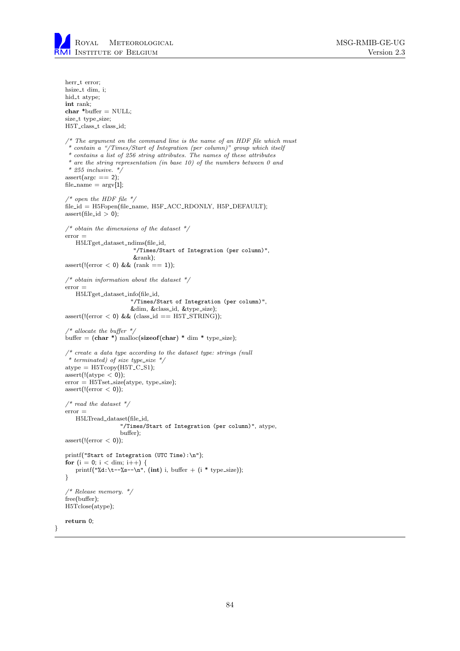

herr\_t error; hsize\_t dim. i: hid\_t atype; int rank; char  $*$ buffer = NULL; size\_t type\_size; H5T\_class\_t class\_id;  $\frac{1}{\epsilon}$  The argument on the command line is the name of an HDF file which must \* contain a "/Times/Start of Integration (per column)" group which itself  $*$  contains a list of 256 string attributes. The names of these attributes  $*$  are the string representation (in base 10) of the numbers between 0 and  $*$  255 inclusive.  $*$  $assert(argc == 2);$  $file_name = argv[1];$  $\frac{1}{2}$  open the HDF file  $\frac{*}{2}$ file id = H5Fopen(file name, H5F ACC RDONLY, H5P DEFAULT);  $assert(file_id > 0);$  $\mathcal{N}^*$  obtain the dimensions of the dataset  $\mathcal{N}$ error = H5LTget dataset ndims(file id, "/Times/Start of Integration (per column)", &rank); assert(!(error  $< 0$ ) && (rank == 1));  $\frac{1}{2}$  obtain information about the dataset  $\frac{1}{2}$  $error =$ H5LTget dataset info(file id, "/Times/Start of Integration (per column)", &dim, &class\_id, &type\_size); assert(!(error < 0) && (class\_id == H5T\_STRING));  $\frac{1}{2}$  allocate the buffer  $\frac{*}{2}$ buffer =  $(char * )$  malloc(sizeof(char) \* dim \* type\_size);  $\mathcal{O}^*$  create a data type according to the dataset type: strings (null \* terminated) of size type\_size  $*/$  $\text{atype} = \text{H5Teopy(H5T_C_S1)}$ ;  $assert(! (atype < 0));$  $error = H5Test_size(atype, type_size);$  $assert((error < 0));$  $\frac{1}{x}$  read the dataset  $\frac{x}{x}$ error = H5LTread dataset(file id, "/Times/Start of Integration (per column)", atype, buffer);  $assert((error < 0));$ printf("Start of Integration (UTC Time):\n"); for  $(i = 0; i < dim; i++)$  { printf("%d:\t--%s--\n", (int) i, buffer + (i \* type\_size)); } /\* Release memory. \*/ free(buffer); H5Tclose(atype); return 0;

}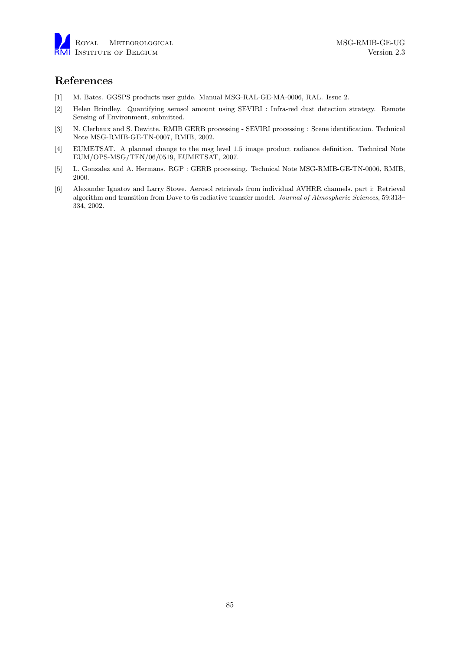

# References

- [1] M. Bates. GGSPS products user guide. Manual MSG-RAL-GE-MA-0006, RAL. Issue 2.
- <span id="page-98-2"></span>[2] Helen Brindley. Quantifying aerosol amount using SEVIRI : Infra-red dust detection strategy. Remote Sensing of Environment, submitted.
- <span id="page-98-0"></span>[3] N. Clerbaux and S. Dewitte. RMIB GERB processing - SEVIRI processing : Scene identification. Technical Note MSG-RMIB-GE-TN-0007, RMIB, 2002.
- [4] EUMETSAT. A planned change to the msg level 1.5 image product radiance definition. Technical Note EUM/OPS-MSG/TEN/06/0519, EUMETSAT, 2007.
- [5] L. Gonzalez and A. Hermans. RGP : GERB processing. Technical Note MSG-RMIB-GE-TN-0006, RMIB, 2000.
- <span id="page-98-1"></span>[6] Alexander Ignatov and Larry Stowe. Aerosol retrievals from individual AVHRR channels. part i: Retrieval algorithm and transition from Dave to 6s radiative transfer model. Journal of Atmospheric Sciences, 59:313– 334, 2002.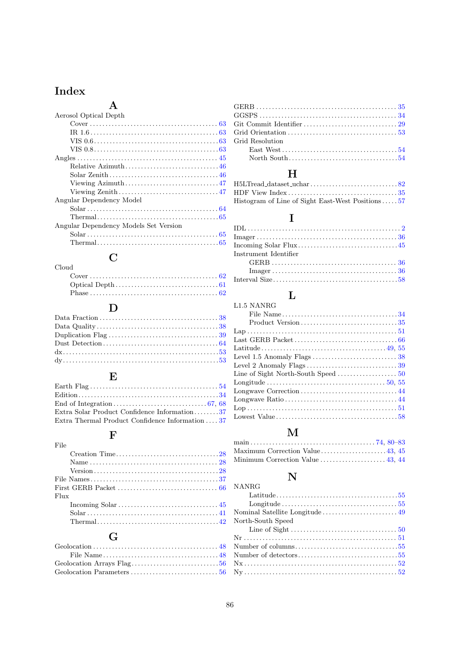# Index

| Aerosol Optical Depth                 |
|---------------------------------------|
|                                       |
|                                       |
|                                       |
|                                       |
|                                       |
|                                       |
|                                       |
|                                       |
|                                       |
| Angular Dependency Model              |
|                                       |
|                                       |
| Angular Dependency Models Set Version |
|                                       |
|                                       |
|                                       |

# C

| Cloud |  |
|-------|--|
|       |  |
|       |  |
|       |  |

# D

# E

| Extra Solar Product Confidence Information37   |  |
|------------------------------------------------|--|
| Extra Thermal Product Confidence Information37 |  |

# F

| File                                                                                              |
|---------------------------------------------------------------------------------------------------|
|                                                                                                   |
|                                                                                                   |
|                                                                                                   |
|                                                                                                   |
|                                                                                                   |
| Flux                                                                                              |
|                                                                                                   |
|                                                                                                   |
| Thermal $\ldots$ $\ldots$ $\ldots$ $\ldots$ $\ldots$ $\ldots$ $\ldots$ $\ldots$ $\ldots$ $\ldots$ |
|                                                                                                   |

# G

| Grid Resolution |
|-----------------|
|                 |
|                 |

# H

| Histogram of Line of Sight East-West Positions57 |  |
|--------------------------------------------------|--|

# I

| Instrument Identifier |  |
|-----------------------|--|
|                       |  |
|                       |  |
|                       |  |
|                       |  |

# L

| L1.5 NANRG |  |
|------------|--|
|            |  |
|            |  |
|            |  |
|            |  |
|            |  |
|            |  |
|            |  |
|            |  |
|            |  |
|            |  |
|            |  |
|            |  |
|            |  |
|            |  |

# M

| Maximum Correction Value43, 45 |  |
|--------------------------------|--|
|                                |  |

# N

| <b>NANRG</b>      |
|-------------------|
|                   |
|                   |
|                   |
| North-South Speed |
|                   |
|                   |
|                   |
|                   |
|                   |
|                   |